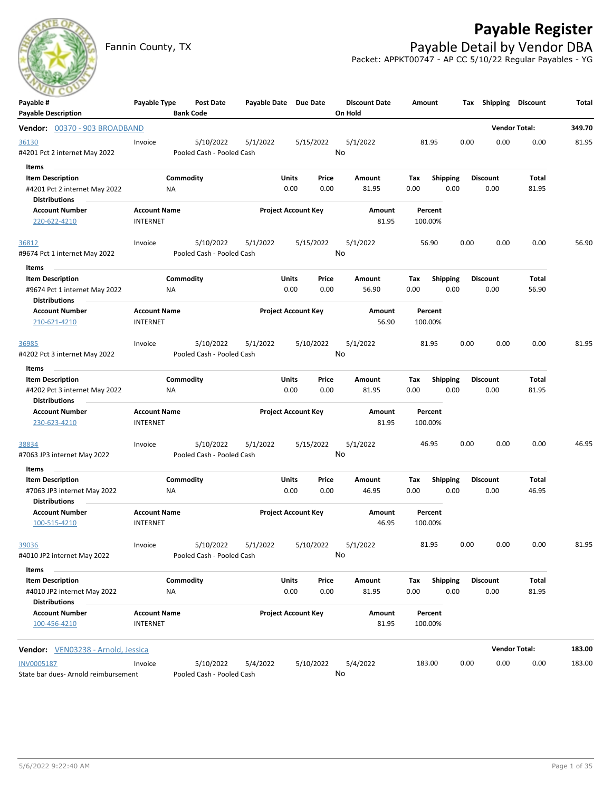

# **Payable Register**

Fannin County, TX **Payable Detail by Vendor DBA** Packet: APPKT00747 - AP CC 5/10/22 Regular Payables - YG

| Payable #                                             | Payable Type                           | Post Date                 | Payable Date Due Date |                            |           | <b>Discount Date</b> | Amount  |                 |      | Tax Shipping    | <b>Discount</b>      | Total  |
|-------------------------------------------------------|----------------------------------------|---------------------------|-----------------------|----------------------------|-----------|----------------------|---------|-----------------|------|-----------------|----------------------|--------|
| <b>Payable Description</b>                            |                                        | <b>Bank Code</b>          |                       |                            |           | On Hold              |         |                 |      |                 |                      |        |
| Vendor: 00370 - 903 BROADBAND                         |                                        |                           |                       |                            |           |                      |         |                 |      |                 | <b>Vendor Total:</b> | 349.70 |
| 36130                                                 | Invoice                                | 5/10/2022                 | 5/1/2022              |                            | 5/15/2022 | 5/1/2022             | 81.95   |                 | 0.00 | 0.00            | 0.00                 | 81.95  |
| #4201 Pct 2 internet May 2022                         |                                        | Pooled Cash - Pooled Cash |                       |                            |           | No                   |         |                 |      |                 |                      |        |
| Items<br>$\sim$                                       |                                        |                           |                       |                            |           |                      |         |                 |      |                 |                      |        |
| <b>Item Description</b>                               |                                        | Commodity                 |                       | Units                      | Price     | Amount               | Tax     | Shipping        |      | <b>Discount</b> | Total                |        |
| #4201 Pct 2 internet May 2022<br><b>Distributions</b> | ΝA                                     |                           |                       | 0.00                       | 0.00      | 81.95                | 0.00    | 0.00            |      | 0.00            | 81.95                |        |
| <b>Account Number</b>                                 | <b>Account Name</b>                    |                           |                       | <b>Project Account Key</b> |           | Amount               | Percent |                 |      |                 |                      |        |
| 220-622-4210                                          | <b>INTERNET</b>                        |                           |                       |                            |           | 81.95                | 100.00% |                 |      |                 |                      |        |
| 36812                                                 | Invoice                                | 5/10/2022                 | 5/1/2022              |                            | 5/15/2022 | 5/1/2022             | 56.90   |                 | 0.00 | 0.00            | 0.00                 | 56.90  |
| #9674 Pct 1 internet May 2022                         |                                        | Pooled Cash - Pooled Cash |                       |                            |           | No                   |         |                 |      |                 |                      |        |
| Items                                                 |                                        |                           |                       |                            |           |                      |         |                 |      |                 |                      |        |
| <b>Item Description</b>                               |                                        | Commodity                 |                       | Units                      | Price     | Amount               | Tax     | <b>Shipping</b> |      | <b>Discount</b> | Total                |        |
| #9674 Pct 1 internet May 2022                         | ΝA                                     |                           |                       | 0.00                       | 0.00      | 56.90                | 0.00    | 0.00            |      | 0.00            | 56.90                |        |
| <b>Distributions</b><br><b>Account Number</b>         |                                        |                           |                       | <b>Project Account Key</b> |           |                      | Percent |                 |      |                 |                      |        |
| 210-621-4210                                          | <b>Account Name</b><br><b>INTERNET</b> |                           |                       |                            |           | Amount<br>56.90      | 100.00% |                 |      |                 |                      |        |
| 36985                                                 | Invoice                                | 5/10/2022                 | 5/1/2022              |                            | 5/10/2022 | 5/1/2022             | 81.95   |                 | 0.00 | 0.00            | 0.00                 | 81.95  |
| #4202 Pct 3 internet May 2022                         |                                        | Pooled Cash - Pooled Cash |                       |                            |           | No                   |         |                 |      |                 |                      |        |
| Items                                                 |                                        |                           |                       |                            |           |                      |         |                 |      |                 |                      |        |
| <b>Item Description</b>                               |                                        | Commodity                 |                       | Units                      | Price     | Amount               | Tax     | <b>Shipping</b> |      | <b>Discount</b> | Total                |        |
| #4202 Pct 3 internet May 2022                         | ΝA                                     |                           |                       | 0.00                       | 0.00      | 81.95                | 0.00    | 0.00            |      | 0.00            | 81.95                |        |
| <b>Distributions</b>                                  |                                        |                           |                       |                            |           |                      |         |                 |      |                 |                      |        |
| <b>Account Number</b>                                 | <b>Account Name</b>                    |                           |                       | <b>Project Account Key</b> |           | Amount               | Percent |                 |      |                 |                      |        |
| 230-623-4210                                          | <b>INTERNET</b>                        |                           |                       |                            |           | 81.95                | 100.00% |                 |      |                 |                      |        |
| 38834                                                 | Invoice                                | 5/10/2022                 | 5/1/2022              |                            | 5/15/2022 | 5/1/2022             | 46.95   |                 | 0.00 | 0.00            | 0.00                 | 46.95  |
| #7063 JP3 internet May 2022                           |                                        | Pooled Cash - Pooled Cash |                       |                            |           | No                   |         |                 |      |                 |                      |        |
| Items                                                 |                                        |                           |                       |                            |           |                      |         |                 |      |                 |                      |        |
| <b>Item Description</b>                               |                                        | Commodity                 |                       | Units                      | Price     | Amount               | Тах     | <b>Shipping</b> |      | <b>Discount</b> | Total                |        |
| #7063 JP3 internet May 2022<br><b>Distributions</b>   | ΝA                                     |                           |                       | 0.00                       | 0.00      | 46.95                | 0.00    | 0.00            |      | 0.00            | 46.95                |        |
| <b>Account Number</b>                                 | <b>Account Name</b>                    |                           |                       | <b>Project Account Key</b> |           | Amount               | Percent |                 |      |                 |                      |        |
| 100-515-4210                                          | <b>INTERNET</b>                        |                           |                       |                            |           | 46.95                | 100.00% |                 |      |                 |                      |        |
| 39036                                                 | Invoice                                | 5/10/2022                 | 5/1/2022              |                            | 5/10/2022 | 5/1/2022             | 81.95   |                 | 0.00 | 0.00            | 0.00                 | 81.95  |
| #4010 JP2 internet May 2022                           |                                        | Pooled Cash - Pooled Cash |                       |                            |           | No                   |         |                 |      |                 |                      |        |
| Items                                                 |                                        |                           |                       |                            |           |                      |         |                 |      |                 |                      |        |
| <b>Item Description</b>                               |                                        | Commodity                 |                       | Units                      | Price     | Amount               | Tax     | Shipping        |      | <b>Discount</b> | Total                |        |
| #4010 JP2 internet May 2022<br><b>Distributions</b>   | NA                                     |                           |                       | 0.00                       | 0.00      | 81.95                | 0.00    | 0.00            |      | 0.00            | 81.95                |        |
| <b>Account Number</b>                                 | <b>Account Name</b>                    |                           |                       | <b>Project Account Key</b> |           | Amount               | Percent |                 |      |                 |                      |        |
| 100-456-4210                                          | <b>INTERNET</b>                        |                           |                       |                            |           | 81.95                | 100.00% |                 |      |                 |                      |        |
| Vendor: VEN03238 - Arnold, Jessica                    |                                        |                           |                       |                            |           |                      |         |                 |      |                 | <b>Vendor Total:</b> | 183.00 |
| <b>INV0005187</b>                                     | Invoice                                | 5/10/2022                 | 5/4/2022              |                            | 5/10/2022 | 5/4/2022             | 183.00  |                 | 0.00 | 0.00            | 0.00                 | 183.00 |
| State bar dues- Arnold reimbursement                  |                                        | Pooled Cash - Pooled Cash |                       |                            |           | No                   |         |                 |      |                 |                      |        |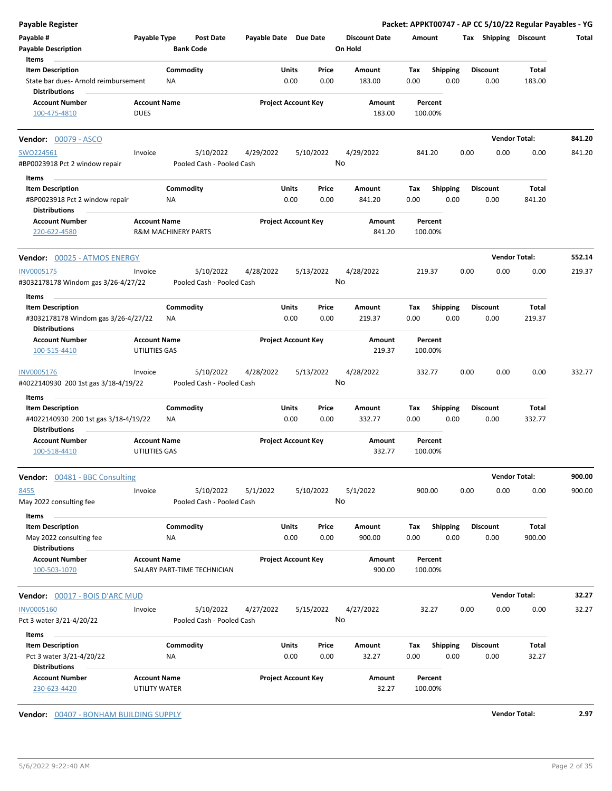| <b>Payable Register</b>                                         |                                      |                                |                                        |                       |                            |                 |                                 |             |                         |      |                         | Packet: APPKT00747 - AP CC 5/10/22 Regular Payables - YG |        |
|-----------------------------------------------------------------|--------------------------------------|--------------------------------|----------------------------------------|-----------------------|----------------------------|-----------------|---------------------------------|-------------|-------------------------|------|-------------------------|----------------------------------------------------------|--------|
| Payable #<br><b>Payable Description</b>                         | Payable Type                         | <b>Bank Code</b>               | <b>Post Date</b>                       | Payable Date Due Date |                            |                 | <b>Discount Date</b><br>On Hold | Amount      |                         |      | Tax Shipping Discount   |                                                          | Total  |
| Items                                                           |                                      |                                |                                        |                       |                            |                 |                                 |             |                         |      |                         |                                                          |        |
| <b>Item Description</b>                                         |                                      | Commodity                      |                                        |                       | Units                      | Price           | Amount                          | Tax         | Shipping                |      | <b>Discount</b>         | Total                                                    |        |
| State bar dues- Arnold reimbursement<br><b>Distributions</b>    |                                      | <b>NA</b>                      |                                        |                       | 0.00                       | 0.00            | 183.00                          | 0.00        | 0.00                    |      | 0.00                    | 183.00                                                   |        |
| <b>Account Number</b>                                           | <b>Account Name</b>                  |                                |                                        |                       | <b>Project Account Key</b> |                 | Amount                          |             | Percent                 |      |                         |                                                          |        |
| 100-475-4810                                                    | <b>DUES</b>                          |                                |                                        |                       |                            |                 | 183.00                          |             | 100.00%                 |      |                         |                                                          |        |
| <b>Vendor: 00079 - ASCO</b>                                     |                                      |                                |                                        |                       |                            |                 |                                 |             |                         |      |                         | <b>Vendor Total:</b>                                     | 841.20 |
| SWO224561                                                       | Invoice                              |                                | 5/10/2022                              | 4/29/2022             |                            | 5/10/2022       | 4/29/2022                       |             | 841.20                  | 0.00 | 0.00                    | 0.00                                                     | 841.20 |
| #BP0023918 Pct 2 window repair                                  |                                      |                                | Pooled Cash - Pooled Cash              |                       |                            | No              |                                 |             |                         |      |                         |                                                          |        |
| Items                                                           |                                      |                                |                                        |                       |                            |                 |                                 |             |                         |      |                         |                                                          |        |
| <b>Item Description</b>                                         |                                      | Commodity                      |                                        |                       | Units                      | Price           | Amount                          | Tax         | <b>Shipping</b>         |      | <b>Discount</b>         | Total                                                    |        |
| #BP0023918 Pct 2 window repair<br><b>Distributions</b>          |                                      | ΝA                             |                                        |                       | 0.00                       | 0.00            | 841.20                          | 0.00        | 0.00                    |      | 0.00                    | 841.20                                                   |        |
| <b>Account Number</b>                                           | <b>Account Name</b>                  |                                |                                        |                       | <b>Project Account Key</b> |                 | Amount                          |             | Percent                 |      |                         |                                                          |        |
| 220-622-4580                                                    |                                      | <b>R&amp;M MACHINERY PARTS</b> |                                        |                       |                            |                 | 841.20                          |             | 100.00%                 |      |                         |                                                          |        |
| Vendor: 00025 - ATMOS ENERGY                                    |                                      |                                |                                        |                       |                            |                 |                                 |             |                         |      |                         | <b>Vendor Total:</b>                                     | 552.14 |
| INV0005175<br>#3032178178 Windom gas 3/26-4/27/22               | Invoice                              |                                | 5/10/2022<br>Pooled Cash - Pooled Cash | 4/28/2022             |                            | 5/13/2022<br>No | 4/28/2022                       |             | 219.37                  | 0.00 | 0.00                    | 0.00                                                     | 219.37 |
| Items                                                           |                                      |                                |                                        |                       |                            |                 |                                 |             |                         |      |                         |                                                          |        |
| <b>Item Description</b><br>#3032178178 Windom gas 3/26-4/27/22  |                                      | Commodity<br>ΝA                |                                        |                       | Units<br>0.00              | Price<br>0.00   | Amount<br>219.37                | Tax<br>0.00 | <b>Shipping</b><br>0.00 |      | <b>Discount</b><br>0.00 | Total<br>219.37                                          |        |
| <b>Distributions</b>                                            |                                      |                                |                                        |                       |                            |                 |                                 |             |                         |      |                         |                                                          |        |
| <b>Account Number</b><br>100-515-4410                           | <b>Account Name</b><br>UTILITIES GAS |                                |                                        |                       | <b>Project Account Key</b> |                 | Amount<br>219.37                |             | Percent<br>100.00%      |      |                         |                                                          |        |
| INV0005176<br>#4022140930 200 1st gas 3/18-4/19/22              | Invoice                              |                                | 5/10/2022<br>Pooled Cash - Pooled Cash | 4/28/2022             |                            | 5/13/2022<br>No | 4/28/2022                       |             | 332.77                  | 0.00 | 0.00                    | 0.00                                                     | 332.77 |
| Items                                                           |                                      |                                |                                        |                       |                            |                 |                                 |             |                         |      |                         |                                                          |        |
| <b>Item Description</b><br>#4022140930 200 1st gas 3/18-4/19/22 |                                      | Commodity<br>NA                |                                        |                       | Units<br>0.00              | Price<br>0.00   | Amount<br>332.77                | Tax<br>0.00 | Shipping<br>0.00        |      | <b>Discount</b><br>0.00 | Total<br>332.77                                          |        |
| <b>Distributions</b>                                            |                                      |                                |                                        |                       |                            |                 |                                 |             |                         |      |                         |                                                          |        |
| <b>Account Number</b><br>100-518-4410                           | <b>Account Name</b><br>UTILITIES GAS |                                |                                        |                       | <b>Project Account Key</b> |                 | Amount<br>332.77                |             | Percent<br>100.00%      |      |                         |                                                          |        |
| <b>Vendor:</b> 00481 - BBC Consulting                           |                                      |                                |                                        |                       |                            |                 |                                 |             |                         |      |                         | <b>Vendor Total:</b>                                     | 900.00 |
| 8455<br>May 2022 consulting fee<br>Items                        | Invoice                              |                                | 5/10/2022<br>Pooled Cash - Pooled Cash | 5/1/2022              |                            | 5/10/2022<br>No | 5/1/2022                        |             | 900.00                  | 0.00 | 0.00                    | 0.00                                                     | 900.00 |
| <b>Item Description</b>                                         |                                      | Commodity                      |                                        |                       | Units                      | Price           | Amount                          | Tax         | <b>Shipping</b>         |      | <b>Discount</b>         | Total                                                    |        |
| May 2022 consulting fee<br><b>Distributions</b>                 |                                      | ΝA                             |                                        |                       | 0.00                       | 0.00            | 900.00                          | 0.00        | 0.00                    |      | 0.00                    | 900.00                                                   |        |
| <b>Account Number</b>                                           | <b>Account Name</b>                  |                                |                                        |                       | <b>Project Account Key</b> |                 | Amount                          |             | Percent                 |      |                         |                                                          |        |
| 100-503-1070                                                    |                                      |                                | SALARY PART-TIME TECHNICIAN            |                       |                            |                 | 900.00                          |             | 100.00%                 |      |                         |                                                          |        |
| <b>Vendor: 00017 - BOIS D'ARC MUD</b>                           |                                      |                                |                                        |                       |                            |                 |                                 |             |                         |      |                         | <b>Vendor Total:</b>                                     | 32.27  |
| <b>INV0005160</b><br>Pct 3 water 3/21-4/20/22                   | Invoice                              |                                | 5/10/2022<br>Pooled Cash - Pooled Cash | 4/27/2022             |                            | 5/15/2022<br>No | 4/27/2022                       |             | 32.27                   | 0.00 | 0.00                    | 0.00                                                     | 32.27  |
| Items                                                           |                                      |                                |                                        |                       |                            |                 |                                 |             |                         |      |                         |                                                          |        |
| <b>Item Description</b>                                         |                                      | Commodity                      |                                        |                       | Units                      | Price           | Amount                          | Tax         | <b>Shipping</b>         |      | <b>Discount</b>         | Total                                                    |        |
| Pct 3 water 3/21-4/20/22<br><b>Distributions</b>                |                                      | NA                             |                                        |                       | 0.00                       | 0.00            | 32.27                           | 0.00        | 0.00                    |      | 0.00                    | 32.27                                                    |        |
| <b>Account Number</b><br>230-623-4420                           | <b>Account Name</b><br>UTILITY WATER |                                |                                        |                       | <b>Project Account Key</b> |                 | Amount<br>32.27                 |             | Percent<br>100.00%      |      |                         |                                                          |        |

**Vendor:** 00407 - BONHAM BUILDING SUPPLY **Vendor Total: 2.97**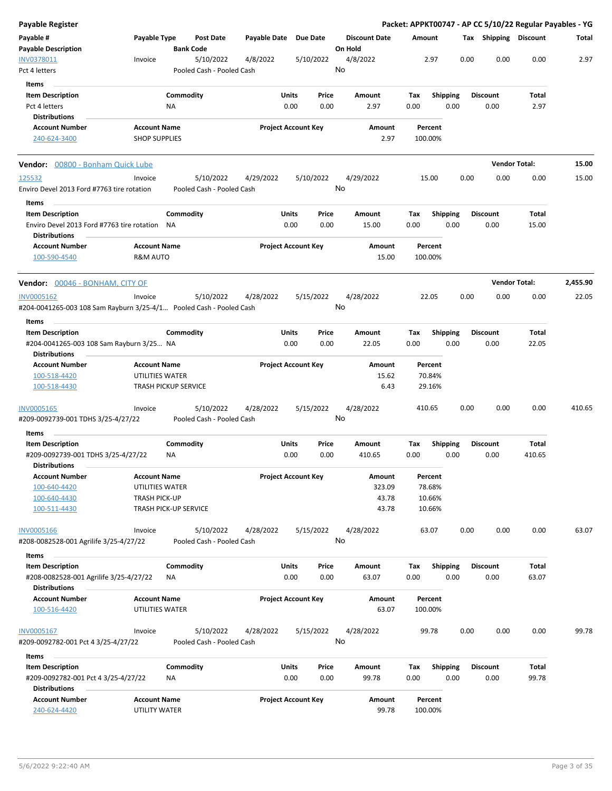| Payable Register                                                                              |                                      |                             |                                        |                       |                            |               |                                 |                    |                         |      |                         | Packet: APPKT00747 - AP CC 5/10/22 Regular Payables - YG |          |
|-----------------------------------------------------------------------------------------------|--------------------------------------|-----------------------------|----------------------------------------|-----------------------|----------------------------|---------------|---------------------------------|--------------------|-------------------------|------|-------------------------|----------------------------------------------------------|----------|
| Payable #<br><b>Payable Description</b>                                                       | Payable Type                         | <b>Bank Code</b>            | <b>Post Date</b>                       | Payable Date Due Date |                            |               | <b>Discount Date</b><br>On Hold | Amount             |                         |      | Tax Shipping Discount   |                                                          | Total    |
| INV0378011<br>Pct 4 letters                                                                   | Invoice                              |                             | 5/10/2022<br>Pooled Cash - Pooled Cash | 4/8/2022              | 5/10/2022                  |               | 4/8/2022<br>No                  | 2.97               |                         | 0.00 | 0.00                    | 0.00                                                     | 2.97     |
| Items                                                                                         |                                      |                             |                                        |                       |                            |               |                                 |                    |                         |      |                         |                                                          |          |
| <b>Item Description</b><br>Pct 4 letters                                                      |                                      | Commodity<br>ΝA             |                                        |                       | Units<br>0.00              | Price<br>0.00 | Amount<br>2.97                  | Tax<br>0.00        | <b>Shipping</b><br>0.00 |      | <b>Discount</b><br>0.00 | Total<br>2.97                                            |          |
| <b>Distributions</b><br><b>Account Number</b>                                                 | <b>Account Name</b>                  |                             |                                        |                       | <b>Project Account Key</b> |               | Amount                          | Percent            |                         |      |                         |                                                          |          |
| 240-624-3400                                                                                  | <b>SHOP SUPPLIES</b>                 |                             |                                        |                       |                            |               | 2.97                            | 100.00%            |                         |      |                         |                                                          |          |
| Vendor: 00800 - Bonham Quick Lube                                                             |                                      |                             |                                        |                       |                            |               |                                 |                    |                         |      |                         | <b>Vendor Total:</b>                                     | 15.00    |
| 125532<br>Enviro Devel 2013 Ford #7763 tire rotation                                          | Invoice                              |                             | 5/10/2022<br>Pooled Cash - Pooled Cash | 4/29/2022             | 5/10/2022                  |               | 4/29/2022<br>No                 | 15.00              |                         | 0.00 | 0.00                    | 0.00                                                     | 15.00    |
| Items                                                                                         |                                      |                             |                                        |                       |                            |               |                                 |                    |                         |      |                         |                                                          |          |
| <b>Item Description</b><br>Enviro Devel 2013 Ford #7763 tire rotation<br><b>Distributions</b> |                                      | Commodity<br>NA             |                                        |                       | Units<br>0.00              | Price<br>0.00 | Amount<br>15.00                 | Tax<br>0.00        | <b>Shipping</b><br>0.00 |      | <b>Discount</b><br>0.00 | Total<br>15.00                                           |          |
| <b>Account Number</b><br>100-590-4540                                                         | <b>Account Name</b><br>R&M AUTO      |                             |                                        |                       | <b>Project Account Key</b> |               | Amount<br>15.00                 | Percent<br>100.00% |                         |      |                         |                                                          |          |
| <b>Vendor:</b> 00046 - BONHAM, CITY OF                                                        |                                      |                             |                                        |                       |                            |               |                                 |                    |                         |      |                         | <b>Vendor Total:</b>                                     | 2,455.90 |
| <b>INV0005162</b><br>#204-0041265-003 108 Sam Rayburn 3/25-4/1 Pooled Cash - Pooled Cash      | Invoice                              |                             | 5/10/2022                              | 4/28/2022             | 5/15/2022                  |               | 4/28/2022<br>No                 | 22.05              |                         | 0.00 | 0.00                    | 0.00                                                     | 22.05    |
| <b>Items</b>                                                                                  |                                      |                             |                                        |                       |                            |               |                                 |                    |                         |      |                         |                                                          |          |
| <b>Item Description</b><br>#204-0041265-003 108 Sam Rayburn 3/25 NA<br><b>Distributions</b>   |                                      | Commodity                   |                                        |                       | Units<br>0.00              | Price<br>0.00 | Amount<br>22.05                 | Tax<br>0.00        | <b>Shipping</b><br>0.00 |      | <b>Discount</b><br>0.00 | Total<br>22.05                                           |          |
| <b>Account Number</b>                                                                         | <b>Account Name</b>                  |                             |                                        |                       | <b>Project Account Key</b> |               | Amount                          | Percent            |                         |      |                         |                                                          |          |
| 100-518-4420                                                                                  | UTILITIES WATER                      |                             |                                        |                       |                            |               | 15.62                           | 70.84%             |                         |      |                         |                                                          |          |
| 100-518-4430                                                                                  |                                      | <b>TRASH PICKUP SERVICE</b> |                                        |                       |                            |               | 6.43                            | 29.16%             |                         |      |                         |                                                          |          |
| INV0005165<br>#209-0092739-001 TDHS 3/25-4/27/22                                              | Invoice                              |                             | 5/10/2022<br>Pooled Cash - Pooled Cash | 4/28/2022             | 5/15/2022                  |               | 4/28/2022<br>No                 | 410.65             |                         | 0.00 | 0.00                    | 0.00                                                     | 410.65   |
| Items                                                                                         |                                      |                             |                                        |                       |                            |               |                                 |                    |                         |      |                         |                                                          |          |
| <b>Item Description</b><br>#209-0092739-001 TDHS 3/25-4/27/22<br><b>Distributions</b>         |                                      | Commodity<br>ΝA             |                                        |                       | Units<br>0.00              | Price<br>0.00 | Amount<br>410.65                | Tax<br>0.00        | <b>Shipping</b><br>0.00 |      | <b>Discount</b><br>0.00 | Total<br>410.65                                          |          |
| <b>Account Number</b>                                                                         | <b>Account Name</b>                  |                             |                                        |                       | <b>Project Account Key</b> |               | Amount                          | Percent            |                         |      |                         |                                                          |          |
| 100-640-4420                                                                                  | UTILITIES WATER                      |                             |                                        |                       |                            |               | 323.09                          | 78.68%             |                         |      |                         |                                                          |          |
| 100-640-4430<br>100-511-4430                                                                  | <b>TRASH PICK-UP</b>                 | TRASH PICK-UP SERVICE       |                                        |                       |                            |               | 43.78<br>43.78                  | 10.66%<br>10.66%   |                         |      |                         |                                                          |          |
| <b>INV0005166</b><br>#208-0082528-001 Agrilife 3/25-4/27/22                                   | Invoice                              |                             | 5/10/2022<br>Pooled Cash - Pooled Cash | 4/28/2022             | 5/15/2022                  |               | 4/28/2022<br>No                 | 63.07              |                         | 0.00 | 0.00                    | 0.00                                                     | 63.07    |
| Items                                                                                         |                                      |                             |                                        |                       |                            |               |                                 |                    |                         |      |                         |                                                          |          |
| <b>Item Description</b>                                                                       |                                      | Commodity                   |                                        |                       | Units                      | Price         | Amount                          | Tax                | Shipping                |      | <b>Discount</b>         | Total                                                    |          |
| #208-0082528-001 Agrilife 3/25-4/27/22<br><b>Distributions</b>                                |                                      | ΝA                          |                                        |                       | 0.00                       | 0.00          | 63.07                           | 0.00               | 0.00                    |      | 0.00                    | 63.07                                                    |          |
| <b>Account Number</b><br>100-516-4420                                                         | <b>Account Name</b>                  |                             |                                        |                       | <b>Project Account Key</b> |               | Amount<br>63.07                 | Percent<br>100.00% |                         |      |                         |                                                          |          |
|                                                                                               | UTILITIES WATER                      |                             |                                        |                       |                            |               |                                 |                    |                         |      |                         |                                                          |          |
| <b>INV0005167</b><br>#209-0092782-001 Pct 4 3/25-4/27/22                                      | Invoice                              |                             | 5/10/2022<br>Pooled Cash - Pooled Cash | 4/28/2022             | 5/15/2022                  |               | 4/28/2022<br>No                 | 99.78              |                         | 0.00 | 0.00                    | 0.00                                                     | 99.78    |
| Items                                                                                         |                                      |                             |                                        |                       |                            |               |                                 |                    |                         |      |                         |                                                          |          |
| <b>Item Description</b>                                                                       |                                      | Commodity                   |                                        |                       | Units                      | Price         | Amount                          | Tax                | <b>Shipping</b>         |      | <b>Discount</b>         | Total                                                    |          |
| #209-0092782-001 Pct 4 3/25-4/27/22<br><b>Distributions</b>                                   |                                      | NA                          |                                        |                       | 0.00                       | 0.00          | 99.78                           | 0.00               | 0.00                    |      | 0.00                    | 99.78                                                    |          |
| <b>Account Number</b><br>240-624-4420                                                         | <b>Account Name</b><br>UTILITY WATER |                             |                                        |                       | <b>Project Account Key</b> |               | Amount<br>99.78                 | Percent<br>100.00% |                         |      |                         |                                                          |          |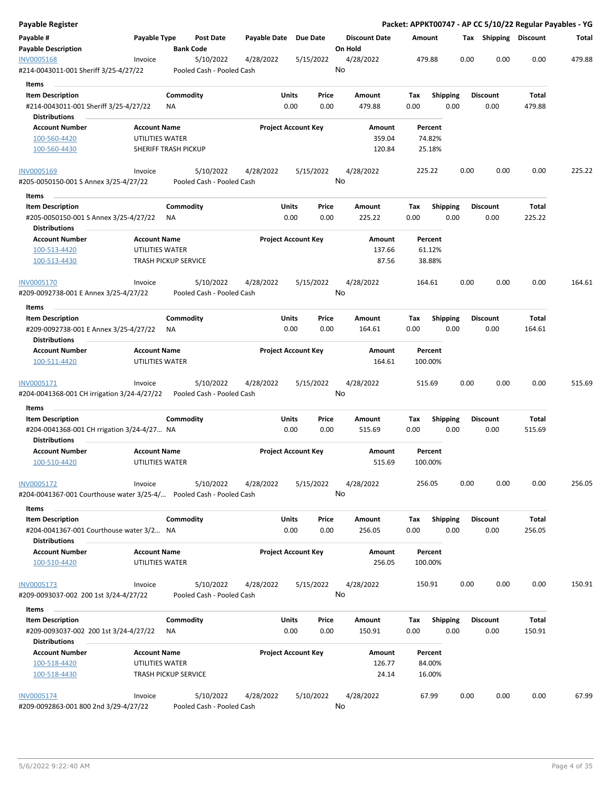| <b>Payable Register</b>                                                                            |                             |                  |                                        |                       |       |                            |       |                                 |        |                 |      |      |                       |        | Packet: APPKT00747 - AP CC 5/10/22 Regular Payables - YG |
|----------------------------------------------------------------------------------------------------|-----------------------------|------------------|----------------------------------------|-----------------------|-------|----------------------------|-------|---------------------------------|--------|-----------------|------|------|-----------------------|--------|----------------------------------------------------------|
| Payable #<br><b>Payable Description</b>                                                            | Payable Type                | <b>Bank Code</b> | Post Date                              | Payable Date Due Date |       |                            |       | <b>Discount Date</b><br>On Hold | Amount |                 |      |      | Tax Shipping Discount |        | Total                                                    |
| INV0005168<br>#214-0043011-001 Sheriff 3/25-4/27/22                                                | Invoice                     |                  | 5/10/2022<br>Pooled Cash - Pooled Cash | 4/28/2022             |       | 5/15/2022                  |       | 4/28/2022<br>No                 | 479.88 |                 |      | 0.00 | 0.00                  | 0.00   | 479.88                                                   |
| Items                                                                                              |                             |                  |                                        |                       |       |                            |       |                                 |        |                 |      |      |                       |        |                                                          |
| <b>Item Description</b>                                                                            |                             | Commodity        |                                        |                       | Units |                            | Price | Amount                          | Tax    | <b>Shipping</b> |      |      | <b>Discount</b>       | Total  |                                                          |
| #214-0043011-001 Sheriff 3/25-4/27/22                                                              |                             | ΝA               |                                        |                       | 0.00  |                            | 0.00  | 479.88                          | 0.00   |                 | 0.00 |      | 0.00                  | 479.88 |                                                          |
| <b>Distributions</b>                                                                               |                             |                  |                                        |                       |       |                            |       |                                 |        |                 |      |      |                       |        |                                                          |
| <b>Account Number</b>                                                                              | <b>Account Name</b>         |                  |                                        |                       |       | <b>Project Account Key</b> |       | <b>Amount</b>                   |        | Percent         |      |      |                       |        |                                                          |
| 100-560-4420                                                                                       | UTILITIES WATER             |                  |                                        |                       |       |                            |       | 359.04                          |        | 74.82%          |      |      |                       |        |                                                          |
| 100-560-4430                                                                                       | SHERIFF TRASH PICKUP        |                  |                                        |                       |       |                            |       | 120.84                          |        | 25.18%          |      |      |                       |        |                                                          |
| <b>INV0005169</b>                                                                                  | Invoice                     |                  | 5/10/2022                              | 4/28/2022             |       | 5/15/2022                  |       | 4/28/2022                       | 225.22 |                 |      | 0.00 | 0.00                  | 0.00   | 225.22                                                   |
| #205-0050150-001 S Annex 3/25-4/27/22                                                              |                             |                  | Pooled Cash - Pooled Cash              |                       |       |                            |       | No                              |        |                 |      |      |                       |        |                                                          |
| Items                                                                                              |                             |                  |                                        |                       |       |                            |       |                                 |        |                 |      |      |                       |        |                                                          |
| <b>Item Description</b>                                                                            |                             | Commodity        |                                        |                       | Units |                            | Price | Amount                          | Tax    | <b>Shipping</b> |      |      | <b>Discount</b>       | Total  |                                                          |
| #205-0050150-001 S Annex 3/25-4/27/22<br><b>Distributions</b>                                      |                             | ΝA               |                                        |                       | 0.00  |                            | 0.00  | 225.22                          | 0.00   |                 | 0.00 |      | 0.00                  | 225.22 |                                                          |
| <b>Account Number</b>                                                                              | <b>Account Name</b>         |                  |                                        |                       |       | <b>Project Account Key</b> |       | Amount                          |        | Percent         |      |      |                       |        |                                                          |
| 100-513-4420                                                                                       | UTILITIES WATER             |                  |                                        |                       |       |                            |       | 137.66                          |        | 61.12%          |      |      |                       |        |                                                          |
| 100-513-4430                                                                                       | <b>TRASH PICKUP SERVICE</b> |                  |                                        |                       |       |                            |       | 87.56                           |        | 38.88%          |      |      |                       |        |                                                          |
| INV0005170                                                                                         | Invoice                     |                  | 5/10/2022                              | 4/28/2022             |       | 5/15/2022                  |       | 4/28/2022                       | 164.61 |                 |      | 0.00 | 0.00                  | 0.00   | 164.61                                                   |
| #209-0092738-001 E Annex 3/25-4/27/22                                                              |                             |                  | Pooled Cash - Pooled Cash              |                       |       |                            |       | No                              |        |                 |      |      |                       |        |                                                          |
| Items                                                                                              |                             |                  |                                        |                       |       |                            |       |                                 |        |                 |      |      |                       |        |                                                          |
| <b>Item Description</b>                                                                            |                             | Commodity        |                                        |                       | Units |                            | Price | Amount                          | Tax    | <b>Shipping</b> |      |      | <b>Discount</b>       | Total  |                                                          |
| #209-0092738-001 E Annex 3/25-4/27/22<br><b>Distributions</b>                                      |                             | ΝA               |                                        |                       | 0.00  |                            | 0.00  | 164.61                          | 0.00   |                 | 0.00 |      | 0.00                  | 164.61 |                                                          |
| <b>Account Number</b>                                                                              | <b>Account Name</b>         |                  |                                        |                       |       | <b>Project Account Key</b> |       | Amount                          |        | Percent         |      |      |                       |        |                                                          |
| 100-511-4420                                                                                       | UTILITIES WATER             |                  |                                        |                       |       |                            |       | 164.61                          |        | 100.00%         |      |      |                       |        |                                                          |
| INV0005171                                                                                         | Invoice                     |                  | 5/10/2022                              | 4/28/2022             |       | 5/15/2022                  |       | 4/28/2022                       | 515.69 |                 |      | 0.00 | 0.00                  | 0.00   | 515.69                                                   |
| #204-0041368-001 CH irrigation 3/24-4/27/22                                                        |                             |                  | Pooled Cash - Pooled Cash              |                       |       |                            |       | No                              |        |                 |      |      |                       |        |                                                          |
| Items                                                                                              |                             |                  |                                        |                       |       |                            |       |                                 |        |                 |      |      |                       |        |                                                          |
| <b>Item Description</b>                                                                            |                             | Commodity        |                                        |                       | Units |                            | Price | Amount                          | Tax    | <b>Shipping</b> |      |      | Discount              | Total  |                                                          |
| #204-0041368-001 CH rrigation 3/24-4/27 NA<br><b>Distributions</b>                                 |                             |                  |                                        |                       | 0.00  |                            | 0.00  | 515.69                          | 0.00   |                 | 0.00 |      | 0.00                  | 515.69 |                                                          |
| <b>Account Number</b>                                                                              | <b>Account Name</b>         |                  |                                        |                       |       | <b>Project Account Key</b> |       | Amount                          |        | Percent         |      |      |                       |        |                                                          |
| 100-510-4420                                                                                       | UTILITIES WATER             |                  |                                        |                       |       |                            |       | 515.69                          |        | 100.00%         |      |      |                       |        |                                                          |
| <b>INV0005172</b>                                                                                  | Invoice                     |                  | 5/10/2022                              | 4/28/2022             |       | 5/15/2022                  |       | 4/28/2022                       | 256.05 |                 |      | 0.00 | 0.00                  | 0.00   | 256.05                                                   |
| #204-0041367-001 Courthouse water 3/25-4/                                Pooled Cash - Pooled Cash |                             |                  |                                        |                       |       |                            |       | No                              |        |                 |      |      |                       |        |                                                          |
| Items                                                                                              |                             |                  |                                        |                       |       |                            |       |                                 |        |                 |      |      |                       |        |                                                          |
| <b>Item Description</b>                                                                            |                             | Commodity        |                                        |                       | Units |                            | Price | Amount                          | Tax    | <b>Shipping</b> |      |      | <b>Discount</b>       | Total  |                                                          |
| #204-0041367-001 Courthouse water 3/2 NA<br><b>Distributions</b>                                   |                             |                  |                                        |                       | 0.00  |                            | 0.00  | 256.05                          | 0.00   |                 | 0.00 |      | 0.00                  | 256.05 |                                                          |
| <b>Account Number</b>                                                                              | <b>Account Name</b>         |                  |                                        |                       |       | <b>Project Account Key</b> |       | Amount                          |        | Percent         |      |      |                       |        |                                                          |
| 100-510-4420                                                                                       | UTILITIES WATER             |                  |                                        |                       |       |                            |       | 256.05                          |        | 100.00%         |      |      |                       |        |                                                          |
| INV0005173                                                                                         | Invoice                     |                  | 5/10/2022                              | 4/28/2022             |       | 5/15/2022                  |       | 4/28/2022                       | 150.91 |                 |      | 0.00 | 0.00                  | 0.00   | 150.91                                                   |
| #209-0093037-002 200 1st 3/24-4/27/22                                                              |                             |                  | Pooled Cash - Pooled Cash              |                       |       |                            |       | No                              |        |                 |      |      |                       |        |                                                          |
| Items                                                                                              |                             |                  |                                        |                       |       |                            |       |                                 |        |                 |      |      |                       |        |                                                          |
| <b>Item Description</b>                                                                            |                             | Commodity        |                                        |                       | Units |                            | Price | Amount                          | Tax    | <b>Shipping</b> |      |      | <b>Discount</b>       | Total  |                                                          |
| #209-0093037-002 200 1st 3/24-4/27/22                                                              |                             | ΝA               |                                        |                       | 0.00  |                            | 0.00  | 150.91                          | 0.00   |                 | 0.00 |      | 0.00                  | 150.91 |                                                          |
| <b>Distributions</b>                                                                               |                             |                  |                                        |                       |       |                            |       |                                 |        |                 |      |      |                       |        |                                                          |
| <b>Account Number</b>                                                                              | <b>Account Name</b>         |                  |                                        |                       |       | <b>Project Account Key</b> |       | Amount                          |        | Percent         |      |      |                       |        |                                                          |
| 100-518-4420                                                                                       | UTILITIES WATER             |                  |                                        |                       |       |                            |       | 126.77                          |        | 84.00%          |      |      |                       |        |                                                          |
| 100-518-4430                                                                                       | <b>TRASH PICKUP SERVICE</b> |                  |                                        |                       |       |                            |       | 24.14                           |        | 16.00%          |      |      |                       |        |                                                          |
| INV0005174                                                                                         | Invoice                     |                  | 5/10/2022                              | 4/28/2022             |       | 5/10/2022                  |       | 4/28/2022                       |        | 67.99           |      | 0.00 | 0.00                  | 0.00   | 67.99                                                    |
| #209-0092863-001 800 2nd 3/29-4/27/22                                                              |                             |                  | Pooled Cash - Pooled Cash              |                       |       |                            |       | No                              |        |                 |      |      |                       |        |                                                          |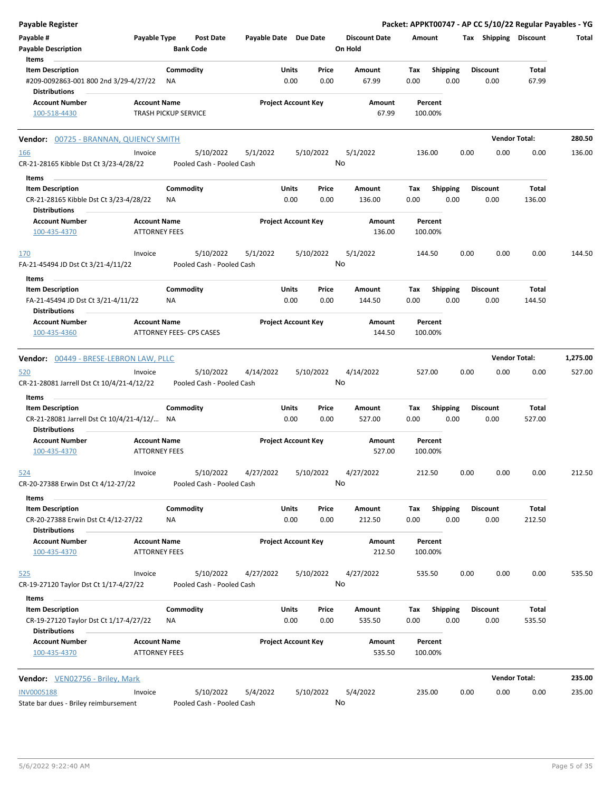| Payable Register                                                 |                                                    |                 |                                 |                            |               |               |                                 |             |                         |      |                         | Packet: APPKT00747 - AP CC 5/10/22 Regular Payables - YG |          |
|------------------------------------------------------------------|----------------------------------------------------|-----------------|---------------------------------|----------------------------|---------------|---------------|---------------------------------|-------------|-------------------------|------|-------------------------|----------------------------------------------------------|----------|
| Payable #<br><b>Payable Description</b>                          | Payable Type                                       |                 | Post Date<br><b>Bank Code</b>   | Payable Date Due Date      |               |               | <b>Discount Date</b><br>On Hold | Amount      |                         |      | Tax Shipping Discount   |                                                          | Total    |
| Items                                                            |                                                    |                 |                                 |                            |               |               |                                 |             |                         |      |                         |                                                          |          |
| <b>Item Description</b><br>#209-0092863-001 800 2nd 3/29-4/27/22 |                                                    | Commodity<br>ΝA |                                 |                            | Units<br>0.00 | Price<br>0.00 | Amount<br>67.99                 | Tax<br>0.00 | <b>Shipping</b><br>0.00 |      | <b>Discount</b><br>0.00 | Total<br>67.99                                           |          |
| <b>Distributions</b>                                             |                                                    |                 |                                 |                            |               |               |                                 |             |                         |      |                         |                                                          |          |
| <b>Account Number</b><br>100-518-4430                            | <b>Account Name</b><br><b>TRASH PICKUP SERVICE</b> |                 |                                 | <b>Project Account Key</b> |               |               | Amount<br>67.99                 |             | Percent<br>100.00%      |      |                         |                                                          |          |
| Vendor: 00725 - BRANNAN, QUIENCY SMITH                           |                                                    |                 |                                 |                            |               |               |                                 |             |                         |      |                         | <b>Vendor Total:</b>                                     | 280.50   |
| <u>166</u>                                                       | Invoice                                            |                 | 5/10/2022                       | 5/1/2022                   |               | 5/10/2022     | 5/1/2022                        |             | 136.00                  | 0.00 | 0.00                    | 0.00                                                     | 136.00   |
| CR-21-28165 Kibble Dst Ct 3/23-4/28/22                           |                                                    |                 | Pooled Cash - Pooled Cash       |                            |               |               | No                              |             |                         |      |                         |                                                          |          |
| Items                                                            |                                                    |                 |                                 |                            |               |               |                                 |             |                         |      |                         |                                                          |          |
| <b>Item Description</b>                                          |                                                    | Commodity       |                                 |                            | Units         | Price         | Amount                          | Tax         | <b>Shipping</b>         |      | <b>Discount</b>         | Total                                                    |          |
| CR-21-28165 Kibble Dst Ct 3/23-4/28/22<br><b>Distributions</b>   |                                                    | <b>NA</b>       |                                 |                            | 0.00          | 0.00          | 136.00                          | 0.00        | 0.00                    |      | 0.00                    | 136.00                                                   |          |
| <b>Account Number</b><br>100-435-4370                            | <b>Account Name</b><br><b>ATTORNEY FEES</b>        |                 |                                 | <b>Project Account Key</b> |               |               | Amount<br>136.00                |             | Percent<br>100.00%      |      |                         |                                                          |          |
| <u>170</u>                                                       | Invoice                                            |                 | 5/10/2022                       | 5/1/2022                   |               | 5/10/2022     | 5/1/2022                        |             | 144.50                  | 0.00 | 0.00                    | 0.00                                                     | 144.50   |
| FA-21-45494 JD Dst Ct 3/21-4/11/22                               |                                                    |                 | Pooled Cash - Pooled Cash       |                            |               |               | No                              |             |                         |      |                         |                                                          |          |
| Items<br><b>Item Description</b>                                 |                                                    | Commodity       |                                 |                            | Units         | Price         | Amount                          | Tax         | <b>Shipping</b>         |      | <b>Discount</b>         | Total                                                    |          |
| FA-21-45494 JD Dst Ct 3/21-4/11/22<br><b>Distributions</b>       |                                                    | ΝA              |                                 |                            | 0.00          | 0.00          | 144.50                          | 0.00        | 0.00                    |      | 0.00                    | 144.50                                                   |          |
| <b>Account Number</b>                                            | <b>Account Name</b>                                |                 |                                 | <b>Project Account Key</b> |               |               | Amount                          |             | Percent                 |      |                         |                                                          |          |
| 100-435-4360                                                     |                                                    |                 | <b>ATTORNEY FEES- CPS CASES</b> |                            |               |               | 144.50                          |             | 100.00%                 |      |                         |                                                          |          |
| Vendor: 00449 - BRESE-LEBRON LAW, PLLC                           |                                                    |                 |                                 |                            |               |               |                                 |             |                         |      |                         | <b>Vendor Total:</b>                                     | 1,275.00 |
| 520                                                              | Invoice                                            |                 | 5/10/2022                       | 4/14/2022                  |               | 5/10/2022     | 4/14/2022                       |             | 527.00                  | 0.00 | 0.00                    | 0.00                                                     | 527.00   |
| CR-21-28081 Jarrell Dst Ct 10/4/21-4/12/22                       |                                                    |                 | Pooled Cash - Pooled Cash       |                            |               |               | No                              |             |                         |      |                         |                                                          |          |
| Items                                                            |                                                    |                 |                                 |                            |               |               |                                 |             |                         |      |                         |                                                          |          |
| <b>Item Description</b>                                          |                                                    | Commodity       |                                 |                            | Units         | Price         | Amount                          | Tax         | <b>Shipping</b>         |      | <b>Discount</b>         | Total                                                    |          |
| CR-21-28081 Jarrell Dst Ct 10/4/21-4/12/ NA                      |                                                    |                 |                                 |                            | 0.00          | 0.00          | 527.00                          | 0.00        | 0.00                    |      | 0.00                    | 527.00                                                   |          |
| <b>Distributions</b><br><b>Account Number</b>                    | <b>Account Name</b>                                |                 |                                 | <b>Project Account Key</b> |               |               | Amount                          |             | Percent                 |      |                         |                                                          |          |
| 100-435-4370                                                     | <b>ATTORNEY FEES</b>                               |                 |                                 |                            |               |               | 527.00                          |             | 100.00%                 |      |                         |                                                          |          |
| <u>524</u>                                                       | Invoice                                            |                 | 5/10/2022                       | 4/27/2022                  |               | 5/10/2022     | 4/27/2022                       |             | 212.50                  | 0.00 | 0.00                    | 0.00                                                     | 212.50   |
| CR-20-27388 Erwin Dst Ct 4/12-27/22                              |                                                    |                 | Pooled Cash - Pooled Cash       |                            |               |               | No                              |             |                         |      |                         |                                                          |          |
| Items                                                            |                                                    |                 |                                 |                            |               |               |                                 |             |                         |      |                         |                                                          |          |
| <b>Item Description</b>                                          |                                                    | Commodity       |                                 |                            | Units         | Price         | Amount                          | Tax         | <b>Shipping</b>         |      | <b>Discount</b>         | Total                                                    |          |
| CR-20-27388 Erwin Dst Ct 4/12-27/22<br><b>Distributions</b>      |                                                    | ΝA              |                                 |                            | 0.00          | 0.00          | 212.50                          | 0.00        | 0.00                    |      | 0.00                    | 212.50                                                   |          |
| <b>Account Number</b>                                            | <b>Account Name</b>                                |                 |                                 | <b>Project Account Key</b> |               |               | Amount                          |             | Percent                 |      |                         |                                                          |          |
| 100-435-4370                                                     | <b>ATTORNEY FEES</b>                               |                 |                                 |                            |               |               | 212.50                          |             | 100.00%                 |      |                         |                                                          |          |
| 525                                                              | Invoice                                            |                 | 5/10/2022                       | 4/27/2022                  |               | 5/10/2022     | 4/27/2022                       |             | 535.50                  | 0.00 | 0.00                    | 0.00                                                     | 535.50   |
| CR-19-27120 Taylor Dst Ct 1/17-4/27/22                           |                                                    |                 | Pooled Cash - Pooled Cash       |                            |               |               | No                              |             |                         |      |                         |                                                          |          |
| Items<br><b>Item Description</b>                                 |                                                    | Commodity       |                                 |                            | Units         | Price         | Amount                          | Tax         | Shipping                |      | <b>Discount</b>         | Total                                                    |          |
| CR-19-27120 Taylor Dst Ct 1/17-4/27/22<br><b>Distributions</b>   |                                                    | NA              |                                 |                            | 0.00          | 0.00          | 535.50                          | 0.00        | 0.00                    |      | 0.00                    | 535.50                                                   |          |
| <b>Account Number</b>                                            | <b>Account Name</b>                                |                 |                                 | <b>Project Account Key</b> |               |               | Amount                          |             | Percent                 |      |                         |                                                          |          |
| 100-435-4370                                                     | <b>ATTORNEY FEES</b>                               |                 |                                 |                            |               |               | 535.50                          |             | 100.00%                 |      |                         |                                                          |          |
| Vendor: VEN02756 - Briley, Mark                                  |                                                    |                 |                                 |                            |               |               |                                 |             |                         |      |                         | <b>Vendor Total:</b>                                     | 235.00   |
| <b>INV0005188</b>                                                | Invoice                                            |                 | 5/10/2022                       | 5/4/2022                   |               | 5/10/2022     | 5/4/2022                        |             | 235.00                  | 0.00 | 0.00                    | 0.00                                                     | 235.00   |
| State bar dues - Briley reimbursement                            |                                                    |                 | Pooled Cash - Pooled Cash       |                            |               |               | No                              |             |                         |      |                         |                                                          |          |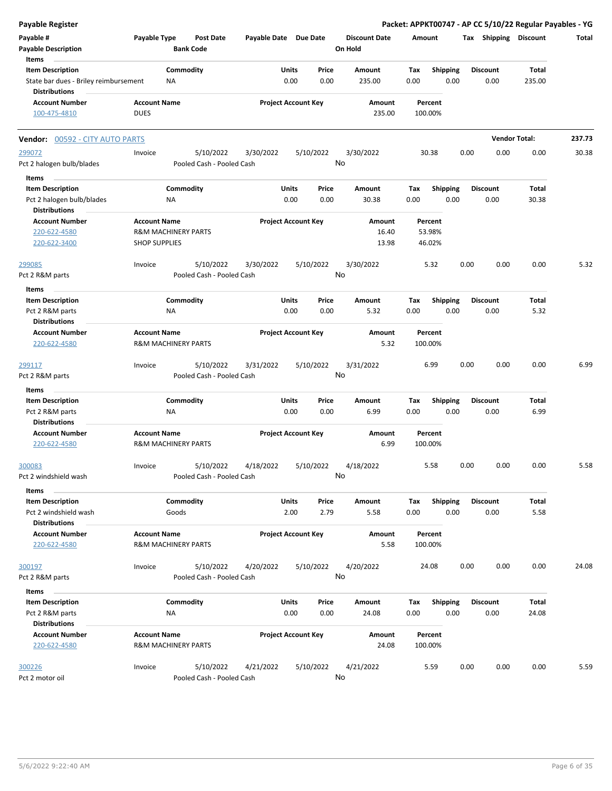| <b>Payable Register</b>                                          |                                                       |                  |                                        |                       |                            |                 |                                 |             |                         |      |                         |                      | Packet: APPKT00747 - AP CC 5/10/22 Regular Payables - YG |
|------------------------------------------------------------------|-------------------------------------------------------|------------------|----------------------------------------|-----------------------|----------------------------|-----------------|---------------------------------|-------------|-------------------------|------|-------------------------|----------------------|----------------------------------------------------------|
| Payable #<br><b>Payable Description</b>                          | Payable Type                                          | <b>Bank Code</b> | <b>Post Date</b>                       | Payable Date Due Date |                            |                 | <b>Discount Date</b><br>On Hold | Amount      |                         |      | Tax Shipping Discount   |                      | Total                                                    |
| Items                                                            |                                                       |                  |                                        |                       |                            |                 |                                 |             |                         |      |                         |                      |                                                          |
| <b>Item Description</b><br>State bar dues - Briley reimbursement |                                                       | Commodity<br>ΝA  |                                        |                       | Units<br>0.00              | Price<br>0.00   | Amount<br>235.00                | Tax<br>0.00 | <b>Shipping</b><br>0.00 |      | <b>Discount</b><br>0.00 | Total<br>235.00      |                                                          |
| <b>Distributions</b>                                             |                                                       |                  |                                        |                       |                            |                 |                                 |             |                         |      |                         |                      |                                                          |
| <b>Account Number</b>                                            | <b>Account Name</b>                                   |                  |                                        |                       | <b>Project Account Key</b> |                 | Amount                          |             | Percent                 |      |                         |                      |                                                          |
| 100-475-4810                                                     | <b>DUES</b>                                           |                  |                                        |                       |                            |                 | 235.00                          |             | 100.00%                 |      |                         |                      |                                                          |
| Vendor: 00592 - CITY AUTO PARTS                                  |                                                       |                  |                                        |                       |                            |                 |                                 |             |                         |      |                         | <b>Vendor Total:</b> | 237.73                                                   |
| 299072                                                           | Invoice                                               |                  | 5/10/2022                              | 3/30/2022             |                            | 5/10/2022       | 3/30/2022                       |             | 30.38                   | 0.00 | 0.00                    | 0.00                 | 30.38                                                    |
| Pct 2 halogen bulb/blades                                        |                                                       |                  | Pooled Cash - Pooled Cash              |                       |                            | No              |                                 |             |                         |      |                         |                      |                                                          |
| Items                                                            |                                                       |                  |                                        |                       |                            |                 |                                 |             |                         |      |                         |                      |                                                          |
| <b>Item Description</b>                                          |                                                       | Commodity        |                                        |                       | Units                      | Price           | Amount                          | Tax         | Shipping                |      | <b>Discount</b>         | Total                |                                                          |
| Pct 2 halogen bulb/blades                                        |                                                       | ΝA               |                                        |                       | 0.00                       | 0.00            | 30.38                           | 0.00        | 0.00                    |      | 0.00                    | 30.38                |                                                          |
| <b>Distributions</b>                                             |                                                       |                  |                                        |                       |                            |                 |                                 |             |                         |      |                         |                      |                                                          |
| <b>Account Number</b>                                            | <b>Account Name</b>                                   |                  |                                        |                       | <b>Project Account Key</b> |                 | Amount                          |             | Percent                 |      |                         |                      |                                                          |
| 220-622-4580                                                     | <b>R&amp;M MACHINERY PARTS</b>                        |                  |                                        |                       |                            |                 | 16.40                           |             | 53.98%                  |      |                         |                      |                                                          |
| 220-622-3400                                                     | <b>SHOP SUPPLIES</b>                                  |                  |                                        |                       |                            |                 | 13.98                           |             | 46.02%                  |      |                         |                      |                                                          |
|                                                                  |                                                       |                  |                                        |                       |                            |                 |                                 |             |                         |      |                         |                      |                                                          |
| 299085<br>Pct 2 R&M parts                                        | Invoice                                               |                  | 5/10/2022<br>Pooled Cash - Pooled Cash | 3/30/2022             |                            | 5/10/2022<br>No | 3/30/2022                       |             | 5.32                    | 0.00 | 0.00                    | 0.00                 | 5.32                                                     |
|                                                                  |                                                       |                  |                                        |                       |                            |                 |                                 |             |                         |      |                         |                      |                                                          |
| Items                                                            |                                                       |                  |                                        |                       |                            |                 |                                 |             |                         |      |                         |                      |                                                          |
| <b>Item Description</b>                                          |                                                       | Commodity        |                                        |                       | Units<br>0.00              | Price<br>0.00   | Amount                          | Tax         | <b>Shipping</b><br>0.00 |      | <b>Discount</b>         | Total                |                                                          |
| Pct 2 R&M parts<br><b>Distributions</b>                          |                                                       | NA               |                                        |                       |                            |                 | 5.32                            | 0.00        |                         |      | 0.00                    | 5.32                 |                                                          |
| <b>Account Number</b>                                            | <b>Account Name</b>                                   |                  |                                        |                       | <b>Project Account Key</b> |                 | Amount                          |             | Percent                 |      |                         |                      |                                                          |
| 220-622-4580                                                     | <b>R&amp;M MACHINERY PARTS</b>                        |                  |                                        |                       |                            |                 | 5.32                            |             | 100.00%                 |      |                         |                      |                                                          |
| 299117                                                           | Invoice                                               |                  | 5/10/2022                              | 3/31/2022             |                            | 5/10/2022       | 3/31/2022                       |             | 6.99                    | 0.00 | 0.00                    | 0.00                 | 6.99                                                     |
| Pct 2 R&M parts                                                  |                                                       |                  | Pooled Cash - Pooled Cash              |                       |                            | No              |                                 |             |                         |      |                         |                      |                                                          |
| Items                                                            |                                                       |                  |                                        |                       |                            |                 |                                 |             |                         |      |                         |                      |                                                          |
| <b>Item Description</b>                                          |                                                       | Commodity        |                                        |                       | Units                      | Price           | Amount                          | Tax         | <b>Shipping</b>         |      | Discount                | Total                |                                                          |
| Pct 2 R&M parts                                                  |                                                       | NA               |                                        |                       | 0.00                       | 0.00            | 6.99                            | 0.00        | 0.00                    |      | 0.00                    | 6.99                 |                                                          |
| <b>Distributions</b><br><b>Account Number</b>                    | <b>Account Name</b>                                   |                  |                                        |                       | <b>Project Account Key</b> |                 | Amount                          |             | Percent                 |      |                         |                      |                                                          |
| 220-622-4580                                                     | <b>R&amp;M MACHINERY PARTS</b>                        |                  |                                        |                       |                            |                 | 6.99                            |             | 100.00%                 |      |                         |                      |                                                          |
| 300083                                                           | Invoice                                               |                  | 5/10/2022                              | 4/18/2022             |                            | 5/10/2022       | 4/18/2022                       |             | 5.58                    | 0.00 | 0.00                    | 0.00                 | 5.58                                                     |
| Pct 2 windshield wash                                            |                                                       |                  | Pooled Cash - Pooled Cash              |                       |                            | No              |                                 |             |                         |      |                         |                      |                                                          |
| Items                                                            |                                                       |                  |                                        |                       |                            |                 |                                 |             |                         |      |                         |                      |                                                          |
| <b>Item Description</b>                                          |                                                       | Commodity        |                                        |                       | Units                      | Price           | Amount                          | Tax         | <b>Shipping</b>         |      | <b>Discount</b>         | Total                |                                                          |
| Pct 2 windshield wash                                            |                                                       | Goods            |                                        |                       | 2.00                       | 2.79            | 5.58                            | 0.00        | 0.00                    |      | 0.00                    | 5.58                 |                                                          |
| <b>Distributions</b>                                             |                                                       |                  |                                        |                       |                            |                 |                                 |             |                         |      |                         |                      |                                                          |
| <b>Account Number</b><br>220-622-4580                            | <b>Account Name</b><br><b>R&amp;M MACHINERY PARTS</b> |                  |                                        |                       | <b>Project Account Key</b> |                 | Amount<br>5.58                  |             | Percent<br>100.00%      |      |                         |                      |                                                          |
| 300197                                                           | Invoice                                               |                  | 5/10/2022                              | 4/20/2022             |                            | 5/10/2022       | 4/20/2022                       |             | 24.08                   | 0.00 | 0.00                    | 0.00                 | 24.08                                                    |
| Pct 2 R&M parts                                                  |                                                       |                  | Pooled Cash - Pooled Cash              |                       |                            | No              |                                 |             |                         |      |                         |                      |                                                          |
| Items                                                            |                                                       |                  |                                        |                       |                            |                 |                                 |             |                         |      |                         |                      |                                                          |
| <b>Item Description</b>                                          |                                                       | Commodity        |                                        |                       | Units                      | Price           | Amount                          | Tax         | <b>Shipping</b>         |      | Discount                | Total                |                                                          |
| Pct 2 R&M parts                                                  |                                                       | ΝA               |                                        |                       | 0.00                       | 0.00            | 24.08                           | 0.00        | 0.00                    |      | 0.00                    | 24.08                |                                                          |
| <b>Distributions</b>                                             |                                                       |                  |                                        |                       |                            |                 |                                 |             |                         |      |                         |                      |                                                          |
| <b>Account Number</b>                                            | <b>Account Name</b>                                   |                  |                                        |                       | <b>Project Account Key</b> |                 | Amount                          |             | Percent                 |      |                         |                      |                                                          |
| 220-622-4580                                                     | <b>R&amp;M MACHINERY PARTS</b>                        |                  |                                        |                       |                            |                 | 24.08                           |             | 100.00%                 |      |                         |                      |                                                          |
| 300226                                                           | Invoice                                               |                  | 5/10/2022                              | 4/21/2022             |                            | 5/10/2022       | 4/21/2022                       |             | 5.59                    | 0.00 | 0.00                    | 0.00                 | 5.59                                                     |
| Pct 2 motor oil                                                  |                                                       |                  | Pooled Cash - Pooled Cash              |                       |                            | No              |                                 |             |                         |      |                         |                      |                                                          |
|                                                                  |                                                       |                  |                                        |                       |                            |                 |                                 |             |                         |      |                         |                      |                                                          |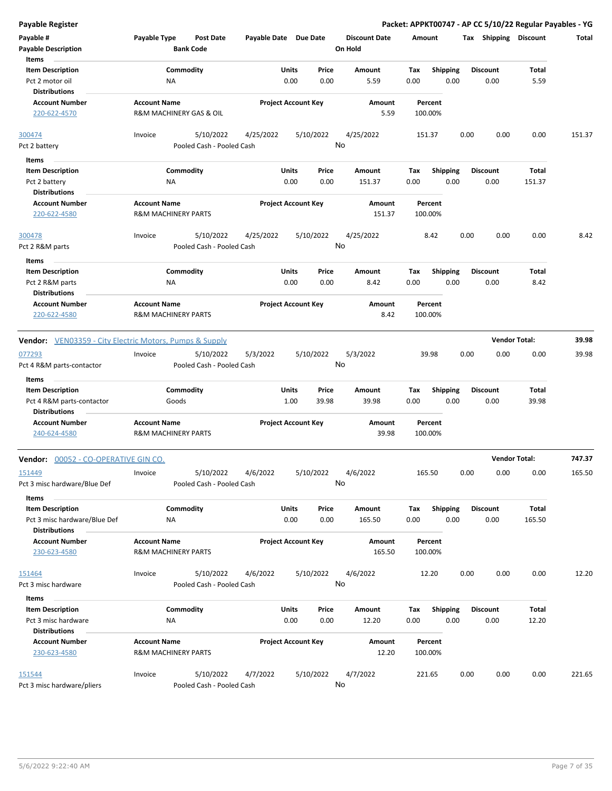| <b>Payable Register</b>                                        |                                                       |                           |                       |                            |               |                      |             |                    |      |                       | Packet: APPKT00747 - AP CC 5/10/22 Regular Payables - YG |        |
|----------------------------------------------------------------|-------------------------------------------------------|---------------------------|-----------------------|----------------------------|---------------|----------------------|-------------|--------------------|------|-----------------------|----------------------------------------------------------|--------|
| Payable #                                                      | Payable Type                                          | <b>Post Date</b>          | Payable Date Due Date |                            |               | <b>Discount Date</b> |             | Amount             |      | Tax Shipping Discount |                                                          | Total  |
| <b>Payable Description</b>                                     |                                                       | <b>Bank Code</b>          |                       |                            |               | On Hold              |             |                    |      |                       |                                                          |        |
| Items                                                          |                                                       |                           |                       |                            |               |                      |             |                    |      |                       |                                                          |        |
| <b>Item Description</b>                                        |                                                       | Commodity                 |                       | Units                      | Price         | Amount               | Tax         | Shipping           |      | <b>Discount</b>       | Total                                                    |        |
| Pct 2 motor oil                                                | NA                                                    |                           |                       | 0.00                       | 0.00          | 5.59                 | 0.00        | 0.00               |      | 0.00                  | 5.59                                                     |        |
| <b>Distributions</b>                                           |                                                       |                           |                       |                            |               |                      |             |                    |      |                       |                                                          |        |
| <b>Account Number</b><br>220-622-4570                          | <b>Account Name</b><br>R&M MACHINERY GAS & OIL        |                           |                       | <b>Project Account Key</b> |               | Amount<br>5.59       |             | Percent<br>100.00% |      |                       |                                                          |        |
| 300474                                                         | Invoice                                               | 5/10/2022                 | 4/25/2022             |                            | 5/10/2022     | 4/25/2022            |             | 151.37             | 0.00 | 0.00                  | 0.00                                                     | 151.37 |
| Pct 2 battery                                                  |                                                       | Pooled Cash - Pooled Cash |                       |                            |               | No                   |             |                    |      |                       |                                                          |        |
|                                                                |                                                       |                           |                       |                            |               |                      |             |                    |      |                       |                                                          |        |
| Items                                                          |                                                       |                           |                       |                            |               |                      |             |                    |      |                       |                                                          |        |
| <b>Item Description</b>                                        |                                                       | Commodity                 |                       | Units                      | Price         | Amount               | Tax         | <b>Shipping</b>    |      | <b>Discount</b>       | Total                                                    |        |
| Pct 2 battery                                                  | ΝA                                                    |                           |                       | 0.00                       | 0.00          | 151.37               | 0.00        | 0.00               |      | 0.00                  | 151.37                                                   |        |
| <b>Distributions</b>                                           |                                                       |                           |                       |                            |               |                      |             |                    |      |                       |                                                          |        |
| <b>Account Number</b><br>220-622-4580                          | <b>Account Name</b><br><b>R&amp;M MACHINERY PARTS</b> |                           |                       | <b>Project Account Key</b> |               | Amount<br>151.37     |             | Percent<br>100.00% |      |                       |                                                          |        |
| 300478                                                         | Invoice                                               | 5/10/2022                 | 4/25/2022             |                            | 5/10/2022     | 4/25/2022            |             | 8.42               | 0.00 | 0.00                  | 0.00                                                     | 8.42   |
| Pct 2 R&M parts                                                |                                                       | Pooled Cash - Pooled Cash |                       |                            |               | No                   |             |                    |      |                       |                                                          |        |
| Items                                                          |                                                       |                           |                       |                            |               |                      |             |                    |      |                       |                                                          |        |
| <b>Item Description</b>                                        |                                                       | Commodity                 |                       | Units                      | Price         | Amount               | Tax         | <b>Shipping</b>    |      | <b>Discount</b>       | Total                                                    |        |
| Pct 2 R&M parts                                                | ΝA                                                    |                           |                       | 0.00                       | 0.00          | 8.42                 | 0.00        | 0.00               |      | 0.00                  | 8.42                                                     |        |
| <b>Distributions</b>                                           |                                                       |                           |                       |                            |               |                      |             |                    |      |                       |                                                          |        |
| <b>Account Number</b>                                          | <b>Account Name</b>                                   |                           |                       | <b>Project Account Key</b> |               | Amount               |             | Percent            |      |                       |                                                          |        |
| 220-622-4580                                                   | <b>R&amp;M MACHINERY PARTS</b>                        |                           |                       |                            |               | 8.42                 |             | 100.00%            |      |                       |                                                          |        |
|                                                                |                                                       |                           |                       |                            |               |                      |             |                    |      |                       |                                                          |        |
| <b>Vendor:</b> VEN03359 - City Electric Motors, Pumps & Supply |                                                       |                           |                       |                            |               |                      |             |                    |      |                       | <b>Vendor Total:</b>                                     | 39.98  |
| 077293                                                         | Invoice                                               | 5/10/2022                 | 5/3/2022              |                            | 5/10/2022     | 5/3/2022             |             | 39.98              | 0.00 | 0.00                  | 0.00                                                     | 39.98  |
| Pct 4 R&M parts-contactor                                      |                                                       | Pooled Cash - Pooled Cash |                       |                            |               | No                   |             |                    |      |                       |                                                          |        |
| Items                                                          |                                                       |                           |                       |                            |               |                      |             |                    |      |                       |                                                          |        |
| <b>Item Description</b>                                        |                                                       | Commodity                 |                       | Units                      | Price         | Amount               | Tax         | <b>Shipping</b>    |      | <b>Discount</b>       | Total                                                    |        |
| Pct 4 R&M parts-contactor                                      | Goods                                                 |                           |                       | 1.00                       | 39.98         | 39.98                | 0.00        | 0.00               |      | 0.00                  | 39.98                                                    |        |
| <b>Distributions</b>                                           |                                                       |                           |                       |                            |               |                      |             |                    |      |                       |                                                          |        |
| <b>Account Number</b>                                          | <b>Account Name</b>                                   |                           |                       | <b>Project Account Key</b> |               | Amount               |             | Percent            |      |                       |                                                          |        |
| 240-624-4580                                                   | <b>R&amp;M MACHINERY PARTS</b>                        |                           |                       |                            |               | 39.98                |             | 100.00%            |      |                       |                                                          |        |
| Vendor: 00052 - CO-OPERATIVE GIN CO.                           |                                                       |                           |                       |                            |               |                      |             |                    |      |                       | <b>Vendor Total:</b>                                     | 747.37 |
| 151449                                                         | Invoice                                               | 5/10/2022                 | 4/6/2022              |                            | 5/10/2022     | 4/6/2022             |             | 165.50             | 0.00 | 0.00                  | 0.00                                                     | 165.50 |
| Pct 3 misc hardware/Blue Def                                   |                                                       | Pooled Cash - Pooled Cash |                       |                            |               | No                   |             |                    |      |                       |                                                          |        |
| Items                                                          |                                                       |                           |                       |                            |               |                      |             |                    |      |                       |                                                          |        |
| <b>Item Description</b>                                        |                                                       | Commodity                 |                       | Units                      | Price         | Amount               |             | <b>Shipping</b>    |      | <b>Discount</b>       | Total                                                    |        |
| Pct 3 misc hardware/Blue Def<br><b>Distributions</b>           | ΝA                                                    |                           |                       | 0.00                       | 0.00          | 165.50               | Tax<br>0.00 | 0.00               |      | 0.00                  | 165.50                                                   |        |
| <b>Account Number</b>                                          | <b>Account Name</b>                                   |                           |                       | <b>Project Account Key</b> |               | Amount               |             | Percent            |      |                       |                                                          |        |
| 230-623-4580                                                   | <b>R&amp;M MACHINERY PARTS</b>                        |                           |                       |                            |               | 165.50               |             | 100.00%            |      |                       |                                                          |        |
| 151464                                                         | Invoice                                               | 5/10/2022                 | 4/6/2022              |                            | 5/10/2022     | 4/6/2022             |             | 12.20              | 0.00 | 0.00                  | 0.00                                                     | 12.20  |
| Pct 3 misc hardware                                            |                                                       | Pooled Cash - Pooled Cash |                       |                            |               | No                   |             |                    |      |                       |                                                          |        |
|                                                                |                                                       |                           |                       |                            |               |                      |             |                    |      |                       |                                                          |        |
| Items                                                          |                                                       | Commodity                 |                       | Units                      |               |                      |             | Shipping           |      | <b>Discount</b>       | Total                                                    |        |
| <b>Item Description</b><br>Pct 3 misc hardware                 | NA                                                    |                           |                       | 0.00                       | Price<br>0.00 | Amount<br>12.20      | Tax<br>0.00 | 0.00               |      | 0.00                  | 12.20                                                    |        |
| <b>Distributions</b>                                           |                                                       |                           |                       |                            |               |                      |             |                    |      |                       |                                                          |        |
| <b>Account Number</b><br>230-623-4580                          | <b>Account Name</b><br>R&M MACHINERY PARTS            |                           |                       | <b>Project Account Key</b> |               | Amount<br>12.20      |             | Percent<br>100.00% |      |                       |                                                          |        |
| 151544                                                         | Invoice                                               | 5/10/2022                 | 4/7/2022              |                            | 5/10/2022     | 4/7/2022             |             | 221.65             | 0.00 | 0.00                  | 0.00                                                     | 221.65 |
| Pct 3 misc hardware/pliers                                     |                                                       | Pooled Cash - Pooled Cash |                       |                            |               | No                   |             |                    |      |                       |                                                          |        |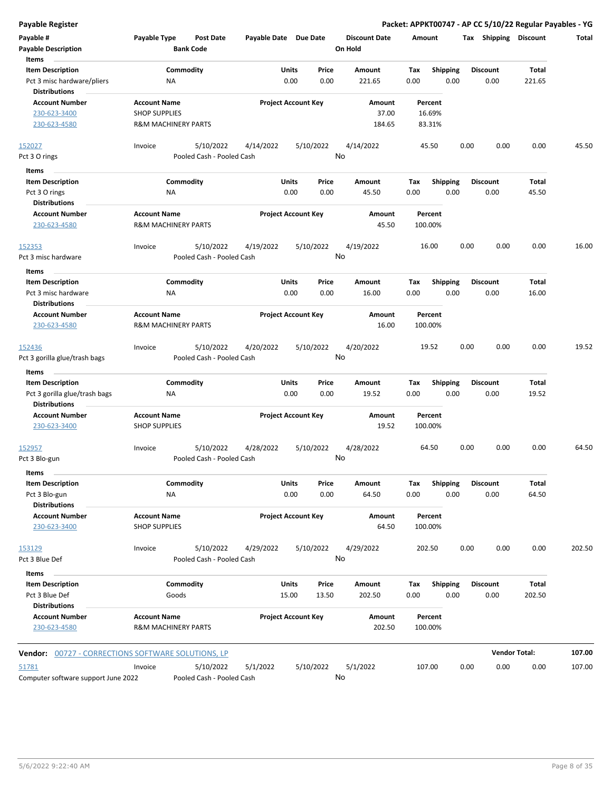| Payable #<br><b>Payable Description</b><br>Items          | Payable Type                                          | <b>Post Date</b><br><b>Bank Code</b>   | Payable Date Due Date      |               |               | <b>Discount Date</b><br>On Hold | Amount             |                         | Tax  | <b>Shipping</b>         | <b>Discount</b>      | Total  |
|-----------------------------------------------------------|-------------------------------------------------------|----------------------------------------|----------------------------|---------------|---------------|---------------------------------|--------------------|-------------------------|------|-------------------------|----------------------|--------|
| <b>Item Description</b>                                   |                                                       | Commodity                              |                            | <b>Units</b>  | Price         | Amount                          | Tax                | <b>Shipping</b>         |      | <b>Discount</b>         | <b>Total</b>         |        |
| Pct 3 misc hardware/pliers                                | ΝA                                                    |                                        |                            | 0.00          | 0.00          | 221.65                          | 0.00               | 0.00                    |      | 0.00                    | 221.65               |        |
| <b>Distributions</b>                                      |                                                       |                                        |                            |               |               |                                 |                    |                         |      |                         |                      |        |
| <b>Account Number</b><br>230-623-3400                     | <b>Account Name</b><br><b>SHOP SUPPLIES</b>           |                                        | <b>Project Account Key</b> |               |               | Amount<br>37.00                 | Percent<br>16.69%  |                         |      |                         |                      |        |
| 230-623-4580                                              | <b>R&amp;M MACHINERY PARTS</b>                        |                                        |                            |               |               | 184.65                          | 83.31%             |                         |      |                         |                      |        |
|                                                           |                                                       |                                        |                            |               |               |                                 |                    |                         |      |                         |                      |        |
| 152027                                                    | Invoice                                               | 5/10/2022                              | 4/14/2022                  |               | 5/10/2022     | 4/14/2022                       | 45.50              |                         | 0.00 | 0.00                    | 0.00                 | 45.50  |
| Pct 3 O rings                                             |                                                       | Pooled Cash - Pooled Cash              |                            |               |               | No                              |                    |                         |      |                         |                      |        |
| Items                                                     |                                                       |                                        |                            |               |               |                                 |                    |                         |      |                         |                      |        |
| <b>Item Description</b><br>Pct 3 O rings                  | NA                                                    | Commodity                              |                            | Units<br>0.00 | Price<br>0.00 | Amount<br>45.50                 | Tax<br>0.00        | <b>Shipping</b><br>0.00 |      | <b>Discount</b><br>0.00 | Total<br>45.50       |        |
| <b>Distributions</b><br><b>Account Number</b>             | <b>Account Name</b>                                   |                                        | <b>Project Account Key</b> |               |               | Amount                          | Percent            |                         |      |                         |                      |        |
| 230-623-4580                                              | <b>R&amp;M MACHINERY PARTS</b>                        |                                        |                            |               |               | 45.50                           | 100.00%            |                         |      |                         |                      |        |
| 152353                                                    | Invoice                                               | 5/10/2022                              | 4/19/2022                  |               | 5/10/2022     | 4/19/2022                       | 16.00              |                         | 0.00 | 0.00                    | 0.00                 | 16.00  |
| Pct 3 misc hardware                                       |                                                       | Pooled Cash - Pooled Cash              |                            |               |               | No                              |                    |                         |      |                         |                      |        |
| Items                                                     |                                                       |                                        |                            |               |               |                                 |                    |                         |      |                         |                      |        |
| <b>Item Description</b>                                   |                                                       | Commodity                              |                            | Units         | Price         | Amount                          | Tax                | <b>Shipping</b>         |      | <b>Discount</b>         | Total                |        |
| Pct 3 misc hardware                                       | ΝA                                                    |                                        |                            | 0.00          | 0.00          | 16.00                           | 0.00               | 0.00                    |      | 0.00                    | 16.00                |        |
| <b>Distributions</b>                                      |                                                       |                                        |                            |               |               |                                 |                    |                         |      |                         |                      |        |
| <b>Account Number</b><br>230-623-4580                     | <b>Account Name</b><br><b>R&amp;M MACHINERY PARTS</b> |                                        | <b>Project Account Key</b> |               |               | Amount<br>16.00                 | Percent<br>100.00% |                         |      |                         |                      |        |
| 152436<br>Pct 3 gorilla glue/trash bags                   | Invoice                                               | 5/10/2022<br>Pooled Cash - Pooled Cash | 4/20/2022                  |               | 5/10/2022     | 4/20/2022<br>No                 | 19.52              |                         | 0.00 | 0.00                    | 0.00                 | 19.52  |
| Items                                                     |                                                       |                                        |                            |               |               |                                 |                    |                         |      |                         |                      |        |
| <b>Item Description</b>                                   |                                                       | Commodity                              |                            | Units         | Price         | Amount                          | Tax                | Shipping                |      | <b>Discount</b>         | Total                |        |
| Pct 3 gorilla glue/trash bags<br><b>Distributions</b>     | ΝA                                                    |                                        |                            | 0.00          | 0.00          | 19.52                           | 0.00               | 0.00                    |      | 0.00                    | 19.52                |        |
| <b>Account Number</b><br>230-623-3400                     | <b>Account Name</b><br><b>SHOP SUPPLIES</b>           |                                        | <b>Project Account Key</b> |               |               | Amount<br>19.52                 | Percent<br>100.00% |                         |      |                         |                      |        |
| 152957                                                    | Invoice                                               | 5/10/2022                              | 4/28/2022                  |               | 5/10/2022     | 4/28/2022                       | 64.50              |                         | 0.00 | 0.00                    | 0.00                 | 64.50  |
| Pct 3 Blo-gun                                             |                                                       | Pooled Cash - Pooled Cash              |                            |               |               | No                              |                    |                         |      |                         |                      |        |
| Items<br><b>Item Description</b><br>Pct 3 Blo-gun         | NA                                                    | Commodity                              |                            | Units<br>0.00 | Price<br>0.00 | Amount<br>64.50                 | Tax<br>0.00        | Shipping<br>0.00        |      | <b>Discount</b><br>0.00 | Total<br>64.50       |        |
| <b>Distributions</b>                                      |                                                       |                                        |                            |               |               |                                 |                    |                         |      |                         |                      |        |
| <b>Account Number</b><br>230-623-3400                     | <b>Account Name</b><br><b>SHOP SUPPLIES</b>           |                                        | <b>Project Account Key</b> |               |               | Amount<br>64.50                 | Percent<br>100.00% |                         |      |                         |                      |        |
| 153129                                                    | Invoice                                               | 5/10/2022                              | 4/29/2022                  |               | 5/10/2022     | 4/29/2022                       | 202.50             |                         | 0.00 | 0.00                    | 0.00                 | 202.50 |
| Pct 3 Blue Def                                            |                                                       | Pooled Cash - Pooled Cash              |                            |               |               | No                              |                    |                         |      |                         |                      |        |
| Items                                                     |                                                       |                                        |                            |               |               |                                 |                    |                         |      |                         |                      |        |
| <b>Item Description</b>                                   |                                                       | Commodity                              |                            | Units         | Price         | Amount                          | Tax                | <b>Shipping</b>         |      | <b>Discount</b>         | Total                |        |
| Pct 3 Blue Def<br><b>Distributions</b>                    | Goods                                                 |                                        |                            | 15.00         | 13.50         | 202.50                          | 0.00               | 0.00                    |      | 0.00                    | 202.50               |        |
| <b>Account Number</b><br>230-623-4580                     | <b>Account Name</b><br><b>R&amp;M MACHINERY PARTS</b> |                                        | <b>Project Account Key</b> |               |               | Amount<br>202.50                | Percent<br>100.00% |                         |      |                         |                      |        |
| <b>Vendor:</b> 00727 - CORRECTIONS SOFTWARE SOLUTIONS, LP |                                                       |                                        |                            |               |               |                                 |                    |                         |      |                         | <b>Vendor Total:</b> | 107.00 |
| 51781<br>Computer software support June 2022              | Invoice                                               | 5/10/2022<br>Pooled Cash - Pooled Cash | 5/1/2022                   |               | 5/10/2022     | 5/1/2022<br>No                  | 107.00             |                         | 0.00 | 0.00                    | 0.00                 | 107.00 |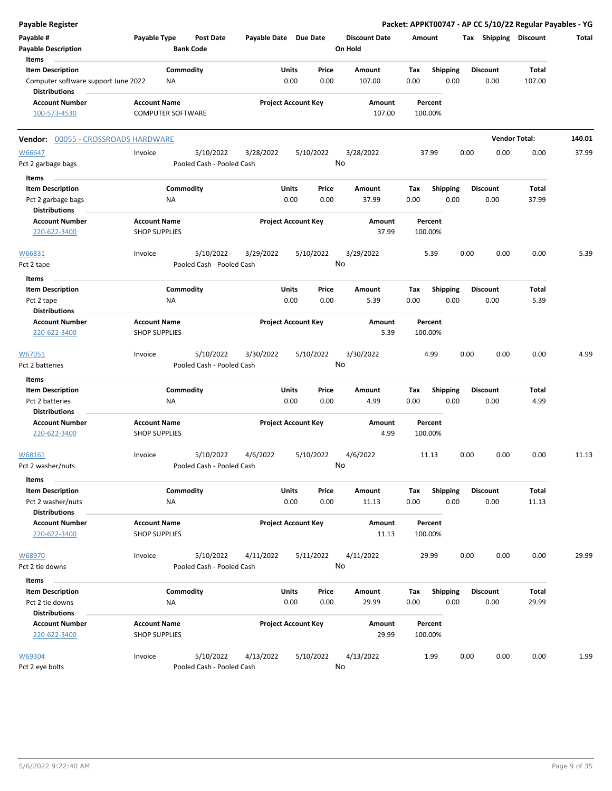| <b>Payable Register</b>                    |                          |                                      |                       |                            |                                 | Packet: APPKT00747 - AP CC 5/10/22 Regular Payables - YG |      |                       |                      |        |
|--------------------------------------------|--------------------------|--------------------------------------|-----------------------|----------------------------|---------------------------------|----------------------------------------------------------|------|-----------------------|----------------------|--------|
| Payable #<br><b>Payable Description</b>    | Payable Type             | <b>Post Date</b><br><b>Bank Code</b> | Payable Date Due Date |                            | <b>Discount Date</b><br>On Hold | Amount                                                   |      | Tax Shipping Discount |                      | Total  |
| Items<br><b>Item Description</b>           |                          | Commodity                            | Units                 | Price                      | Amount                          | <b>Shipping</b><br>Tax                                   |      | <b>Discount</b>       | Total                |        |
| Computer software support June 2022        | ΝA                       |                                      |                       | 0.00<br>0.00               | 107.00                          | 0.00<br>0.00                                             |      | 0.00                  | 107.00               |        |
| <b>Distributions</b>                       |                          |                                      |                       |                            |                                 |                                                          |      |                       |                      |        |
| <b>Account Number</b>                      | <b>Account Name</b>      |                                      |                       | <b>Project Account Key</b> | Amount                          | Percent                                                  |      |                       |                      |        |
| 100-573-4530                               | <b>COMPUTER SOFTWARE</b> |                                      |                       |                            | 107.00                          | 100.00%                                                  |      |                       |                      |        |
| Vendor: 00055 - CROSSROADS HARDWARE        |                          |                                      |                       |                            |                                 |                                                          |      |                       | <b>Vendor Total:</b> | 140.01 |
| W66647                                     | Invoice                  | 5/10/2022                            | 3/28/2022             | 5/10/2022                  | 3/28/2022                       | 37.99                                                    | 0.00 | 0.00                  | 0.00                 | 37.99  |
| Pct 2 garbage bags                         |                          | Pooled Cash - Pooled Cash            |                       |                            | No                              |                                                          |      |                       |                      |        |
| Items                                      |                          |                                      |                       |                            |                                 |                                                          |      |                       |                      |        |
| <b>Item Description</b>                    |                          | Commodity                            | Units                 | Price                      | Amount                          | Shipping<br>Tax                                          |      | Discount              | Total                |        |
| Pct 2 garbage bags<br><b>Distributions</b> | ΝA                       |                                      |                       | 0.00<br>0.00               | 37.99                           | 0.00<br>0.00                                             |      | 0.00                  | 37.99                |        |
| <b>Account Number</b>                      | <b>Account Name</b>      |                                      |                       | <b>Project Account Key</b> | Amount                          | Percent                                                  |      |                       |                      |        |
| 220-622-3400                               | <b>SHOP SUPPLIES</b>     |                                      |                       |                            | 37.99                           | 100.00%                                                  |      |                       |                      |        |
| W66831                                     | Invoice                  | 5/10/2022                            | 3/29/2022             | 5/10/2022                  | 3/29/2022                       | 5.39                                                     | 0.00 | 0.00                  | 0.00                 | 5.39   |
| Pct 2 tape                                 |                          | Pooled Cash - Pooled Cash            |                       |                            | No                              |                                                          |      |                       |                      |        |
| Items                                      |                          |                                      |                       |                            |                                 |                                                          |      |                       |                      |        |
| <b>Item Description</b>                    |                          | Commodity                            | Units                 | Price                      | Amount                          | Tax<br><b>Shipping</b>                                   |      | <b>Discount</b>       | Total                |        |
| Pct 2 tape                                 | ΝA                       |                                      |                       | 0.00<br>0.00               | 5.39                            | 0.00<br>0.00                                             |      | 0.00                  | 5.39                 |        |
| <b>Distributions</b>                       |                          |                                      |                       |                            |                                 |                                                          |      |                       |                      |        |
| <b>Account Number</b>                      | <b>Account Name</b>      |                                      |                       | <b>Project Account Key</b> | Amount                          | Percent                                                  |      |                       |                      |        |
| 220-622-3400                               | <b>SHOP SUPPLIES</b>     |                                      |                       |                            | 5.39                            | 100.00%                                                  |      |                       |                      |        |
| W67051                                     | Invoice                  | 5/10/2022                            | 3/30/2022             | 5/10/2022                  | 3/30/2022                       | 4.99                                                     | 0.00 | 0.00                  | 0.00                 | 4.99   |
| Pct 2 batteries                            |                          | Pooled Cash - Pooled Cash            |                       |                            | No                              |                                                          |      |                       |                      |        |
| Items                                      |                          |                                      |                       |                            |                                 |                                                          |      |                       |                      |        |
| <b>Item Description</b>                    |                          | Commodity                            | Units                 | Price                      | Amount                          | Tax<br><b>Shipping</b>                                   |      | Discount              | Total                |        |
| Pct 2 batteries                            | <b>NA</b>                |                                      |                       | 0.00<br>0.00               | 4.99                            | 0.00<br>0.00                                             |      | 0.00                  | 4.99                 |        |
| <b>Distributions</b>                       |                          |                                      |                       |                            |                                 |                                                          |      |                       |                      |        |
| <b>Account Number</b>                      | <b>Account Name</b>      |                                      |                       | <b>Project Account Key</b> | Amount                          | Percent                                                  |      |                       |                      |        |
| 220-622-3400                               | <b>SHOP SUPPLIES</b>     |                                      |                       |                            | 4.99                            | 100.00%                                                  |      |                       |                      |        |
| W68161                                     | Invoice                  | 5/10/2022                            | 4/6/2022              | 5/10/2022                  | 4/6/2022                        | 11.13                                                    | 0.00 | 0.00                  | 0.00                 | 11.13  |
| Pct 2 washer/nuts                          |                          | Pooled Cash - Pooled Cash            |                       |                            | No                              |                                                          |      |                       |                      |        |
| Items                                      |                          |                                      |                       |                            |                                 |                                                          |      |                       |                      |        |
| <b>Item Description</b>                    |                          | Commodity                            | Units                 | Price                      | Amount                          | <b>Shipping</b><br>Tax                                   |      | <b>Discount</b>       | Total                |        |
| Pct 2 washer/nuts                          | NA                       |                                      |                       | 0.00<br>0.00               | 11.13                           | 0.00<br>0.00                                             |      | 0.00                  | 11.13                |        |
| <b>Distributions</b>                       |                          |                                      |                       |                            |                                 |                                                          |      |                       |                      |        |
| <b>Account Number</b>                      | <b>Account Name</b>      |                                      |                       | <b>Project Account Key</b> | Amount                          | Percent                                                  |      |                       |                      |        |
| 220-622-3400                               | <b>SHOP SUPPLIES</b>     |                                      |                       |                            | 11.13                           | 100.00%                                                  |      |                       |                      |        |
| W68970                                     | Invoice                  | 5/10/2022                            | 4/11/2022             | 5/11/2022                  | 4/11/2022                       | 29.99                                                    | 0.00 | 0.00                  | 0.00                 | 29.99  |
| Pct 2 tie downs                            |                          | Pooled Cash - Pooled Cash            |                       |                            | No                              |                                                          |      |                       |                      |        |
| Items                                      |                          |                                      |                       |                            |                                 |                                                          |      |                       |                      |        |
| <b>Item Description</b>                    |                          | Commodity                            | Units                 | Price                      | Amount                          | <b>Shipping</b><br>Tax                                   |      | <b>Discount</b>       | Total                |        |
| Pct 2 tie downs                            | NA                       |                                      |                       | 0.00<br>0.00               | 29.99                           | 0.00<br>0.00                                             |      | 0.00                  | 29.99                |        |
| <b>Distributions</b>                       |                          |                                      |                       |                            |                                 |                                                          |      |                       |                      |        |
| <b>Account Number</b>                      | <b>Account Name</b>      |                                      |                       | <b>Project Account Key</b> | Amount                          | Percent                                                  |      |                       |                      |        |
| 220-622-3400                               | <b>SHOP SUPPLIES</b>     |                                      |                       |                            | 29.99                           | 100.00%                                                  |      |                       |                      |        |
| W69304                                     | Invoice                  | 5/10/2022                            | 4/13/2022             | 5/10/2022                  | 4/13/2022                       | 1.99                                                     | 0.00 | 0.00                  | 0.00                 | 1.99   |
| Pct 2 eye bolts                            |                          | Pooled Cash - Pooled Cash            |                       |                            | No                              |                                                          |      |                       |                      |        |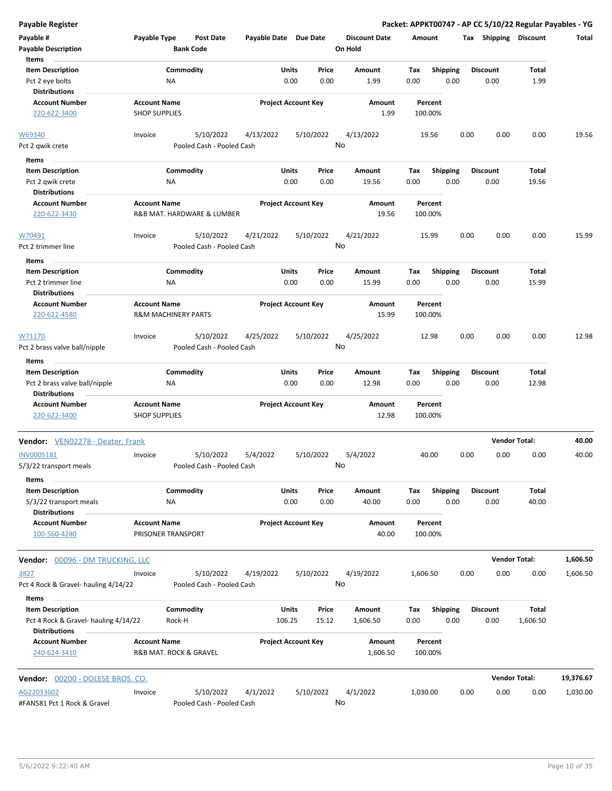**Payable # Payable Type Post Date Payable Date Due Date Payable Description Bank Code Discount Date Amount Tax Shipping Discount Total On Hold** 0.00 0.00 **Units** Pct 2 eye bolts 0.00 **Item Description** 1.99 **Price Amount Tax** 0.00 1.99 Commodity **Shipping Shipping Commodity Shipping Discount** Total NA **Items** 0.00 **Discount Account Number Account Name Project Account Key Amount Distributions Percent** 220-622-3400 SHOP SUPPLIES 1.99 100.00% 5/10/2022 4/13/2022 5/10/2022 Pct 2 qwik crete **Pooled Cash - Pooled Cash** W69340 Invoice 4/13/2022 19.56 0.00 0.00 0.00 19.56 No 0.00 0.00 **Units** Pct 2 qwik crete 0.00 **Item Description** 19.56 **Price Amount Tax** 0.00 19.56 Commodity **Shipping Shipping Commodity Shipping Discount** Total NA **Items** 0.00 **Discount Account Number Account Name Project Account Key Amount Distributions Percent** 220-622-3430 R&B MAT. HARDWARE & LUMBER 19.56 100.00% 5/10/2022 4/21/2022 5/10/2022 Pct 2 trimmer line **Pooled Cash - Pooled Cash** W70491 Invoice 4/21/2022 15.99 0.00 0.00 0.00 15.99 No 0.00 0.00 **Units** Pct 2 trimmer line 0.00 CDC 3 = 0.00 CDC 3 = 0.00 ODC 3 = 0.00 ODC 3 = 0.00 ODC 3 = 0.00 ODC 3 = 0.00 ODC 3 = 0.00 ODC 3 = 0.00 ODC 3 = 0.00 ODC 3 = 0.00 ODC 3 = 0.00 ODC 3 = 0.00 ODC 3 = 0.00 ODC 3 = 0.00 ODC 3 = 0.00 ODC **Item Description** 15.99 **Price Amount Tax** 0.00 15.99 Commodity **Shipping Example 1 Commodity Shipping Discount** Total NA **Items** 0.00 **Discount Account Number Account Name Project Account Key Amount Distributions Percent** 220-622-4580 R&M MACHINERY PARTS 15.99 100.00% 5/10/2022 4/25/2022 5/10/2022 Pct 2 brass valve ball/nipple Pooled Cash - Pooled Cash W71170 Invoice 4/25/2022 12.98 0.00 0.00 0.00 12.98 No 0.00 0.00 **Units** Pct 2 brass valve ball/nipple  $PA$   $NA$  0.00 0.00  $12.98$  0.00 **Item Description** 12.98 **Price Amount Tax** 0.00 12.98 Commodity **Shipping Example 1 Commodity Shipping Discount** Total NA **Items** 0.00 **Discount Account Number Account Name Project Account Key Amount Distributions Percent** 220-622-3400 SHOP SUPPLIES 12.98 100.00% **Vendor:** VEN02278 - Deater, Frank **Vendor Total: 40.00** 5/10/2022 5/4/2022 5/10/2022 5/3/22 transport meals Pooled Cash - Pooled Cash INV0005181 Invoice 5/4/2022 40.00 0.00 0.00 0.00 40.00 No 0.00 0.00 **Units** 5/3/22 transport meals **120 and 120 and 130 and 140 and 15/3/22** transport meals **13/3/22** transport meals **13/3/22** transport meals **Item Description** 40.00 **Price Amount Tax** 0.00 40.00 Commodity **Shipping Example 1 Commodity Shipping Discount** Total NA **Items** 0.00 **Discount Account Number Account Name Project Account Key Amount Distributions Percent** 100-560-4280 PRISONER TRANSPORT 40.00 100.00% **Vendor:** 00096 - DM TRUCKING, LLC **Vendor Total: 1,606.50** 5/10/2022 4/19/2022 5/10/2022 Pct 4 Rock & Gravel- hauling 4/14/22 Pooled Cash - Pooled Cash 3827 Invoice 4/19/2022 1,606.50 0.00 0.00 0.00 1,606.50 No 106.25 15.12 **Units** Pct 4 Rock & Gravel- hauling 4/14/22 Rock-H 106.25 15.12 1,606.50 0.00 **Item Description** 1,606.50 **Price Amount Tax** 0.00 1,606.50 Commodity **Shipping Shipping Commodity Shipping Discount** Total Rock-H **Items** 0.00 **Discount Account Number Account Name Project Account Key Amount Distributions Percent** 240-624-3410 R&B MAT. ROCK & GRAVEL 1,606.50 100.00% **Vendor:** 00200 - DOLESE BROS. CO. **Vendor Total: 19,376.67** 5/10/2022 4/1/2022 5/10/2022 #FAN581 Pct 1 Rock & Gravel Pooled Cash - Pooled Cash AG22033602 Invoice 4/1/2022 1,030.00 0.00 0.00 0.00 1,030.00 No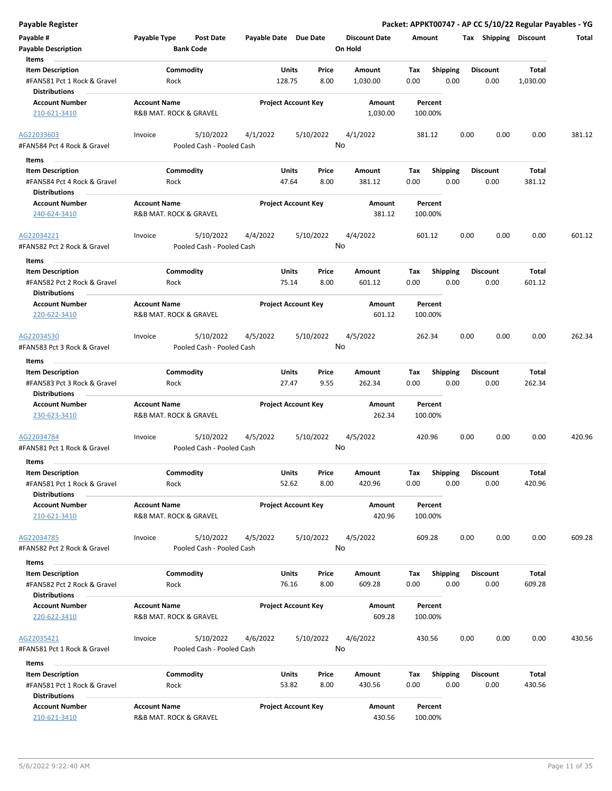**Payable Description Bank Code On Hold** 128.75 8.00 **Units** #FAN581 Pct 1 Rock & Gravel 0.00 **Item Description** 1,030.00 **Price Amount Tax** 0.00 1,030.00 Commodity **Shipping Shipping Commodity Shipping Discount** Total Rock **Items** 0.00 **Discount Account Number Account Name Project Account Key Amount Distributions Percent** 210-621-3410 **R&B MAT. ROCK & GRAVEL 1,030.00** 100.00% 5/10/2022 4/1/2022 5/10/2022 #FAN584 Pct 4 Rock & Gravel Pooled Cash - Pooled Cash AG22033603 Invoice 4/1/2022 381.12 0.00 0.00 0.00 381.12 No 47.64 8.00 **Units** #FAN584 Pct 4 Rock & Gravel 0.00 **Item Description** 381.12 **Price Amount Tax** 0.00 381.12 Commodity **Shipping Shipping Commodity Shipping Discount** Total Rock **Items** 0.00 **Discount Account Number Account Name Project Account Key Amount Distributions Percent** 240-624-3410 R&B MAT. ROCK & GRAVEL 381.12 100.00% 5/10/2022 4/4/2022 5/10/2022 #FAN582 Pct 2 Rock & Gravel Pooled Cash - Pooled Cash AG22034221 Invoice 4/4/2022 601.12 0.00 0.00 0.00 601.12 No 75.14 8.00 **Units** #FAN582 Pct 2 Rock & Gravel 0.00 **Item Description** 601.12 **Price Amount Tax** 0.00 601.12 Commodity **Shipping Example 1 Commodity Shipping Discount** Total Rock **Items** 0.00 **Discount Account Number Account Name Project Account Key Amount Distributions Percent** 220-622-3410 R&B MAT. ROCK & GRAVEL 601.12 100.00% 5/10/2022 4/5/2022 5/10/2022 #FAN583 Pct 3 Rock & Gravel Pooled Cash - Pooled Cash AG22034530 Invoice 4/5/2022 262.34 0.00 0.00 0.00 262.34 No 27.47 9.55 **Units** #FAN583 Pct 3 Rock & Gravel 0.00 **Item Description** 262.34 **Price Amount Tax** 0.00 262.34 Commodity **Shipping Example 1 Commodity Shipping Discount** Total Rock **Items** 0.00 **Discount Account Number Account Name Project Account Key Amount Distributions Percent** 230-623-3410 **R&B MAT. ROCK & GRAVEL 262.34** 100.00% 5/10/2022 4/5/2022 5/10/2022 #FAN581 Pct 1 Rock & Gravel Pooled Cash - Pooled Cash AG22034784 Invoice 4/5/2022 420.96 0.00 0.00 0.00 420.96 No 52.62 8.00 **Units** #FAN581 Pct 1 Rock & Gravel 0.00 **Item Description** 420.96 **Price Amount Tax** 0.00 420.96 Commodity **Shipping Example 1 Commodity Shipping Discount** Total Rock **Items** 0.00 **Discount Account Number Account Name Project Account Key Amount Distributions Percent** 210-621-3410 **R&B MAT. ROCK & GRAVEL 420.96** 100.00% **420.96** 100.00% 5/10/2022 4/5/2022 5/10/2022 #FAN582 Pct 2 Rock & Gravel Pooled Cash - Pooled Cash AG22034785 Invoice 4/5/2022 609.28 0.00 0.00 0.00 609.28 No 76.16 8.00 **Units** #FAN582 Pct 2 Rock & Gravel 0.00 **Item Description** 609.28 **Price Amount Tax** 0.00 609.28 Commodity **Shipping Shipping Commodity Shipping Discount** Total Rock **Items** 0.00 **Discount Account Number Account Name Project Account Key Amount Distributions Percent** 220-622-3410 R&B MAT. ROCK & GRAVEL 609.28 100.00% 5/10/2022 4/6/2022 5/10/2022 #FAN581 Pct 1 Rock & Gravel Pooled Cash - Pooled Cash AG22035421 Invoice 4/6/2022 430.56 0.00 0.00 0.00 430.56 No **Units Item Description Price Amount Tax** 430.56 Commodity **Shipping Shipping Commodity Shipping Discount** Total **Items Discount**

**Payable Register Packet: APPKT00747 - AP CC 5/10/22 Regular Payables - YG**

**Discount Date Amount Tax Shipping Discount Total**

**Payable # Payable Type Post Date Payable Date Due Date**

| #FAN581 Pct 1 Rock & Gravel | Rock                   | 53.82                      | 8.00 | 430.56 | 0.00    | 0.00 | 0.00 |
|-----------------------------|------------------------|----------------------------|------|--------|---------|------|------|
| <b>Distributions</b>        |                        |                            |      |        |         |      |      |
| <b>Account Number</b>       | <b>Account Name</b>    | <b>Project Account Kev</b> |      | Amount | Percent |      |      |
| 210-621-3410                | R&B MAT, ROCK & GRAVEL |                            |      | 430.56 | 100.00% |      |      |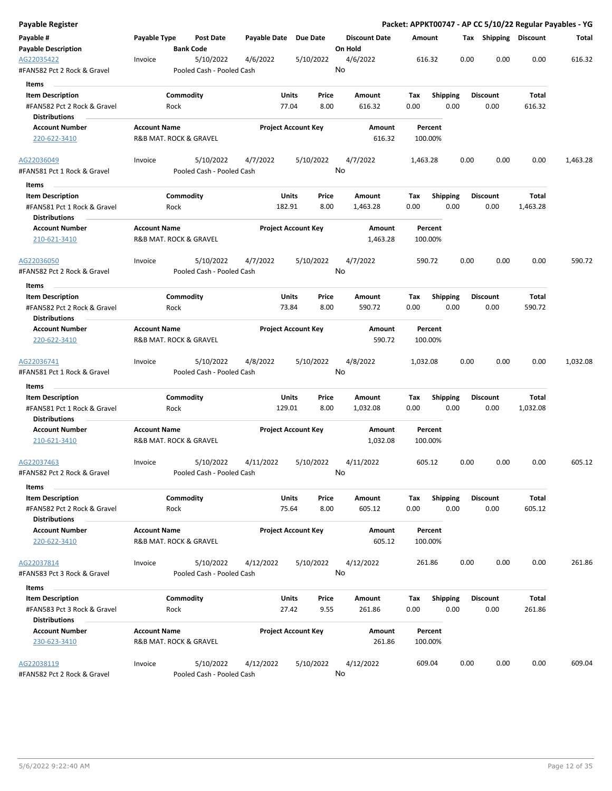| Payable Register                                    |                     |                                        |                       |                            |                      |          |                 |      |                       |          | Packet: APPKT00747 - AP CC 5/10/22 Regular Payables - YG |
|-----------------------------------------------------|---------------------|----------------------------------------|-----------------------|----------------------------|----------------------|----------|-----------------|------|-----------------------|----------|----------------------------------------------------------|
| Payable #                                           | Payable Type        | Post Date                              | Payable Date Due Date |                            | <b>Discount Date</b> | Amount   |                 |      | Tax Shipping Discount |          | Total                                                    |
| <b>Payable Description</b>                          |                     | <b>Bank Code</b>                       |                       |                            | On Hold              |          |                 |      |                       |          |                                                          |
| AG22035422<br>#FAN582 Pct 2 Rock & Gravel           | Invoice             | 5/10/2022<br>Pooled Cash - Pooled Cash | 4/6/2022              | 5/10/2022                  | 4/6/2022<br>No       | 616.32   |                 | 0.00 | 0.00                  | 0.00     | 616.32                                                   |
| Items                                               |                     |                                        |                       |                            |                      |          |                 |      |                       |          |                                                          |
| <b>Item Description</b>                             |                     | Commodity                              |                       | Units<br>Price             | Amount               | Tax      | <b>Shipping</b> |      | <b>Discount</b>       | Total    |                                                          |
| #FAN582 Pct 2 Rock & Gravel                         |                     | Rock                                   | 77.04                 | 8.00                       | 616.32               | 0.00     | 0.00            |      | 0.00                  | 616.32   |                                                          |
| <b>Distributions</b>                                |                     |                                        |                       |                            |                      |          |                 |      |                       |          |                                                          |
| <b>Account Number</b>                               | <b>Account Name</b> |                                        |                       | <b>Project Account Key</b> | Amount               |          | Percent         |      |                       |          |                                                          |
| 220-622-3410                                        |                     | R&B MAT. ROCK & GRAVEL                 |                       |                            | 616.32               | 100.00%  |                 |      |                       |          |                                                          |
| AG22036049                                          | Invoice             | 5/10/2022                              | 4/7/2022              | 5/10/2022                  | 4/7/2022             | 1,463.28 |                 | 0.00 | 0.00                  | 0.00     | 1,463.28                                                 |
| #FAN581 Pct 1 Rock & Gravel<br>Items                |                     | Pooled Cash - Pooled Cash              |                       |                            | No                   |          |                 |      |                       |          |                                                          |
| <b>Item Description</b>                             |                     | Commodity                              | Units                 | Price                      | Amount               | Tax      | <b>Shipping</b> |      | <b>Discount</b>       | Total    |                                                          |
| #FAN581 Pct 1 Rock & Gravel                         |                     | Rock                                   | 182.91                | 8.00                       | 1,463.28             | 0.00     | 0.00            |      | 0.00                  | 1,463.28 |                                                          |
| <b>Distributions</b>                                |                     |                                        |                       |                            |                      |          |                 |      |                       |          |                                                          |
| <b>Account Number</b>                               | <b>Account Name</b> |                                        |                       | <b>Project Account Key</b> | Amount               |          | Percent         |      |                       |          |                                                          |
| 210-621-3410                                        |                     | R&B MAT. ROCK & GRAVEL                 |                       |                            | 1,463.28             | 100.00%  |                 |      |                       |          |                                                          |
| AG22036050                                          | Invoice             | 5/10/2022                              | 4/7/2022              | 5/10/2022                  | 4/7/2022             | 590.72   |                 | 0.00 | 0.00                  | 0.00     | 590.72                                                   |
| #FAN582 Pct 2 Rock & Gravel                         |                     | Pooled Cash - Pooled Cash              |                       |                            | No                   |          |                 |      |                       |          |                                                          |
| Items                                               |                     |                                        |                       |                            |                      |          |                 |      |                       |          |                                                          |
| <b>Item Description</b>                             |                     | Commodity                              | Units                 | Price                      | Amount               | Tax      | <b>Shipping</b> |      | <b>Discount</b>       | Total    |                                                          |
| #FAN582 Pct 2 Rock & Gravel<br><b>Distributions</b> |                     | Rock                                   | 73.84                 | 8.00                       | 590.72               | 0.00     | 0.00            |      | 0.00                  | 590.72   |                                                          |
| <b>Account Number</b>                               | <b>Account Name</b> |                                        |                       | <b>Project Account Key</b> | Amount               |          | Percent         |      |                       |          |                                                          |
| 220-622-3410                                        |                     | R&B MAT. ROCK & GRAVEL                 |                       |                            | 590.72               | 100.00%  |                 |      |                       |          |                                                          |
| AG22036741                                          | Invoice             | 5/10/2022                              | 4/8/2022              | 5/10/2022                  | 4/8/2022             | 1,032.08 |                 | 0.00 | 0.00                  | 0.00     | 1,032.08                                                 |
| #FAN581 Pct 1 Rock & Gravel                         |                     | Pooled Cash - Pooled Cash              |                       |                            | No                   |          |                 |      |                       |          |                                                          |
| Items                                               |                     |                                        |                       |                            |                      |          |                 |      |                       |          |                                                          |
| <b>Item Description</b>                             |                     | Commodity                              | Units                 | Price                      | Amount               | Tax      | Shipping        |      | <b>Discount</b>       | Total    |                                                          |
| #FAN581 Pct 1 Rock & Gravel                         |                     | Rock                                   | 129.01                | 8.00                       | 1,032.08             | 0.00     | 0.00            |      | 0.00                  | 1,032.08 |                                                          |
| Distributions                                       |                     |                                        |                       |                            |                      |          |                 |      |                       |          |                                                          |
| <b>Account Number</b>                               | <b>Account Name</b> |                                        |                       | <b>Project Account Key</b> | Amount               |          | Percent         |      |                       |          |                                                          |
| 210-621-3410                                        |                     | R&B MAT. ROCK & GRAVEL                 |                       |                            | 1,032.08             | 100.00%  |                 |      |                       |          |                                                          |
| AG22037463                                          | Invoice             | 5/10/2022                              | 4/11/2022             | 5/10/2022                  | 4/11/2022            | 605.12   |                 | 0.00 | 0.00                  | 0.00     | 605.12                                                   |
| #FAN582 Pct 2 Rock & Gravel<br>Items                |                     | Pooled Cash - Pooled Cash              |                       |                            | No                   |          |                 |      |                       |          |                                                          |
| <b>Item Description</b>                             |                     | Commodity                              | Units                 | Price                      | Amount               | Tax      | Shipping        |      | <b>Discount</b>       | Total    |                                                          |
| #FAN582 Pct 2 Rock & Gravel                         |                     | Rock                                   | 75.64                 | 8.00                       | 605.12               | 0.00     | 0.00            |      | 0.00                  | 605.12   |                                                          |
| <b>Distributions</b>                                |                     |                                        |                       |                            |                      |          |                 |      |                       |          |                                                          |
| <b>Account Number</b>                               | <b>Account Name</b> |                                        |                       | <b>Project Account Key</b> | Amount               |          | Percent         |      |                       |          |                                                          |
| 220-622-3410                                        |                     | R&B MAT. ROCK & GRAVEL                 |                       |                            | 605.12               | 100.00%  |                 |      |                       |          |                                                          |
| AG22037814                                          | Invoice             | 5/10/2022                              | 4/12/2022             | 5/10/2022                  | 4/12/2022            | 261.86   |                 | 0.00 | 0.00                  | 0.00     | 261.86                                                   |
| #FAN583 Pct 3 Rock & Gravel                         |                     | Pooled Cash - Pooled Cash              |                       |                            | No                   |          |                 |      |                       |          |                                                          |
| Items                                               |                     |                                        |                       |                            |                      |          |                 |      |                       |          |                                                          |
| <b>Item Description</b>                             |                     | Commodity                              |                       | Units<br>Price             | Amount               | Tax      | <b>Shipping</b> |      | <b>Discount</b>       | Total    |                                                          |
| #FAN583 Pct 3 Rock & Gravel                         |                     | Rock                                   | 27.42                 | 9.55                       | 261.86               | 0.00     | 0.00            |      | 0.00                  | 261.86   |                                                          |
| <b>Distributions</b>                                |                     |                                        |                       |                            |                      |          |                 |      |                       |          |                                                          |
| <b>Account Number</b>                               | <b>Account Name</b> |                                        |                       | <b>Project Account Key</b> | Amount               |          | Percent         |      |                       |          |                                                          |
| 230-623-3410                                        |                     | R&B MAT. ROCK & GRAVEL                 |                       |                            | 261.86               | 100.00%  |                 |      |                       |          |                                                          |
| AG22038119                                          | Invoice             | 5/10/2022                              | 4/12/2022             | 5/10/2022                  | 4/12/2022            | 609.04   |                 | 0.00 | 0.00                  | 0.00     | 609.04                                                   |
| #FAN582 Pct 2 Rock & Gravel                         |                     | Pooled Cash - Pooled Cash              |                       |                            | No                   |          |                 |      |                       |          |                                                          |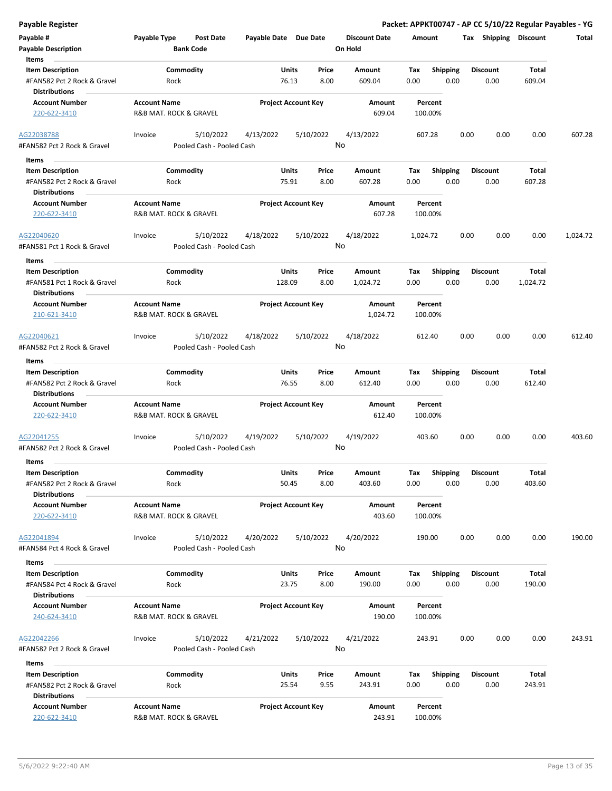| Payable #<br><b>Payable Description</b>                | Payable Type                                  | Post Date<br><b>Bank Code</b> | Payable Date Due Date |                                 | <b>Discount Date</b><br>On Hold | Amount                         |      | Tax Shipping            | <b>Discount</b> | Total    |
|--------------------------------------------------------|-----------------------------------------------|-------------------------------|-----------------------|---------------------------------|---------------------------------|--------------------------------|------|-------------------------|-----------------|----------|
| Items                                                  |                                               |                               |                       |                                 |                                 |                                |      |                         |                 |          |
| <b>Item Description</b>                                |                                               | Commodity                     |                       | Units<br>Price                  | Amount                          | Tax<br><b>Shipping</b>         |      | <b>Discount</b>         | Total           |          |
| #FAN582 Pct 2 Rock & Gravel<br><b>Distributions</b>    | Rock                                          |                               |                       | 76.13<br>8.00                   | 609.04                          | 0.00                           | 0.00 | 0.00                    | 609.04          |          |
| <b>Account Number</b>                                  | <b>Account Name</b>                           |                               |                       | <b>Project Account Key</b>      | Amount                          | Percent                        |      |                         |                 |          |
| 220-622-3410                                           | R&B MAT. ROCK & GRAVEL                        |                               |                       |                                 | 609.04                          | 100.00%                        |      |                         |                 |          |
| AG22038788                                             | Invoice                                       | 5/10/2022                     | 4/13/2022             | 5/10/2022                       | 4/13/2022                       | 607.28                         | 0.00 | 0.00                    | 0.00            | 607.28   |
| #FAN582 Pct 2 Rock & Gravel                            |                                               | Pooled Cash - Pooled Cash     |                       |                                 | No                              |                                |      |                         |                 |          |
| Items                                                  |                                               |                               |                       |                                 |                                 |                                |      |                         |                 |          |
| <b>Item Description</b>                                |                                               | Commodity                     |                       | Units<br>Price                  | Amount                          | <b>Shipping</b><br>Tax         |      | <b>Discount</b>         | Total           |          |
| #FAN582 Pct 2 Rock & Gravel<br><b>Distributions</b>    | Rock                                          |                               |                       | 75.91<br>8.00                   | 607.28                          | 0.00                           | 0.00 | 0.00                    | 607.28          |          |
| <b>Account Number</b>                                  | <b>Account Name</b>                           |                               |                       | <b>Project Account Key</b>      | Amount                          | Percent                        |      |                         |                 |          |
| 220-622-3410                                           | R&B MAT. ROCK & GRAVEL                        |                               |                       |                                 | 607.28                          | 100.00%                        |      |                         |                 |          |
| AG22040620                                             | Invoice                                       | 5/10/2022                     | 4/18/2022             | 5/10/2022                       | 4/18/2022<br>No                 | 1,024.72                       | 0.00 | 0.00                    | 0.00            | 1,024.72 |
| #FAN581 Pct 1 Rock & Gravel                            |                                               | Pooled Cash - Pooled Cash     |                       |                                 |                                 |                                |      |                         |                 |          |
| <b>Items</b>                                           |                                               |                               |                       |                                 |                                 |                                |      |                         |                 |          |
| <b>Item Description</b>                                |                                               | Commodity                     |                       | Units<br>Price                  | Amount                          | <b>Shipping</b><br>Tax         |      | <b>Discount</b>         | Total           |          |
| #FAN581 Pct 1 Rock & Gravel<br><b>Distributions</b>    | Rock                                          |                               | 128.09                | 8.00                            | 1,024.72                        | 0.00                           | 0.00 | 0.00                    | 1,024.72        |          |
| <b>Account Number</b>                                  | <b>Account Name</b>                           |                               |                       | <b>Project Account Key</b>      | Amount                          | Percent                        |      |                         |                 |          |
| 210-621-3410                                           | R&B MAT. ROCK & GRAVEL                        |                               |                       |                                 | 1,024.72                        | 100.00%                        |      |                         |                 |          |
| AG22040621                                             | Invoice                                       | 5/10/2022                     | 4/18/2022             | 5/10/2022                       | 4/18/2022                       | 612.40                         | 0.00 | 0.00                    | 0.00            | 612.40   |
| #FAN582 Pct 2 Rock & Gravel                            |                                               | Pooled Cash - Pooled Cash     |                       |                                 | No                              |                                |      |                         |                 |          |
| Items                                                  |                                               |                               |                       |                                 |                                 |                                |      |                         |                 |          |
| <b>Item Description</b>                                |                                               | Commodity                     |                       | Units<br>Price                  | Amount                          | Tax<br><b>Shipping</b>         |      | Discount                | Total           |          |
| #FAN582 Pct 2 Rock & Gravel<br><b>Distributions</b>    | Rock                                          |                               |                       | 76.55<br>8.00                   | 612.40                          | 0.00                           | 0.00 | 0.00                    | 612.40          |          |
| <b>Account Number</b>                                  | <b>Account Name</b>                           |                               |                       | <b>Project Account Key</b>      | Amount                          | Percent                        |      |                         |                 |          |
| 220-622-3410                                           | R&B MAT. ROCK & GRAVEL                        |                               |                       |                                 | 612.40                          | 100.00%                        |      |                         |                 |          |
| AG22041255                                             | Invoice                                       | 5/10/2022                     | 4/19/2022             | 5/10/2022                       | 4/19/2022                       | 403.60                         | 0.00 | 0.00                    | 0.00            | 403.60   |
| #FAN582 Pct 2 Rock & Gravel                            |                                               | Pooled Cash - Pooled Cash     |                       |                                 | No                              |                                |      |                         |                 |          |
| Items                                                  |                                               |                               |                       |                                 |                                 |                                |      |                         |                 |          |
| <b>Item Description</b><br>#FAN582 Pct 2 Rock & Gravel | Rock                                          | Commodity                     |                       | Units<br>Price<br>50.45<br>8.00 | Amount<br>403.60                | Tax<br><b>Shipping</b><br>0.00 | 0.00 | <b>Discount</b><br>0.00 | Total<br>403.60 |          |
| <b>Distributions</b>                                   |                                               |                               |                       |                                 |                                 |                                |      |                         |                 |          |
| <b>Account Number</b><br>220-622-3410                  | <b>Account Name</b><br>R&B MAT. ROCK & GRAVEL |                               |                       | <b>Project Account Key</b>      | Amount<br>403.60                | Percent<br>100.00%             |      |                         |                 |          |
| AG22041894                                             | Invoice                                       | 5/10/2022                     | 4/20/2022             | 5/10/2022                       | 4/20/2022                       | 190.00                         | 0.00 | 0.00                    | 0.00            | 190.00   |
| #FAN584 Pct 4 Rock & Gravel                            |                                               | Pooled Cash - Pooled Cash     |                       |                                 | No                              |                                |      |                         |                 |          |
| Items                                                  |                                               |                               |                       |                                 |                                 |                                |      |                         |                 |          |
| <b>Item Description</b><br>#FAN584 Pct 4 Rock & Gravel | Rock                                          | Commodity                     |                       | Units<br>Price<br>23.75<br>8.00 | Amount<br>190.00                | <b>Shipping</b><br>Tax<br>0.00 | 0.00 | <b>Discount</b><br>0.00 | Total<br>190.00 |          |
| <b>Distributions</b>                                   |                                               |                               |                       |                                 |                                 |                                |      |                         |                 |          |
| <b>Account Number</b><br>240-624-3410                  | <b>Account Name</b><br>R&B MAT. ROCK & GRAVEL |                               |                       | <b>Project Account Key</b>      | Amount<br>190.00                | Percent<br>100.00%             |      |                         |                 |          |
| AG22042266                                             | Invoice                                       | 5/10/2022                     | 4/21/2022             | 5/10/2022                       | 4/21/2022                       | 243.91                         | 0.00 | 0.00                    | 0.00            | 243.91   |
| #FAN582 Pct 2 Rock & Gravel                            |                                               | Pooled Cash - Pooled Cash     |                       |                                 | No                              |                                |      |                         |                 |          |
| Items                                                  |                                               |                               |                       |                                 |                                 |                                |      |                         |                 |          |
| <b>Item Description</b><br>#FAN582 Pct 2 Rock & Gravel | Rock                                          | Commodity                     |                       | Units<br>Price<br>25.54<br>9.55 | Amount<br>243.91                | Tax<br><b>Shipping</b><br>0.00 | 0.00 | <b>Discount</b><br>0.00 | Total<br>243.91 |          |
| <b>Distributions</b><br><b>Account Number</b>          | <b>Account Name</b>                           |                               |                       | <b>Project Account Key</b>      | Amount                          | Percent                        |      |                         |                 |          |

220-622-3410 R&B MAT. ROCK & GRAVEL 243.91 100.00%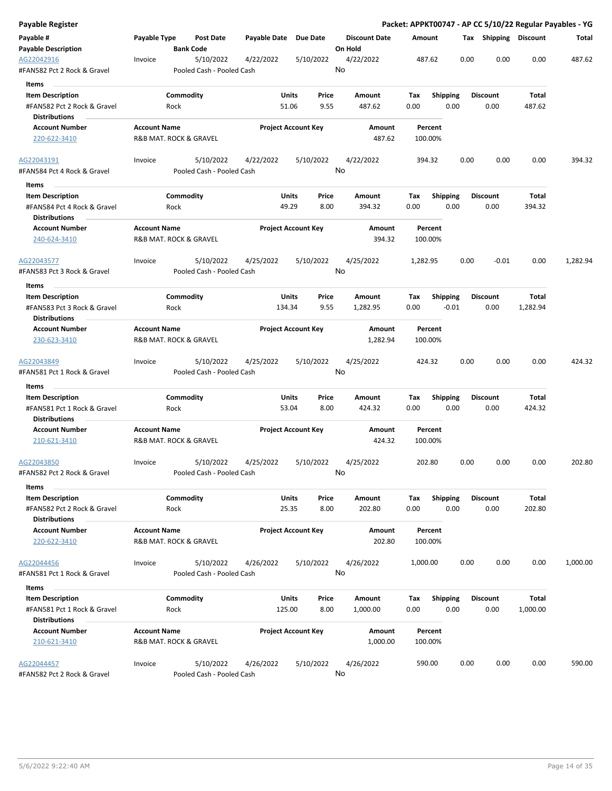| Payable Register                                    |                     |                                        |                       |                            |    |                      |          |                    |                 |      |                       |          | Packet: APPKT00747 - AP CC 5/10/22 Regular Payables - YG |
|-----------------------------------------------------|---------------------|----------------------------------------|-----------------------|----------------------------|----|----------------------|----------|--------------------|-----------------|------|-----------------------|----------|----------------------------------------------------------|
| Payable #                                           | Payable Type        | Post Date                              | Payable Date Due Date |                            |    | <b>Discount Date</b> | Amount   |                    |                 |      | Tax Shipping Discount |          | Total                                                    |
| <b>Payable Description</b>                          |                     | <b>Bank Code</b>                       |                       |                            |    | On Hold              |          |                    |                 |      |                       |          |                                                          |
| AG22042916<br>#FAN582 Pct 2 Rock & Gravel           | Invoice             | 5/10/2022<br>Pooled Cash - Pooled Cash | 4/22/2022             | 5/10/2022                  | No | 4/22/2022            |          | 487.62             |                 | 0.00 | 0.00                  | 0.00     | 487.62                                                   |
| Items                                               |                     |                                        |                       |                            |    |                      |          |                    |                 |      |                       |          |                                                          |
| <b>Item Description</b>                             |                     | Commodity                              |                       | Units<br>Price             |    | Amount               | Tax      |                    | <b>Shipping</b> |      | <b>Discount</b>       | Total    |                                                          |
| #FAN582 Pct 2 Rock & Gravel                         |                     | Rock                                   | 51.06                 | 9.55                       |    | 487.62               | 0.00     |                    | 0.00            |      | 0.00                  | 487.62   |                                                          |
| <b>Distributions</b>                                |                     |                                        |                       |                            |    |                      |          |                    |                 |      |                       |          |                                                          |
| <b>Account Number</b>                               | <b>Account Name</b> |                                        |                       | <b>Project Account Key</b> |    | Amount               |          | Percent            |                 |      |                       |          |                                                          |
| 220-622-3410                                        |                     | R&B MAT. ROCK & GRAVEL                 |                       |                            |    | 487.62               |          | 100.00%            |                 |      |                       |          |                                                          |
| AG22043191                                          | Invoice             | 5/10/2022                              | 4/22/2022             | 5/10/2022                  |    | 4/22/2022            |          | 394.32             |                 | 0.00 | 0.00                  | 0.00     | 394.32                                                   |
| #FAN584 Pct 4 Rock & Gravel<br>Items                |                     | Pooled Cash - Pooled Cash              |                       |                            | No |                      |          |                    |                 |      |                       |          |                                                          |
| <b>Item Description</b>                             |                     | Commodity                              |                       | Units<br>Price             |    | Amount               | Tax      |                    | <b>Shipping</b> |      | <b>Discount</b>       | Total    |                                                          |
| #FAN584 Pct 4 Rock & Gravel                         |                     | Rock                                   | 49.29                 | 8.00                       |    | 394.32               | 0.00     |                    | 0.00            |      | 0.00                  | 394.32   |                                                          |
| <b>Distributions</b>                                |                     |                                        |                       |                            |    |                      |          |                    |                 |      |                       |          |                                                          |
| <b>Account Number</b><br>240-624-3410               | <b>Account Name</b> | R&B MAT. ROCK & GRAVEL                 |                       | <b>Project Account Key</b> |    | Amount<br>394.32     |          | Percent<br>100.00% |                 |      |                       |          |                                                          |
| AG22043577                                          | Invoice             | 5/10/2022                              | 4/25/2022             | 5/10/2022                  |    | 4/25/2022            | 1,282.95 |                    |                 | 0.00 | $-0.01$               | 0.00     | 1,282.94                                                 |
| #FAN583 Pct 3 Rock & Gravel                         |                     | Pooled Cash - Pooled Cash              |                       |                            | No |                      |          |                    |                 |      |                       |          |                                                          |
| Items                                               |                     |                                        |                       |                            |    |                      |          |                    |                 |      |                       |          |                                                          |
| <b>Item Description</b>                             |                     | Commodity                              |                       | Units<br>Price             |    | Amount               | Тах      |                    | <b>Shipping</b> |      | <b>Discount</b>       | Total    |                                                          |
| #FAN583 Pct 3 Rock & Gravel<br><b>Distributions</b> |                     | Rock                                   | 134.34                | 9.55                       |    | 1,282.95             | 0.00     |                    | $-0.01$         |      | 0.00                  | 1,282.94 |                                                          |
| <b>Account Number</b>                               | <b>Account Name</b> |                                        |                       | <b>Project Account Key</b> |    | Amount               |          | Percent            |                 |      |                       |          |                                                          |
| 230-623-3410                                        |                     | R&B MAT. ROCK & GRAVEL                 |                       |                            |    | 1,282.94             |          | 100.00%            |                 |      |                       |          |                                                          |
| AG22043849<br>#FAN581 Pct 1 Rock & Gravel           | Invoice             | 5/10/2022<br>Pooled Cash - Pooled Cash | 4/25/2022             | 5/10/2022                  | No | 4/25/2022            |          | 424.32             |                 | 0.00 | 0.00                  | 0.00     | 424.32                                                   |
| Items                                               |                     |                                        |                       |                            |    |                      |          |                    |                 |      |                       |          |                                                          |
| <b>Item Description</b>                             |                     | Commodity                              |                       | Units<br>Price             |    | Amount               | Tax      |                    | Shipping        |      | <b>Discount</b>       | Total    |                                                          |
| #FAN581 Pct 1 Rock & Gravel                         |                     | Rock                                   | 53.04                 | 8.00                       |    | 424.32               | 0.00     |                    | 0.00            |      | 0.00                  | 424.32   |                                                          |
| Distributions                                       |                     |                                        |                       |                            |    |                      |          |                    |                 |      |                       |          |                                                          |
| <b>Account Number</b>                               | <b>Account Name</b> |                                        |                       | <b>Project Account Key</b> |    | Amount               |          | Percent            |                 |      |                       |          |                                                          |
| 210-621-3410                                        |                     | R&B MAT. ROCK & GRAVEL                 |                       |                            |    | 424.32               |          | 100.00%            |                 |      |                       |          |                                                          |
| AG22043850                                          | Invoice             | 5/10/2022                              | 4/25/2022             | 5/10/2022                  |    | 4/25/2022            |          | 202.80             |                 | 0.00 | 0.00                  | 0.00     | 202.80                                                   |
| #FAN582 Pct 2 Rock & Gravel<br>Items                |                     | Pooled Cash - Pooled Cash              |                       |                            | No |                      |          |                    |                 |      |                       |          |                                                          |
| <b>Item Description</b>                             |                     | Commodity                              |                       | Units<br>Price             |    | Amount               | Tax      |                    | Shipping        |      | <b>Discount</b>       | Total    |                                                          |
| #FAN582 Pct 2 Rock & Gravel                         |                     | Rock                                   | 25.35                 | 8.00                       |    | 202.80               | 0.00     |                    | 0.00            |      | 0.00                  | 202.80   |                                                          |
| <b>Distributions</b>                                |                     |                                        |                       |                            |    |                      |          |                    |                 |      |                       |          |                                                          |
| <b>Account Number</b>                               | <b>Account Name</b> |                                        |                       | <b>Project Account Key</b> |    | Amount               |          | Percent            |                 |      |                       |          |                                                          |
| 220-622-3410                                        |                     | R&B MAT. ROCK & GRAVEL                 |                       |                            |    | 202.80               |          | 100.00%            |                 |      |                       |          |                                                          |
| AG22044456                                          | Invoice             | 5/10/2022                              | 4/26/2022             | 5/10/2022                  |    | 4/26/2022            | 1,000.00 |                    |                 | 0.00 | 0.00                  | 0.00     | 1,000.00                                                 |
| #FAN581 Pct 1 Rock & Gravel                         |                     | Pooled Cash - Pooled Cash              |                       |                            | No |                      |          |                    |                 |      |                       |          |                                                          |
| Items                                               |                     |                                        |                       |                            |    |                      |          |                    |                 |      |                       |          |                                                          |
| <b>Item Description</b>                             |                     | Commodity                              |                       | Units<br>Price             |    | Amount               | Tax      |                    | <b>Shipping</b> |      | <b>Discount</b>       | Total    |                                                          |
| #FAN581 Pct 1 Rock & Gravel<br><b>Distributions</b> |                     | Rock                                   | 125.00                | 8.00                       |    | 1,000.00             | 0.00     |                    | 0.00            |      | 0.00                  | 1,000.00 |                                                          |
| <b>Account Number</b>                               | <b>Account Name</b> |                                        |                       | <b>Project Account Key</b> |    | Amount               |          | Percent            |                 |      |                       |          |                                                          |
| 210-621-3410                                        |                     | R&B MAT. ROCK & GRAVEL                 |                       |                            |    | 1,000.00             |          | 100.00%            |                 |      |                       |          |                                                          |
| AG22044457                                          | Invoice             | 5/10/2022                              | 4/26/2022             | 5/10/2022                  |    | 4/26/2022            |          | 590.00             |                 | 0.00 | 0.00                  | 0.00     | 590.00                                                   |
| #FAN582 Pct 2 Rock & Gravel                         |                     | Pooled Cash - Pooled Cash              |                       |                            | No |                      |          |                    |                 |      |                       |          |                                                          |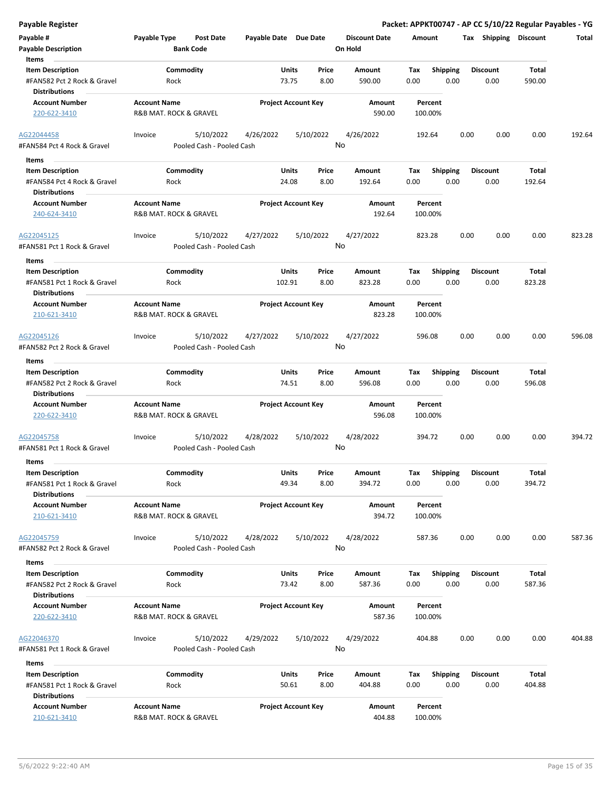| Payable #                                              | Payable Type           | Post Date                              | Payable Date Due Date |                                 | <b>Discount Date</b> | Amount      |                         | Shipping<br>Tax         | <b>Discount</b> | Total  |
|--------------------------------------------------------|------------------------|----------------------------------------|-----------------------|---------------------------------|----------------------|-------------|-------------------------|-------------------------|-----------------|--------|
| <b>Payable Description</b>                             |                        | <b>Bank Code</b>                       |                       |                                 | On Hold              |             |                         |                         |                 |        |
| Items                                                  |                        |                                        |                       |                                 |                      |             |                         |                         |                 |        |
| <b>Item Description</b><br>#FAN582 Pct 2 Rock & Gravel | Rock                   | Commodity                              |                       | Price<br>Units<br>73.75<br>8.00 | Amount<br>590.00     | Tax<br>0.00 | <b>Shipping</b><br>0.00 | <b>Discount</b><br>0.00 | Total<br>590.00 |        |
| <b>Distributions</b>                                   |                        |                                        |                       |                                 |                      |             |                         |                         |                 |        |
| <b>Account Number</b>                                  | <b>Account Name</b>    |                                        |                       | <b>Project Account Key</b>      | Amount               | Percent     |                         |                         |                 |        |
| 220-622-3410                                           | R&B MAT. ROCK & GRAVEL |                                        |                       |                                 | 590.00               | 100.00%     |                         |                         |                 |        |
|                                                        |                        |                                        |                       |                                 |                      |             |                         |                         |                 |        |
| AG22044458<br>#FAN584 Pct 4 Rock & Gravel              | Invoice                | 5/10/2022<br>Pooled Cash - Pooled Cash | 4/26/2022             | 5/10/2022                       | 4/26/2022<br>No      | 192.64      |                         | 0.00<br>0.00            | 0.00            | 192.64 |
|                                                        |                        |                                        |                       |                                 |                      |             |                         |                         |                 |        |
| Items                                                  |                        |                                        |                       |                                 |                      |             |                         |                         |                 |        |
| <b>Item Description</b>                                |                        | Commodity                              |                       | Units<br>Price<br>8.00          | Amount               | Tax         | <b>Shipping</b><br>0.00 | <b>Discount</b>         | Total           |        |
| #FAN584 Pct 4 Rock & Gravel<br><b>Distributions</b>    | Rock                   |                                        |                       | 24.08                           | 192.64               | 0.00        |                         | 0.00                    | 192.64          |        |
| <b>Account Number</b>                                  | <b>Account Name</b>    |                                        |                       | <b>Project Account Key</b>      | Amount               | Percent     |                         |                         |                 |        |
| 240-624-3410                                           | R&B MAT. ROCK & GRAVEL |                                        |                       |                                 | 192.64               | 100.00%     |                         |                         |                 |        |
|                                                        |                        |                                        |                       |                                 |                      |             |                         |                         |                 |        |
| AG22045125                                             | Invoice                | 5/10/2022                              | 4/27/2022             | 5/10/2022                       | 4/27/2022            | 823.28      |                         | 0.00<br>0.00            | 0.00            | 823.28 |
| #FAN581 Pct 1 Rock & Gravel                            |                        | Pooled Cash - Pooled Cash              |                       |                                 | No                   |             |                         |                         |                 |        |
| Items                                                  |                        |                                        |                       |                                 |                      |             |                         |                         |                 |        |
| <b>Item Description</b>                                |                        | Commodity                              |                       | Units<br>Price                  | Amount               | Tax         | <b>Shipping</b>         | <b>Discount</b>         | Total           |        |
| #FAN581 Pct 1 Rock & Gravel                            | Rock                   |                                        | 102.91                | 8.00                            | 823.28               | 0.00        | 0.00                    | 0.00                    | 823.28          |        |
| <b>Distributions</b>                                   |                        |                                        |                       |                                 |                      |             |                         |                         |                 |        |
| <b>Account Number</b>                                  | <b>Account Name</b>    |                                        |                       | <b>Project Account Key</b>      | Amount               | Percent     |                         |                         |                 |        |
| 210-621-3410                                           | R&B MAT. ROCK & GRAVEL |                                        |                       |                                 | 823.28               | 100.00%     |                         |                         |                 |        |
| AG22045126                                             | Invoice                | 5/10/2022                              | 4/27/2022             | 5/10/2022                       | 4/27/2022            | 596.08      |                         | 0.00<br>0.00            | 0.00            | 596.08 |
| #FAN582 Pct 2 Rock & Gravel                            |                        | Pooled Cash - Pooled Cash              |                       |                                 | No                   |             |                         |                         |                 |        |
| Items                                                  |                        |                                        |                       |                                 |                      |             |                         |                         |                 |        |
| <b>Item Description</b>                                |                        | Commodity                              |                       | Units<br>Price                  | Amount               | Tax         | <b>Shipping</b>         | <b>Discount</b>         | Total           |        |
| #FAN582 Pct 2 Rock & Gravel                            | Rock                   |                                        |                       | 8.00<br>74.51                   | 596.08               | 0.00        | 0.00                    | 0.00                    | 596.08          |        |
| <b>Distributions</b>                                   |                        |                                        |                       |                                 |                      |             |                         |                         |                 |        |
| <b>Account Number</b>                                  | <b>Account Name</b>    |                                        |                       | <b>Project Account Key</b>      | Amount               | Percent     |                         |                         |                 |        |
| 220-622-3410                                           | R&B MAT. ROCK & GRAVEL |                                        |                       |                                 | 596.08               | 100.00%     |                         |                         |                 |        |
| AG22045758                                             | Invoice                | 5/10/2022                              | 4/28/2022             | 5/10/2022                       | 4/28/2022            | 394.72      |                         | 0.00<br>0.00            | 0.00            | 394.72 |
| #FAN581 Pct 1 Rock & Gravel                            |                        | Pooled Cash - Pooled Cash              |                       |                                 | No                   |             |                         |                         |                 |        |
| <b>Items</b>                                           |                        |                                        |                       |                                 |                      |             |                         |                         |                 |        |
| <b>Item Description</b>                                |                        | Commodity                              |                       | Units<br>Price                  | Amount               | Tax         | <b>Shipping</b>         | <b>Discount</b>         | Total           |        |
| #FAN581 Pct 1 Rock & Gravel                            | Rock                   |                                        |                       | 49.34<br>8.00                   | 394.72               | 0.00        | 0.00                    | 0.00                    | 394.72          |        |
| <b>Distributions</b>                                   |                        |                                        |                       |                                 |                      |             |                         |                         |                 |        |
| <b>Account Number</b>                                  | <b>Account Name</b>    |                                        |                       | <b>Project Account Key</b>      | Amount               | Percent     |                         |                         |                 |        |
| 210-621-3410                                           | R&B MAT. ROCK & GRAVEL |                                        |                       |                                 | 394.72               | 100.00%     |                         |                         |                 |        |
|                                                        |                        |                                        |                       |                                 |                      |             |                         |                         |                 |        |
| AG22045759                                             | Invoice                | 5/10/2022                              | 4/28/2022             | 5/10/2022                       | 4/28/2022            | 587.36      |                         | 0.00<br>0.00            | 0.00            | 587.36 |
| #FAN582 Pct 2 Rock & Gravel                            |                        | Pooled Cash - Pooled Cash              |                       |                                 | No                   |             |                         |                         |                 |        |
| Items                                                  |                        |                                        |                       |                                 |                      |             |                         |                         |                 |        |
| <b>Item Description</b>                                |                        | Commodity                              |                       | Units<br>Price                  | Amount               | Tax         | Shipping                | <b>Discount</b>         | Total           |        |
| #FAN582 Pct 2 Rock & Gravel<br><b>Distributions</b>    | Rock                   |                                        |                       | 73.42<br>8.00                   | 587.36               | 0.00        | 0.00                    | 0.00                    | 587.36          |        |
| <b>Account Number</b>                                  | <b>Account Name</b>    |                                        |                       | <b>Project Account Key</b>      | Amount               | Percent     |                         |                         |                 |        |
| 220-622-3410                                           | R&B MAT. ROCK & GRAVEL |                                        |                       |                                 | 587.36               | 100.00%     |                         |                         |                 |        |
|                                                        | Invoice                | 5/10/2022                              |                       |                                 | 4/29/2022            |             |                         | 0.00<br>0.00            | 0.00            | 404.88 |
| AG22046370<br>#FAN581 Pct 1 Rock & Gravel              |                        | Pooled Cash - Pooled Cash              | 4/29/2022             | 5/10/2022                       | No                   | 404.88      |                         |                         |                 |        |
|                                                        |                        |                                        |                       |                                 |                      |             |                         |                         |                 |        |
| Items                                                  |                        |                                        |                       |                                 |                      |             |                         |                         |                 |        |
| <b>Item Description</b>                                |                        | Commodity                              |                       | Units<br>Price                  | Amount               | Tax         | <b>Shipping</b>         | <b>Discount</b>         | Total           |        |
| #FAN581 Pct 1 Rock & Gravel<br><b>Distributions</b>    | Rock                   |                                        |                       | 50.61<br>8.00                   | 404.88               | 0.00        | 0.00                    | 0.00                    | 404.88          |        |
| <b>Account Number</b>                                  | <b>Account Name</b>    |                                        |                       | <b>Project Account Key</b>      | Amount               | Percent     |                         |                         |                 |        |

210-621-3410 R&B MAT. ROCK & GRAVEL 404.88 100.00%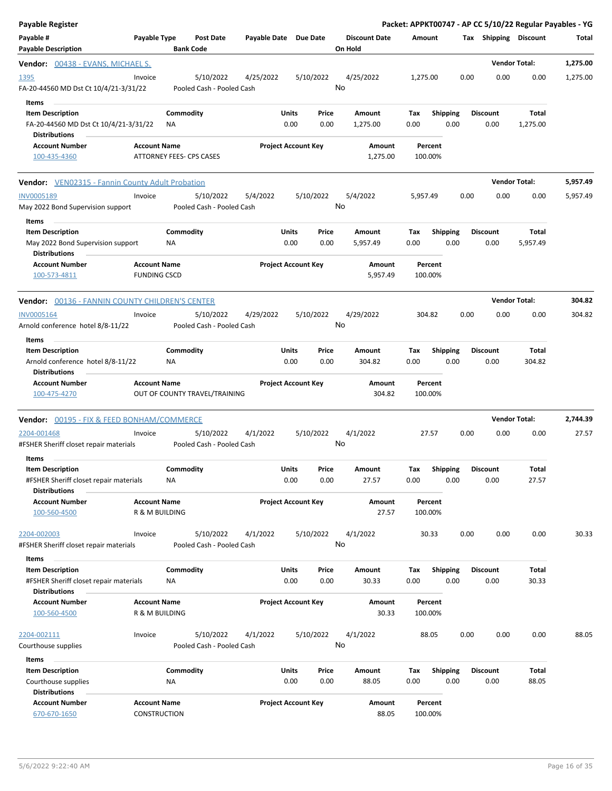| <b>Payable Register</b>                                                                       |                                            |                                        |                       |               |                            |                                 |       |                    |                         |      |                         | Packet: APPKT00747 - AP CC 5/10/22 Regular Payables - YG |          |
|-----------------------------------------------------------------------------------------------|--------------------------------------------|----------------------------------------|-----------------------|---------------|----------------------------|---------------------------------|-------|--------------------|-------------------------|------|-------------------------|----------------------------------------------------------|----------|
| Payable #<br><b>Payable Description</b>                                                       | Payable Type                               | <b>Post Date</b><br><b>Bank Code</b>   | Payable Date Due Date |               |                            | <b>Discount Date</b><br>On Hold |       | Amount             |                         |      | Tax Shipping Discount   |                                                          | Total    |
| <b>Vendor:</b> 00438 - EVANS, MICHAEL S.                                                      |                                            |                                        |                       |               |                            |                                 |       |                    |                         |      |                         | <b>Vendor Total:</b>                                     | 1,275.00 |
| 1395<br>FA-20-44560 MD Dst Ct 10/4/21-3/31/22                                                 | Invoice                                    | 5/10/2022<br>Pooled Cash - Pooled Cash | 4/25/2022             |               | 5/10/2022                  | 4/25/2022<br>No                 |       | 1,275.00           |                         | 0.00 | 0.00                    | 0.00                                                     | 1,275.00 |
| Items<br><b>Item Description</b><br>FA-20-44560 MD Dst Ct 10/4/21-3/31/22                     |                                            | Commodity<br>ΝA                        |                       | Units<br>0.00 | Price<br>0.00              | Amount<br>1,275.00              |       | Tax<br>0.00        | Shipping<br>0.00        |      | <b>Discount</b><br>0.00 | Total<br>1,275.00                                        |          |
| <b>Distributions</b><br><b>Account Number</b><br>100-435-4360                                 | <b>Account Name</b>                        | ATTORNEY FEES- CPS CASES               |                       |               | <b>Project Account Key</b> | Amount<br>1,275.00              |       | Percent<br>100.00% |                         |      |                         |                                                          |          |
| <b>Vendor:</b> VEN02315 - Fannin County Adult Probation                                       |                                            |                                        |                       |               |                            |                                 |       |                    |                         |      |                         | <b>Vendor Total:</b>                                     | 5,957.49 |
| INV0005189<br>May 2022 Bond Supervision support                                               | Invoice                                    | 5/10/2022<br>Pooled Cash - Pooled Cash | 5/4/2022              |               | 5/10/2022                  | 5/4/2022<br>No                  |       | 5,957.49           |                         | 0.00 | 0.00                    | 0.00                                                     | 5,957.49 |
| Items<br><b>Item Description</b><br>May 2022 Bond Supervision support<br><b>Distributions</b> |                                            | Commodity<br>ΝA                        |                       | Units<br>0.00 | Price<br>0.00              | Amount<br>5,957.49              |       | Tax<br>0.00        | <b>Shipping</b><br>0.00 |      | <b>Discount</b><br>0.00 | Total<br>5,957.49                                        |          |
| <b>Account Number</b><br>100-573-4811                                                         | <b>Account Name</b><br><b>FUNDING CSCD</b> |                                        |                       |               | <b>Project Account Key</b> | Amount<br>5,957.49              |       | Percent<br>100.00% |                         |      |                         |                                                          |          |
| <b>Vendor:</b> 00136 - FANNIN COUNTY CHILDREN'S CENTER                                        |                                            |                                        |                       |               |                            |                                 |       |                    |                         |      |                         | <b>Vendor Total:</b>                                     | 304.82   |
| <b>INV0005164</b><br>Arnold conference hotel 8/8-11/22<br>Items                               | Invoice                                    | 5/10/2022<br>Pooled Cash - Pooled Cash | 4/29/2022             |               | 5/10/2022                  | 4/29/2022<br>No                 |       | 304.82             |                         | 0.00 | 0.00                    | 0.00                                                     | 304.82   |
| <b>Item Description</b><br>Arnold conference hotel 8/8-11/22<br><b>Distributions</b>          |                                            | Commodity<br>NA.                       |                       | Units<br>0.00 | Price<br>0.00              | Amount<br>304.82                |       | Tax<br>0.00        | <b>Shipping</b><br>0.00 |      | <b>Discount</b><br>0.00 | Total<br>304.82                                          |          |
| <b>Account Number</b><br>100-475-4270                                                         | <b>Account Name</b>                        | OUT OF COUNTY TRAVEL/TRAINING          |                       |               | <b>Project Account Key</b> | Amount<br>304.82                |       | Percent<br>100.00% |                         |      |                         |                                                          |          |
| Vendor: 00195 - FIX & FEED BONHAM/COMMERCE                                                    |                                            |                                        |                       |               |                            |                                 |       |                    |                         |      |                         | <b>Vendor Total:</b>                                     | 2,744.39 |
| 2204-001468<br>#FSHER Sheriff closet repair materials                                         | Invoice                                    | 5/10/2022<br>Pooled Cash - Pooled Cash | 4/1/2022              |               | 5/10/2022                  | 4/1/2022<br>No                  |       | 27.57              |                         | 0.00 | 0.00                    | 0.00                                                     | 27.57    |
| Items<br>Item Description                                                                     |                                            | Commodity                              |                       | Units         | Price                      | Amount                          |       | Тах                | Shipping                |      | Discount                | Total                                                    |          |
| #FSHER Sheriff closet repair materials<br><b>Distributions</b>                                |                                            | NA                                     |                       | 0.00          | 0.00                       | 27.57                           |       | 0.00               | 0.00                    |      | 0.00                    | 27.57                                                    |          |
| <b>Account Number</b><br>100-560-4500                                                         | <b>Account Name</b><br>R & M BUILDING      |                                        |                       |               | <b>Project Account Key</b> | Amount                          | 27.57 | Percent<br>100.00% |                         |      |                         |                                                          |          |
| 2204-002003<br>#FSHER Sheriff closet repair materials                                         | Invoice                                    | 5/10/2022<br>Pooled Cash - Pooled Cash | 4/1/2022              |               | 5/10/2022                  | 4/1/2022<br>No                  |       | 30.33              |                         | 0.00 | 0.00                    | 0.00                                                     | 30.33    |
| Items                                                                                         |                                            |                                        |                       |               |                            |                                 |       |                    |                         |      |                         |                                                          |          |
| <b>Item Description</b><br>#FSHER Sheriff closet repair materials<br><b>Distributions</b>     |                                            | Commodity<br>ΝA                        |                       | Units<br>0.00 | Price<br>0.00              | Amount<br>30.33                 |       | Tax<br>0.00        | <b>Shipping</b><br>0.00 |      | <b>Discount</b><br>0.00 | <b>Total</b><br>30.33                                    |          |
| <b>Account Number</b><br>100-560-4500                                                         | <b>Account Name</b><br>R & M BUILDING      |                                        |                       |               | <b>Project Account Key</b> | Amount                          | 30.33 | Percent<br>100.00% |                         |      |                         |                                                          |          |
| 2204-002111<br>Courthouse supplies                                                            | Invoice                                    | 5/10/2022<br>Pooled Cash - Pooled Cash | 4/1/2022              |               | 5/10/2022                  | 4/1/2022<br>No                  |       | 88.05              |                         | 0.00 | 0.00                    | 0.00                                                     | 88.05    |
| Items                                                                                         |                                            |                                        |                       |               |                            |                                 |       |                    |                         |      |                         |                                                          |          |
| <b>Item Description</b><br>Courthouse supplies<br><b>Distributions</b>                        |                                            | Commodity<br><b>NA</b>                 |                       | Units<br>0.00 | Price<br>0.00              | Amount<br>88.05                 |       | Tax<br>0.00        | <b>Shipping</b><br>0.00 |      | <b>Discount</b><br>0.00 | Total<br>88.05                                           |          |
| <b>Account Number</b><br>670-670-1650                                                         | <b>Account Name</b><br>CONSTRUCTION        |                                        |                       |               | <b>Project Account Key</b> | Amount                          | 88.05 | Percent<br>100.00% |                         |      |                         |                                                          |          |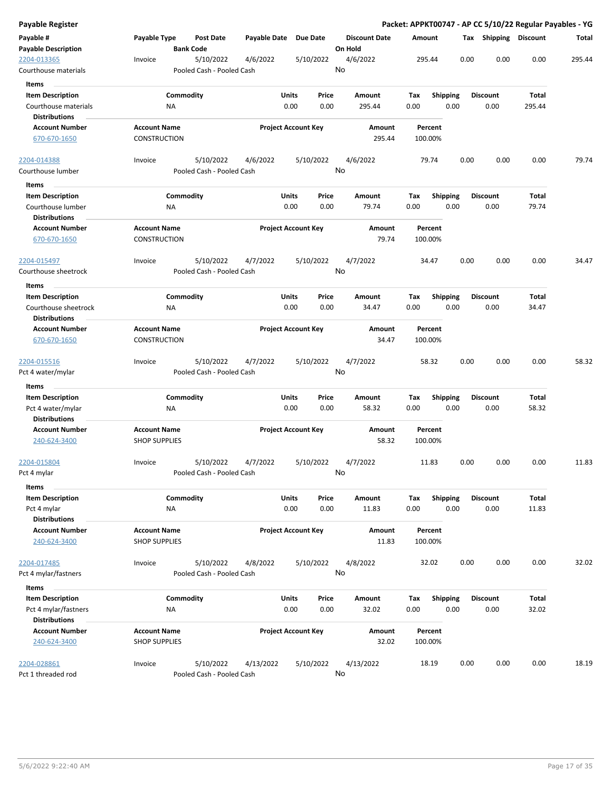| Payable Register                             |                      |                  |                                        |                       |                            |               |                      |             |                 |      | Packet: APPKT00747 - AP CC 5/10/22 Regular Payables - YG |                |        |
|----------------------------------------------|----------------------|------------------|----------------------------------------|-----------------------|----------------------------|---------------|----------------------|-------------|-----------------|------|----------------------------------------------------------|----------------|--------|
| Payable #                                    | Payable Type         |                  | Post Date                              | Payable Date Due Date |                            |               | <b>Discount Date</b> | Amount      |                 |      | Tax Shipping Discount                                    |                | Total  |
| <b>Payable Description</b>                   |                      | <b>Bank Code</b> |                                        |                       |                            |               | On Hold              |             |                 |      |                                                          |                |        |
| 2204-013365<br>Courthouse materials          | Invoice              |                  | 5/10/2022<br>Pooled Cash - Pooled Cash | 4/6/2022              |                            | 5/10/2022     | 4/6/2022<br>No       |             | 295.44          | 0.00 | 0.00                                                     | 0.00           | 295.44 |
| Items                                        |                      |                  |                                        |                       |                            |               |                      |             |                 |      |                                                          |                |        |
| <b>Item Description</b>                      |                      | Commodity        |                                        |                       | Units                      | Price         | Amount               | Tax         | <b>Shipping</b> |      | <b>Discount</b>                                          | Total          |        |
| Courthouse materials                         |                      | ΝA               |                                        |                       | 0.00                       | 0.00          | 295.44               | 0.00        |                 | 0.00 | 0.00                                                     | 295.44         |        |
| <b>Distributions</b>                         |                      |                  |                                        |                       |                            |               |                      |             |                 |      |                                                          |                |        |
| <b>Account Number</b>                        | <b>Account Name</b>  |                  |                                        |                       | <b>Project Account Key</b> |               | Amount               |             | Percent         |      |                                                          |                |        |
| 670-670-1650                                 | <b>CONSTRUCTION</b>  |                  |                                        |                       |                            |               | 295.44               |             | 100.00%         |      |                                                          |                |        |
| 2204-014388                                  | Invoice              |                  | 5/10/2022                              | 4/6/2022              |                            | 5/10/2022     | 4/6/2022             |             | 79.74           | 0.00 | 0.00                                                     | 0.00           | 79.74  |
| Courthouse lumber                            |                      |                  | Pooled Cash - Pooled Cash              |                       |                            |               | No                   |             |                 |      |                                                          |                |        |
| Items                                        |                      |                  |                                        |                       |                            |               |                      |             |                 |      |                                                          |                |        |
| <b>Item Description</b><br>Courthouse lumber |                      | Commodity<br>NA  |                                        |                       | Units<br>0.00              | Price<br>0.00 | Amount<br>79.74      | Tax<br>0.00 | <b>Shipping</b> | 0.00 | <b>Discount</b><br>0.00                                  | Total<br>79.74 |        |
| <b>Distributions</b>                         |                      |                  |                                        |                       |                            |               |                      |             |                 |      |                                                          |                |        |
| <b>Account Number</b>                        | <b>Account Name</b>  |                  |                                        |                       | <b>Project Account Key</b> |               | <b>Amount</b>        |             | Percent         |      |                                                          |                |        |
| 670-670-1650                                 | CONSTRUCTION         |                  |                                        |                       |                            |               | 79.74                |             | 100.00%         |      |                                                          |                |        |
| 2204-015497                                  | Invoice              |                  | 5/10/2022                              | 4/7/2022              |                            | 5/10/2022     | 4/7/2022             |             | 34.47           | 0.00 | 0.00                                                     | 0.00           | 34.47  |
| Courthouse sheetrock                         |                      |                  | Pooled Cash - Pooled Cash              |                       |                            |               | No                   |             |                 |      |                                                          |                |        |
| Items                                        |                      |                  |                                        |                       |                            |               |                      |             |                 |      |                                                          |                |        |
| <b>Item Description</b>                      |                      | Commodity        |                                        |                       | Units                      | Price         | <b>Amount</b>        | Tax         | Shipping        |      | <b>Discount</b>                                          | Total          |        |
| Courthouse sheetrock                         |                      | ΝA               |                                        |                       | 0.00                       | 0.00          | 34.47                | 0.00        |                 | 0.00 | 0.00                                                     | 34.47          |        |
| <b>Distributions</b>                         |                      |                  |                                        |                       |                            |               |                      |             |                 |      |                                                          |                |        |
| <b>Account Number</b>                        | <b>Account Name</b>  |                  |                                        |                       | <b>Project Account Key</b> |               | Amount               |             | Percent         |      |                                                          |                |        |
| 670-670-1650                                 | CONSTRUCTION         |                  |                                        |                       |                            |               | 34.47                |             | 100.00%         |      |                                                          |                |        |
| 2204-015516                                  | Invoice              |                  | 5/10/2022                              | 4/7/2022              |                            | 5/10/2022     | 4/7/2022             |             | 58.32           | 0.00 | 0.00                                                     | 0.00           | 58.32  |
| Pct 4 water/mylar                            |                      |                  | Pooled Cash - Pooled Cash              |                       |                            |               | No                   |             |                 |      |                                                          |                |        |
| Items                                        |                      |                  |                                        |                       |                            |               |                      |             |                 |      |                                                          |                |        |
| <b>Item Description</b>                      |                      | Commodity        |                                        |                       | Units                      | Price         | Amount               | Tax         | <b>Shipping</b> |      | <b>Discount</b>                                          | Total          |        |
| Pct 4 water/mylar                            |                      | NA               |                                        |                       | 0.00                       | 0.00          | 58.32                | 0.00        |                 | 0.00 | 0.00                                                     | 58.32          |        |
| <b>Distributions</b>                         |                      |                  |                                        |                       |                            |               |                      |             |                 |      |                                                          |                |        |
| <b>Account Number</b>                        | <b>Account Name</b>  |                  |                                        |                       | <b>Project Account Key</b> |               | Amount               |             | Percent         |      |                                                          |                |        |
| 240-624-3400                                 | <b>SHOP SUPPLIES</b> |                  |                                        |                       |                            |               | 58.32                |             | 100.00%         |      |                                                          |                |        |
| 2204-015804                                  | Invoice              |                  | 5/10/2022                              | 4/7/2022              |                            | 5/10/2022     | 4/7/2022             |             | 11.83           | 0.00 | 0.00                                                     | 0.00           | 11.83  |
| Pct 4 mylar                                  |                      |                  | Pooled Cash - Pooled Cash              |                       |                            |               | No                   |             |                 |      |                                                          |                |        |
| Items<br><b>Item Description</b>             |                      |                  |                                        |                       |                            |               |                      |             |                 |      | <b>Discount</b>                                          | Total          |        |
|                                              |                      | Commodity        |                                        |                       | Units<br>0.00              | Price<br>0.00 | Amount<br>11.83      | Tax<br>0.00 | Shipping        | 0.00 | 0.00                                                     | 11.83          |        |
| Pct 4 mylar<br><b>Distributions</b>          |                      | <b>NA</b>        |                                        |                       |                            |               |                      |             |                 |      |                                                          |                |        |
| <b>Account Number</b>                        | <b>Account Name</b>  |                  |                                        |                       | <b>Project Account Key</b> |               | Amount               |             | Percent         |      |                                                          |                |        |
| 240-624-3400                                 | <b>SHOP SUPPLIES</b> |                  |                                        |                       |                            |               | 11.83                |             | 100.00%         |      |                                                          |                |        |
| 2204-017485                                  | Invoice              |                  | 5/10/2022                              | 4/8/2022              |                            | 5/10/2022     | 4/8/2022             |             | 32.02           | 0.00 | 0.00                                                     | 0.00           | 32.02  |
| Pct 4 mylar/fastners                         |                      |                  | Pooled Cash - Pooled Cash              |                       |                            |               | No                   |             |                 |      |                                                          |                |        |
| Items                                        |                      |                  |                                        |                       |                            |               |                      |             |                 |      |                                                          |                |        |
| <b>Item Description</b>                      |                      | Commodity        |                                        |                       | Units                      | Price         | Amount               | Tax         | <b>Shipping</b> |      | <b>Discount</b>                                          | Total          |        |
| Pct 4 mylar/fastners                         |                      | ΝA               |                                        |                       | 0.00                       | 0.00          | 32.02                | 0.00        |                 | 0.00 | 0.00                                                     | 32.02          |        |
| <b>Distributions</b>                         |                      |                  |                                        |                       |                            |               |                      |             |                 |      |                                                          |                |        |
| <b>Account Number</b>                        | <b>Account Name</b>  |                  |                                        |                       | <b>Project Account Key</b> |               | Amount               |             | Percent         |      |                                                          |                |        |
| 240-624-3400                                 | <b>SHOP SUPPLIES</b> |                  |                                        |                       |                            |               | 32.02                |             | 100.00%         |      |                                                          |                |        |
| 2204-028861                                  | Invoice              |                  | 5/10/2022                              | 4/13/2022             |                            | 5/10/2022     | 4/13/2022            |             | 18.19           | 0.00 | 0.00                                                     | 0.00           | 18.19  |
| Pct 1 threaded rod                           |                      |                  | Pooled Cash - Pooled Cash              |                       |                            |               | No                   |             |                 |      |                                                          |                |        |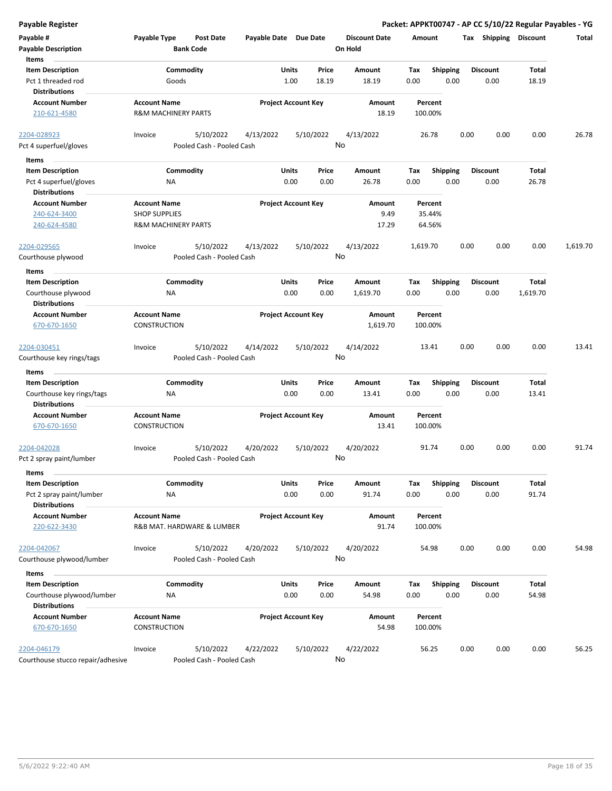| <b>Payable Register</b>                                                      |                                                                               |                                        |                       |                                |                                 |             |                             |      |                         |                       | Packet: APPKT00747 - AP CC 5/10/22 Regular Payables - YG |
|------------------------------------------------------------------------------|-------------------------------------------------------------------------------|----------------------------------------|-----------------------|--------------------------------|---------------------------------|-------------|-----------------------------|------|-------------------------|-----------------------|----------------------------------------------------------|
| Payable #<br><b>Payable Description</b>                                      | Payable Type                                                                  | <b>Post Date</b><br><b>Bank Code</b>   | Payable Date Due Date |                                | <b>Discount Date</b><br>On Hold | Amount      |                             |      | Tax Shipping Discount   |                       | Total                                                    |
| Items<br><b>Item Description</b>                                             |                                                                               | Commodity                              |                       | Price<br>Units                 | Amount                          | Tax         | <b>Shipping</b>             |      | <b>Discount</b>         | Total                 |                                                          |
| Pct 1 threaded rod<br><b>Distributions</b>                                   |                                                                               | Goods                                  |                       | 1.00<br>18.19                  | 18.19                           | 0.00        | 0.00                        |      | 0.00                    | 18.19                 |                                                          |
| <b>Account Number</b><br>210-621-4580                                        | <b>Account Name</b><br><b>R&amp;M MACHINERY PARTS</b>                         |                                        |                       | <b>Project Account Key</b>     | Amount<br>18.19                 | 100.00%     | Percent                     |      |                         |                       |                                                          |
| 2204-028923<br>Pct 4 superfuel/gloves                                        | Invoice                                                                       | 5/10/2022<br>Pooled Cash - Pooled Cash | 4/13/2022             | 5/10/2022                      | 4/13/2022<br>No                 |             | 26.78                       | 0.00 | 0.00                    | 0.00                  | 26.78                                                    |
|                                                                              |                                                                               |                                        |                       |                                |                                 |             |                             |      |                         |                       |                                                          |
| Items                                                                        |                                                                               |                                        |                       |                                |                                 |             |                             |      |                         |                       |                                                          |
| <b>Item Description</b><br>Pct 4 superfuel/gloves                            | ΝA                                                                            | Commodity                              |                       | Units<br>Price<br>0.00<br>0.00 | Amount<br>26.78                 | Tax<br>0.00 | <b>Shipping</b><br>0.00     |      | <b>Discount</b><br>0.00 | Total<br>26.78        |                                                          |
| <b>Distributions</b>                                                         |                                                                               |                                        |                       |                                |                                 |             |                             |      |                         |                       |                                                          |
| <b>Account Number</b><br>240-624-3400<br>240-624-4580                        | <b>Account Name</b><br><b>SHOP SUPPLIES</b><br><b>R&amp;M MACHINERY PARTS</b> |                                        |                       | <b>Project Account Key</b>     | Amount<br>9.49<br>17.29         |             | Percent<br>35.44%<br>64.56% |      |                         |                       |                                                          |
| 2204-029565                                                                  | Invoice                                                                       | 5/10/2022                              | 4/13/2022             | 5/10/2022                      | 4/13/2022                       | 1,619.70    |                             | 0.00 | 0.00                    | 0.00                  | 1,619.70                                                 |
| Courthouse plywood                                                           |                                                                               | Pooled Cash - Pooled Cash              |                       |                                | No                              |             |                             |      |                         |                       |                                                          |
| Items                                                                        |                                                                               |                                        |                       |                                |                                 |             |                             |      |                         |                       |                                                          |
| <b>Item Description</b><br>Courthouse plywood                                | ΝA                                                                            | Commodity                              |                       | Units<br>Price<br>0.00<br>0.00 | Amount<br>1,619.70              | Tax<br>0.00 | <b>Shipping</b><br>0.00     |      | <b>Discount</b><br>0.00 | Total<br>1,619.70     |                                                          |
| <b>Distributions</b>                                                         |                                                                               |                                        |                       |                                |                                 |             |                             |      |                         |                       |                                                          |
| <b>Account Number</b><br>670-670-1650                                        | <b>Account Name</b><br>CONSTRUCTION                                           |                                        |                       | <b>Project Account Key</b>     | Amount<br>1,619.70              | 100.00%     | Percent                     |      |                         |                       |                                                          |
| 2204-030451                                                                  | Invoice                                                                       | 5/10/2022<br>Pooled Cash - Pooled Cash | 4/14/2022             | 5/10/2022                      | 4/14/2022<br>No                 |             | 13.41                       | 0.00 | 0.00                    | 0.00                  | 13.41                                                    |
| Courthouse key rings/tags                                                    |                                                                               |                                        |                       |                                |                                 |             |                             |      |                         |                       |                                                          |
| Items                                                                        |                                                                               |                                        |                       |                                |                                 |             |                             |      |                         |                       |                                                          |
| <b>Item Description</b><br>Courthouse key rings/tags<br><b>Distributions</b> | ΝA                                                                            | Commodity                              |                       | Units<br>Price<br>0.00<br>0.00 | Amount<br>13.41                 | Tax<br>0.00 | <b>Shipping</b><br>0.00     |      | <b>Discount</b><br>0.00 | <b>Total</b><br>13.41 |                                                          |
| <b>Account Number</b><br>670-670-1650                                        | <b>Account Name</b><br>CONSTRUCTION                                           |                                        |                       | <b>Project Account Key</b>     | <b>Amount</b><br>13.41          | 100.00%     | Percent                     |      |                         |                       |                                                          |
| 2204-042028<br>Pct 2 spray paint/lumber                                      | Invoice                                                                       | 5/10/2022<br>Pooled Cash - Pooled Cash | 4/20/2022             | 5/10/2022                      | 4/20/2022<br>No                 |             | 91.74                       | 0.00 | 0.00                    | 0.00                  | 91.74                                                    |
| Items                                                                        |                                                                               |                                        |                       |                                |                                 |             |                             |      | <b>Discount</b>         |                       |                                                          |
| <b>Item Description</b><br>Pct 2 spray paint/lumber<br><b>Distributions</b>  | <b>NA</b>                                                                     | Commodity                              |                       | Units<br>Price<br>0.00<br>0.00 | Amount<br>91.74                 | Tax<br>0.00 | <b>Shipping</b><br>0.00     |      | 0.00                    | <b>Total</b><br>91.74 |                                                          |
| <b>Account Number</b><br>220-622-3430                                        | <b>Account Name</b>                                                           | R&B MAT. HARDWARE & LUMBER             |                       | <b>Project Account Key</b>     | Amount<br>91.74                 | 100.00%     | Percent                     |      |                         |                       |                                                          |
| 2204-042067                                                                  | Invoice                                                                       | 5/10/2022                              | 4/20/2022             | 5/10/2022                      | 4/20/2022<br>No                 |             | 54.98                       | 0.00 | 0.00                    | 0.00                  | 54.98                                                    |
| Courthouse plywood/lumber                                                    |                                                                               | Pooled Cash - Pooled Cash              |                       |                                |                                 |             |                             |      |                         |                       |                                                          |
| Items                                                                        |                                                                               |                                        |                       |                                |                                 |             |                             |      |                         |                       |                                                          |
| <b>Item Description</b><br>Courthouse plywood/lumber                         | ΝA                                                                            | Commodity                              |                       | Units<br>Price<br>0.00<br>0.00 | Amount<br>54.98                 | Tax<br>0.00 | <b>Shipping</b><br>0.00     |      | <b>Discount</b><br>0.00 | Total<br>54.98        |                                                          |
| <b>Distributions</b>                                                         |                                                                               |                                        |                       |                                |                                 |             |                             |      |                         |                       |                                                          |
| <b>Account Number</b><br>670-670-1650                                        | <b>Account Name</b><br>CONSTRUCTION                                           |                                        |                       | <b>Project Account Key</b>     | Amount<br>54.98                 | 100.00%     | Percent                     |      |                         |                       |                                                          |
| 2204-046179<br>Courthouse stucco repair/adhesive                             | Invoice                                                                       | 5/10/2022<br>Pooled Cash - Pooled Cash | 4/22/2022             | 5/10/2022                      | 4/22/2022<br>No                 |             | 56.25                       | 0.00 | 0.00                    | 0.00                  | 56.25                                                    |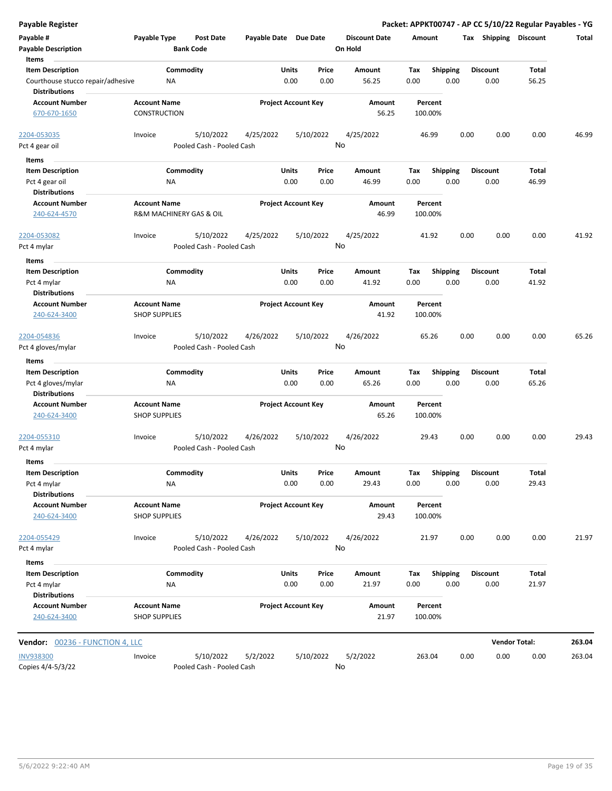| Payable Register                                             |                                             |                                      |                       |                            |                                 | Packet: APPKT00747 - AP CC 5/10/22 Regular Payables - YG |                         |      |                         |                      |        |
|--------------------------------------------------------------|---------------------------------------------|--------------------------------------|-----------------------|----------------------------|---------------------------------|----------------------------------------------------------|-------------------------|------|-------------------------|----------------------|--------|
| Payable #<br><b>Payable Description</b>                      | Payable Type                                | <b>Post Date</b><br><b>Bank Code</b> | Payable Date Due Date |                            | <b>Discount Date</b><br>On Hold | Amount                                                   |                         |      | Tax Shipping Discount   |                      | Total  |
| Items                                                        |                                             | Commodity                            |                       | <b>Units</b><br>Price      |                                 |                                                          |                         |      |                         | <b>Total</b>         |        |
| <b>Item Description</b><br>Courthouse stucco repair/adhesive | ΝA                                          |                                      |                       | 0.00<br>0.00               | Amount<br>56.25                 | Tax<br>0.00                                              | <b>Shipping</b><br>0.00 |      | <b>Discount</b><br>0.00 | 56.25                |        |
| <b>Distributions</b><br><b>Account Number</b>                | <b>Account Name</b>                         |                                      |                       | <b>Project Account Key</b> | Amount                          | Percent                                                  |                         |      |                         |                      |        |
| 670-670-1650                                                 | <b>CONSTRUCTION</b>                         |                                      |                       |                            | 56.25                           | 100.00%                                                  |                         |      |                         |                      |        |
| 2204-053035                                                  | Invoice                                     | 5/10/2022                            | 4/25/2022             | 5/10/2022                  | 4/25/2022                       | 46.99                                                    |                         | 0.00 | 0.00                    | 0.00                 | 46.99  |
| Pct 4 gear oil                                               |                                             | Pooled Cash - Pooled Cash            |                       |                            | No                              |                                                          |                         |      |                         |                      |        |
| Items                                                        |                                             |                                      |                       |                            |                                 |                                                          |                         |      |                         |                      |        |
| <b>Item Description</b>                                      |                                             | Commodity                            |                       | Units<br>Price             | Amount                          | Tax                                                      | <b>Shipping</b>         |      | <b>Discount</b>         | Total                |        |
| Pct 4 gear oil                                               | <b>NA</b>                                   |                                      |                       | 0.00<br>0.00               | 46.99                           | 0.00                                                     | 0.00                    |      | 0.00                    | 46.99                |        |
| <b>Distributions</b>                                         |                                             |                                      |                       |                            |                                 |                                                          |                         |      |                         |                      |        |
| <b>Account Number</b><br>240-624-4570                        | <b>Account Name</b>                         | R&M MACHINERY GAS & OIL              |                       | <b>Project Account Key</b> | Amount<br>46.99                 | Percent<br>100.00%                                       |                         |      |                         |                      |        |
| 2204-053082                                                  | Invoice                                     | 5/10/2022                            | 4/25/2022             | 5/10/2022                  | 4/25/2022                       | 41.92                                                    |                         | 0.00 | 0.00                    | 0.00                 | 41.92  |
| Pct 4 mylar                                                  |                                             | Pooled Cash - Pooled Cash            |                       |                            | No                              |                                                          |                         |      |                         |                      |        |
|                                                              |                                             |                                      |                       |                            |                                 |                                                          |                         |      |                         |                      |        |
| Items<br><b>Item Description</b>                             |                                             | Commodity                            |                       | Units<br>Price             | Amount                          | Tax                                                      | <b>Shipping</b>         |      | <b>Discount</b>         | <b>Total</b>         |        |
| Pct 4 mylar                                                  | <b>NA</b>                                   |                                      |                       | 0.00<br>0.00               | 41.92                           | 0.00                                                     | 0.00                    |      | 0.00                    | 41.92                |        |
| <b>Distributions</b>                                         |                                             |                                      |                       |                            |                                 |                                                          |                         |      |                         |                      |        |
| <b>Account Number</b>                                        | <b>Account Name</b>                         |                                      |                       | <b>Project Account Key</b> | Amount                          | Percent                                                  |                         |      |                         |                      |        |
| 240-624-3400                                                 | <b>SHOP SUPPLIES</b>                        |                                      |                       |                            | 41.92                           | 100.00%                                                  |                         |      |                         |                      |        |
| 2204-054836                                                  | Invoice                                     | 5/10/2022                            | 4/26/2022             | 5/10/2022                  | 4/26/2022                       | 65.26                                                    |                         | 0.00 | 0.00                    | 0.00                 | 65.26  |
| Pct 4 gloves/mylar                                           |                                             | Pooled Cash - Pooled Cash            |                       |                            | No                              |                                                          |                         |      |                         |                      |        |
| Items                                                        |                                             |                                      |                       |                            |                                 |                                                          |                         |      |                         |                      |        |
| <b>Item Description</b>                                      |                                             | Commodity                            |                       | Units<br>Price             | Amount                          | Tax                                                      | <b>Shipping</b>         |      | <b>Discount</b>         | <b>Total</b>         |        |
| Pct 4 gloves/mylar<br><b>Distributions</b>                   | <b>NA</b>                                   |                                      |                       | 0.00<br>0.00               | 65.26                           | 0.00                                                     | 0.00                    |      | 0.00                    | 65.26                |        |
| <b>Account Number</b>                                        | <b>Account Name</b>                         |                                      |                       | <b>Project Account Key</b> | Amount                          | Percent                                                  |                         |      |                         |                      |        |
| 240-624-3400                                                 | <b>SHOP SUPPLIES</b>                        |                                      |                       |                            | 65.26                           | 100.00%                                                  |                         |      |                         |                      |        |
| 2204-055310                                                  | Invoice                                     | 5/10/2022                            | 4/26/2022             | 5/10/2022                  | 4/26/2022                       | 29.43                                                    |                         | 0.00 | 0.00                    | 0.00                 | 29.43  |
| Pct 4 mylar                                                  |                                             | Pooled Cash - Pooled Cash            |                       |                            | No                              |                                                          |                         |      |                         |                      |        |
| Items                                                        |                                             |                                      |                       |                            |                                 |                                                          |                         |      |                         |                      |        |
| <b>Item Description</b>                                      |                                             | Commodity                            |                       | Units<br>Price             | Amount                          | Tax                                                      | Shipping                |      | <b>Discount</b>         | <b>Total</b>         |        |
| Pct 4 mylar                                                  | <b>NA</b>                                   |                                      |                       | 0.00<br>0.00               | 29.43                           | 0.00                                                     | 0.00                    |      | 0.00                    | 29.43                |        |
| <b>Distributions</b>                                         |                                             |                                      |                       |                            |                                 |                                                          |                         |      |                         |                      |        |
| <b>Account Number</b>                                        | <b>Account Name</b>                         |                                      |                       | <b>Project Account Key</b> | Amount                          | Percent                                                  |                         |      |                         |                      |        |
| 240-624-3400                                                 | <b>SHOP SUPPLIES</b>                        |                                      |                       |                            | 29.43                           | 100.00%                                                  |                         |      |                         |                      |        |
| 2204-055429                                                  | Invoice                                     | 5/10/2022                            | 4/26/2022             | 5/10/2022                  | 4/26/2022                       | 21.97                                                    |                         | 0.00 | 0.00                    | 0.00                 | 21.97  |
| Pct 4 mylar                                                  |                                             | Pooled Cash - Pooled Cash            |                       |                            | No                              |                                                          |                         |      |                         |                      |        |
| Items<br><b>Item Description</b>                             |                                             | Commodity                            |                       | Units<br>Price             | Amount                          | Tax                                                      | <b>Shipping</b>         |      | <b>Discount</b>         | <b>Total</b>         |        |
| Pct 4 mylar                                                  | NA                                          |                                      |                       | 0.00<br>0.00               | 21.97                           | 0.00                                                     | 0.00                    |      | 0.00                    | 21.97                |        |
| <b>Distributions</b>                                         |                                             |                                      |                       |                            |                                 |                                                          |                         |      |                         |                      |        |
| <b>Account Number</b><br>240-624-3400                        | <b>Account Name</b><br><b>SHOP SUPPLIES</b> |                                      |                       | <b>Project Account Key</b> | Amount<br>21.97                 | Percent<br>100.00%                                       |                         |      |                         |                      |        |
|                                                              |                                             |                                      |                       |                            |                                 |                                                          |                         |      |                         |                      |        |
| Vendor: 00236 - FUNCTION 4, LLC                              |                                             |                                      |                       |                            |                                 |                                                          |                         |      |                         | <b>Vendor Total:</b> | 263.04 |
| <b>INV938300</b>                                             | Invoice                                     | 5/10/2022                            | 5/2/2022              | 5/10/2022                  | 5/2/2022                        | 263.04                                                   |                         | 0.00 | 0.00                    | 0.00                 | 263.04 |
| Copies 4/4-5/3/22                                            |                                             | Pooled Cash - Pooled Cash            |                       |                            | No                              |                                                          |                         |      |                         |                      |        |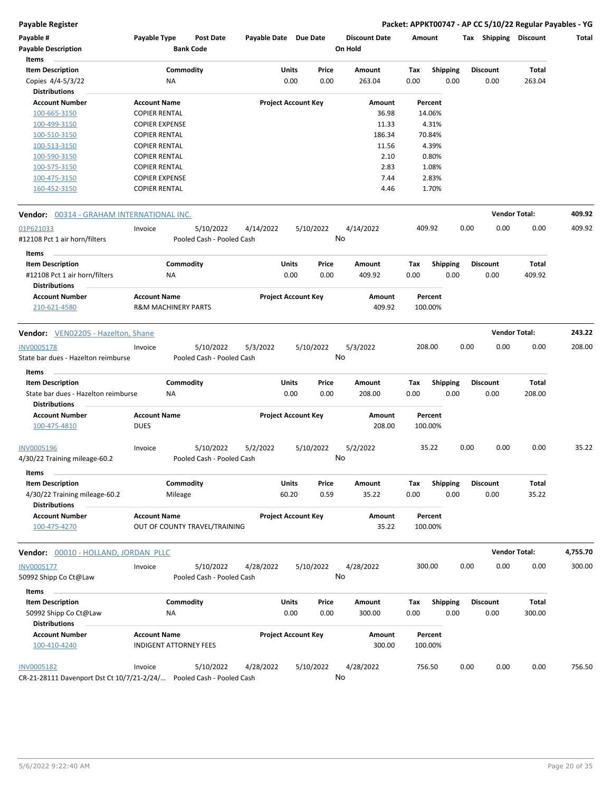| Payable #<br><b>Payable Description</b><br>Items                                 | Payable Type                                  | Post Date<br><b>Bank Code</b>          | Payable Date Due Date |                                 | <b>Discount Date</b><br>On Hold | Amount                         |      | Shipping<br>Tax         | <b>Discount</b> | Total    |
|----------------------------------------------------------------------------------|-----------------------------------------------|----------------------------------------|-----------------------|---------------------------------|---------------------------------|--------------------------------|------|-------------------------|-----------------|----------|
| <b>Item Description</b><br>Copies 4/4-5/3/22<br><b>Distributions</b>             | <b>NA</b>                                     | Commodity                              |                       | Units<br>Price<br>0.00<br>0.00  | Amount<br>263.04                | Tax<br><b>Shipping</b><br>0.00 | 0.00 | <b>Discount</b><br>0.00 | Total<br>263.04 |          |
| <b>Account Number</b>                                                            | <b>Account Name</b>                           |                                        |                       | <b>Project Account Key</b>      | Amount                          | Percent                        |      |                         |                 |          |
| 100-665-3150                                                                     | <b>COPIER RENTAL</b>                          |                                        |                       |                                 | 36.98                           | 14.06%                         |      |                         |                 |          |
| 100-499-3150                                                                     | <b>COPIER EXPENSE</b>                         |                                        |                       |                                 | 11.33                           | 4.31%                          |      |                         |                 |          |
| 100-510-3150                                                                     | <b>COPIER RENTAL</b>                          |                                        |                       |                                 | 186.34                          | 70.84%                         |      |                         |                 |          |
| 100-513-3150                                                                     | <b>COPIER RENTAL</b>                          |                                        |                       |                                 | 11.56                           | 4.39%                          |      |                         |                 |          |
| 100-590-3150                                                                     | <b>COPIER RENTAL</b>                          |                                        |                       |                                 | 2.10                            | 0.80%                          |      |                         |                 |          |
| 100-575-3150                                                                     | <b>COPIER RENTAL</b>                          |                                        |                       |                                 | 2.83                            | 1.08%                          |      |                         |                 |          |
| 100-475-3150<br>160-452-3150                                                     | <b>COPIER EXPENSE</b><br><b>COPIER RENTAL</b> |                                        |                       |                                 | 7.44<br>4.46                    | 2.83%<br>1.70%                 |      |                         |                 |          |
| <b>Vendor:</b> 00314 - GRAHAM INTERNATIONAL INC.                                 |                                               |                                        |                       |                                 |                                 |                                |      | <b>Vendor Total:</b>    |                 | 409.92   |
| 01P621033                                                                        | Invoice                                       | 5/10/2022                              | 4/14/2022             | 5/10/2022                       | 4/14/2022                       | 409.92                         | 0.00 | 0.00                    | 0.00            | 409.92   |
| #12108 Pct 1 air horn/filters                                                    |                                               | Pooled Cash - Pooled Cash              |                       |                                 | No                              |                                |      |                         |                 |          |
| Items                                                                            |                                               |                                        |                       |                                 |                                 |                                |      |                         |                 |          |
| <b>Item Description</b><br>#12108 Pct 1 air horn/filters<br><b>Distributions</b> | NA                                            | Commodity                              |                       | Units<br>Price<br>0.00<br>0.00  | Amount<br>409.92                | <b>Shipping</b><br>Tax<br>0.00 | 0.00 | <b>Discount</b><br>0.00 | Total<br>409.92 |          |
| <b>Account Number</b>                                                            | <b>Account Name</b>                           |                                        |                       | <b>Project Account Key</b>      | Amount                          | Percent                        |      |                         |                 |          |
| 210-621-4580                                                                     | <b>R&amp;M MACHINERY PARTS</b>                |                                        |                       |                                 | 409.92                          | 100.00%                        |      |                         |                 |          |
| Vendor: VEN02205 - Hazelton, Shane                                               |                                               |                                        |                       |                                 |                                 |                                |      | <b>Vendor Total:</b>    |                 | 243.22   |
| <b>INV0005178</b>                                                                | Invoice                                       | 5/10/2022                              | 5/3/2022              | 5/10/2022                       | 5/3/2022                        | 208.00                         | 0.00 | 0.00                    | 0.00            | 208.00   |
| State bar dues - Hazelton reimburse                                              |                                               | Pooled Cash - Pooled Cash              |                       |                                 | No                              |                                |      |                         |                 |          |
| Items                                                                            |                                               |                                        |                       |                                 |                                 |                                |      |                         |                 |          |
| <b>Item Description</b>                                                          |                                               | Commodity                              |                       | Units<br>Price                  | Amount                          | <b>Shipping</b><br>Tax         |      | Discount                | Total           |          |
| State bar dues - Hazelton reimburse<br><b>Distributions</b>                      | ΝA                                            |                                        |                       | 0.00<br>0.00                    | 208.00                          | 0.00                           | 0.00 | 0.00                    | 208.00          |          |
| <b>Account Number</b><br>100-475-4810                                            | <b>Account Name</b><br><b>DUES</b>            |                                        |                       | <b>Project Account Key</b>      | Amount<br>208.00                | Percent<br>100.00%             |      |                         |                 |          |
| <b>INV0005196</b><br>4/30/22 Training mileage-60.2                               | Invoice                                       | 5/10/2022<br>Pooled Cash - Pooled Cash | 5/2/2022              | 5/10/2022                       | 5/2/2022<br>No                  | 35.22                          | 0.00 | 0.00                    | 0.00            | 35.22    |
| Items                                                                            |                                               |                                        |                       |                                 |                                 |                                |      |                         |                 |          |
| <b>Item Description</b><br>4/30/22 Training mileage-60.2<br><b>Distributions</b> |                                               | Commodity<br>Mileage                   |                       | Units<br>Price<br>60.20<br>0.59 | Amount<br>35.22                 | Shipping<br>Tax<br>0.00        | 0.00 | Discount<br>0.00        | Total<br>35.22  |          |
| <b>Account Number</b><br>100-475-4270                                            | <b>Account Name</b>                           | OUT OF COUNTY TRAVEL/TRAINING          |                       | <b>Project Account Key</b>      | Amount<br>35.22                 | Percent<br>100.00%             |      |                         |                 |          |
| Vendor: 00010 - HOLLAND, JORDAN PLLC                                             |                                               |                                        |                       |                                 |                                 |                                |      | <b>Vendor Total:</b>    |                 | 4,755.70 |
| <b>INV0005177</b><br>50992 Shipp Co Ct@Law                                       | Invoice                                       | 5/10/2022<br>Pooled Cash - Pooled Cash | 4/28/2022             | 5/10/2022                       | 4/28/2022<br>No                 | 300.00                         | 0.00 | 0.00                    | 0.00            | 300.00   |
| Items                                                                            |                                               |                                        |                       |                                 |                                 |                                |      |                         |                 |          |
| <b>Item Description</b>                                                          |                                               | Commodity                              |                       | Units<br>Price                  | Amount                          | Tax<br><b>Shipping</b>         |      | <b>Discount</b>         | Total           |          |
| 50992 Shipp Co Ct@Law<br><b>Distributions</b>                                    | ΝA                                            |                                        |                       | 0.00<br>0.00                    | 300.00                          | 0.00                           | 0.00 | 0.00                    | 300.00          |          |
| <b>Account Number</b><br>100-410-4240                                            | <b>Account Name</b>                           | <b>INDIGENT ATTORNEY FEES</b>          |                       | <b>Project Account Key</b>      | Amount<br>300.00                | Percent<br>100.00%             |      |                         |                 |          |
| <b>INV0005182</b>                                                                | Invoice                                       | 5/10/2022                              | 4/28/2022             | 5/10/2022                       | 4/28/2022                       | 756.50                         | 0.00 | 0.00                    | 0.00            | 756.50   |
| CR-21-28111 Davenport Dst Ct 10/7/21-2/24/                                       |                                               | Pooled Cash - Pooled Cash              |                       |                                 | No                              |                                |      |                         |                 |          |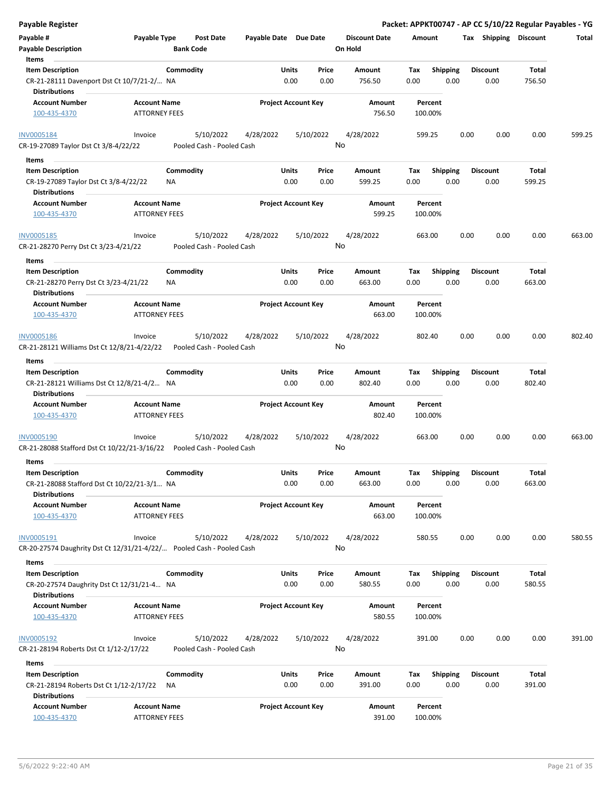| <b>Payable Register</b>                                                                  |                                             |                                        |                       |                                |                      |                    |                         |      |                         |                       | Packet: APPKT00747 - AP CC 5/10/22 Regular Payables - YG |
|------------------------------------------------------------------------------------------|---------------------------------------------|----------------------------------------|-----------------------|--------------------------------|----------------------|--------------------|-------------------------|------|-------------------------|-----------------------|----------------------------------------------------------|
| Payable #                                                                                | Payable Type                                | <b>Post Date</b>                       | Payable Date Due Date |                                | <b>Discount Date</b> | Amount             |                         |      |                         | Tax Shipping Discount | Total                                                    |
| <b>Payable Description</b>                                                               |                                             | <b>Bank Code</b>                       |                       |                                | On Hold              |                    |                         |      |                         |                       |                                                          |
| Items                                                                                    |                                             |                                        |                       |                                |                      |                    |                         |      |                         |                       |                                                          |
| <b>Item Description</b>                                                                  | Commodity                                   |                                        |                       | Units<br>Price                 | Amount               | Tax                | Shipping                |      | <b>Discount</b>         | Total                 |                                                          |
| CR-21-28111 Davenport Dst Ct 10/7/21-2/ NA                                               |                                             |                                        |                       | 0.00<br>0.00                   | 756.50               | 0.00               | 0.00                    |      | 0.00                    | 756.50                |                                                          |
| <b>Distributions</b>                                                                     |                                             |                                        |                       |                                |                      |                    |                         |      |                         |                       |                                                          |
| <b>Account Number</b>                                                                    | <b>Account Name</b>                         |                                        |                       | <b>Project Account Key</b>     | Amount               | Percent            |                         |      |                         |                       |                                                          |
| 100-435-4370                                                                             | ATTORNEY FEES                               |                                        |                       |                                | 756.50               | 100.00%            |                         |      |                         |                       |                                                          |
| <b>INV0005184</b><br>CR-19-27089 Taylor Dst Ct 3/8-4/22/22                               | Invoice                                     | 5/10/2022<br>Pooled Cash - Pooled Cash | 4/28/2022             | 5/10/2022                      | 4/28/2022<br>No      | 599.25             |                         | 0.00 | 0.00                    | 0.00                  | 599.25                                                   |
| Items                                                                                    |                                             |                                        |                       |                                |                      |                    |                         |      |                         |                       |                                                          |
| <b>Item Description</b>                                                                  | Commodity                                   |                                        |                       | Units<br>Price                 | Amount               | Tax                | <b>Shipping</b>         |      | <b>Discount</b>         | Total                 |                                                          |
| CR-19-27089 Taylor Dst Ct 3/8-4/22/22<br><b>Distributions</b>                            | ΝA                                          |                                        |                       | 0.00<br>0.00                   | 599.25               | 0.00               | 0.00                    |      | 0.00                    | 599.25                |                                                          |
| <b>Account Number</b>                                                                    | <b>Account Name</b>                         |                                        |                       | <b>Project Account Key</b>     | Amount               | Percent            |                         |      |                         |                       |                                                          |
| 100-435-4370                                                                             | <b>ATTORNEY FEES</b>                        |                                        |                       |                                | 599.25               | 100.00%            |                         |      |                         |                       |                                                          |
| INV0005185                                                                               | Invoice                                     | 5/10/2022<br>Pooled Cash - Pooled Cash | 4/28/2022             | 5/10/2022                      | 4/28/2022<br>No      | 663.00             |                         | 0.00 | 0.00                    | 0.00                  | 663.00                                                   |
| CR-21-28270 Perry Dst Ct 3/23-4/21/22                                                    |                                             |                                        |                       |                                |                      |                    |                         |      |                         |                       |                                                          |
| Items                                                                                    |                                             |                                        |                       |                                |                      |                    |                         |      |                         |                       |                                                          |
| <b>Item Description</b><br>CR-21-28270 Perry Dst Ct 3/23-4/21/22<br><b>Distributions</b> | Commodity<br>ΝA                             |                                        |                       | Units<br>Price<br>0.00<br>0.00 | Amount<br>663.00     | Tax<br>0.00        | <b>Shipping</b><br>0.00 |      | <b>Discount</b><br>0.00 | Total<br>663.00       |                                                          |
| <b>Account Number</b>                                                                    | <b>Account Name</b>                         |                                        |                       | <b>Project Account Key</b>     | Amount               | Percent            |                         |      |                         |                       |                                                          |
| 100-435-4370                                                                             | <b>ATTORNEY FEES</b>                        |                                        |                       |                                | 663.00               | 100.00%            |                         |      |                         |                       |                                                          |
| INV0005186                                                                               | Invoice                                     | 5/10/2022                              | 4/28/2022             | 5/10/2022                      | 4/28/2022            | 802.40             |                         | 0.00 | 0.00                    | 0.00                  | 802.40                                                   |
| CR-21-28121 Williams Dst Ct 12/8/21-4/22/22                                              |                                             | Pooled Cash - Pooled Cash              |                       |                                | No                   |                    |                         |      |                         |                       |                                                          |
|                                                                                          |                                             |                                        |                       |                                |                      |                    |                         |      |                         |                       |                                                          |
| Items                                                                                    |                                             |                                        |                       |                                |                      |                    |                         |      |                         |                       |                                                          |
| <b>Item Description</b><br>CR-21-28121 Williams Dst Ct 12/8/21-4/2 NA                    | Commodity                                   |                                        |                       | Units<br>Price<br>0.00<br>0.00 | Amount<br>802.40     | Tax<br>0.00        | <b>Shipping</b><br>0.00 |      | <b>Discount</b><br>0.00 | Total<br>802.40       |                                                          |
| <b>Distributions</b>                                                                     |                                             |                                        |                       |                                |                      |                    |                         |      |                         |                       |                                                          |
| <b>Account Number</b><br>100-435-4370                                                    | <b>Account Name</b><br><b>ATTORNEY FEES</b> |                                        |                       | <b>Project Account Key</b>     | Amount<br>802.40     | Percent<br>100.00% |                         |      |                         |                       |                                                          |
| INV0005190                                                                               | Invoice                                     | 5/10/2022                              | 4/28/2022             | 5/10/2022                      | 4/28/2022            | 663.00             |                         | 0.00 | 0.00                    | 0.00                  | 663.00                                                   |
| CR-21-28088 Stafford Dst Ct 10/22/21-3/16/22    Pooled Cash - Pooled Cash                |                                             |                                        |                       |                                | No                   |                    |                         |      |                         |                       |                                                          |
|                                                                                          |                                             |                                        |                       |                                |                      |                    |                         |      |                         |                       |                                                          |
| Items                                                                                    |                                             |                                        |                       |                                |                      |                    |                         |      |                         |                       |                                                          |
| <b>Item Description</b>                                                                  | Commodity                                   |                                        |                       | Units<br>Price                 | Amount               | Tax                | Shipping                |      | <b>Discount</b>         | Total                 |                                                          |
| CR-21-28088 Stafford Dst Ct 10/22/21-3/1 NA                                              |                                             |                                        |                       | 0.00<br>0.00                   | 663.00               | 0.00               | 0.00                    |      | 0.00                    | 663.00                |                                                          |
| <b>Distributions</b>                                                                     |                                             |                                        |                       |                                |                      |                    |                         |      |                         |                       |                                                          |
| <b>Account Number</b><br>100-435-4370                                                    | <b>Account Name</b><br><b>ATTORNEY FEES</b> |                                        |                       | <b>Project Account Key</b>     | Amount<br>663.00     | Percent<br>100.00% |                         |      |                         |                       |                                                          |
|                                                                                          |                                             |                                        |                       |                                |                      |                    |                         |      |                         |                       |                                                          |
| INV0005191                                                                               | Invoice                                     | 5/10/2022                              | 4/28/2022             | 5/10/2022                      | 4/28/2022            | 580.55             |                         | 0.00 | 0.00                    | 0.00                  | 580.55                                                   |
| CR-20-27574 Daughrity Dst Ct 12/31/21-4/22/ Pooled Cash - Pooled Cash                    |                                             |                                        |                       |                                | No                   |                    |                         |      |                         |                       |                                                          |
| Items                                                                                    |                                             |                                        |                       |                                |                      |                    |                         |      |                         |                       |                                                          |
| <b>Item Description</b>                                                                  | Commodity                                   |                                        |                       | <b>Units</b><br>Price          | Amount               | Tax                | <b>Shipping</b>         |      | <b>Discount</b>         | Total                 |                                                          |
| CR-20-27574 Daughrity Dst Ct 12/31/21-4 NA<br><b>Distributions</b>                       |                                             |                                        |                       | 0.00<br>0.00                   | 580.55               | 0.00               | 0.00                    |      | 0.00                    | 580.55                |                                                          |
| <b>Account Number</b>                                                                    | <b>Account Name</b>                         |                                        |                       | <b>Project Account Key</b>     | Amount               | Percent            |                         |      |                         |                       |                                                          |
| 100-435-4370                                                                             | <b>ATTORNEY FEES</b>                        |                                        |                       |                                | 580.55               | 100.00%            |                         |      |                         |                       |                                                          |
| <b>INV0005192</b><br>CR-21-28194 Roberts Dst Ct 1/12-2/17/22                             | Invoice                                     | 5/10/2022<br>Pooled Cash - Pooled Cash | 4/28/2022             | 5/10/2022                      | 4/28/2022<br>No      | 391.00             |                         | 0.00 | 0.00                    | 0.00                  | 391.00                                                   |
|                                                                                          |                                             |                                        |                       |                                |                      |                    |                         |      |                         |                       |                                                          |
| Items<br><b>Item Description</b>                                                         | Commodity                                   |                                        |                       | Units<br>Price                 | Amount               | Tax                | <b>Shipping</b>         |      | <b>Discount</b>         | Total                 |                                                          |
| CR-21-28194 Roberts Dst Ct 1/12-2/17/22                                                  | ΝA                                          |                                        |                       | 0.00<br>0.00                   | 391.00               | 0.00               | 0.00                    |      | 0.00                    | 391.00                |                                                          |
| <b>Distributions</b>                                                                     |                                             |                                        |                       |                                |                      |                    |                         |      |                         |                       |                                                          |
| <b>Account Number</b>                                                                    | <b>Account Name</b>                         |                                        |                       | <b>Project Account Key</b>     | Amount               | Percent            |                         |      |                         |                       |                                                          |
| 100-435-4370                                                                             | <b>ATTORNEY FEES</b>                        |                                        |                       |                                | 391.00               | 100.00%            |                         |      |                         |                       |                                                          |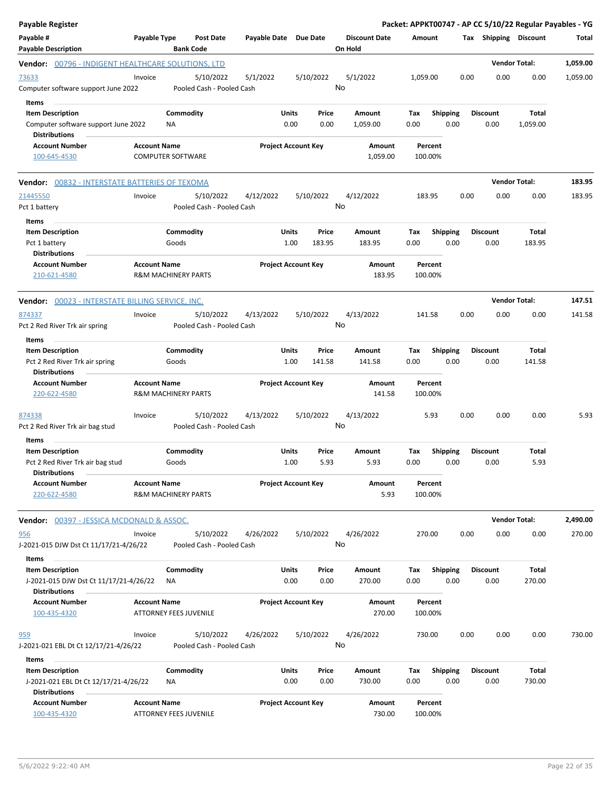| <b>Payable Register</b>                                                                    |                                                       |                    |                                        |                       |                            |                 |                                 |                    |             |                         |      |                         |                      | Packet: APPKT00747 - AP CC 5/10/22 Regular Payables - YG |
|--------------------------------------------------------------------------------------------|-------------------------------------------------------|--------------------|----------------------------------------|-----------------------|----------------------------|-----------------|---------------------------------|--------------------|-------------|-------------------------|------|-------------------------|----------------------|----------------------------------------------------------|
| Payable #<br><b>Payable Description</b>                                                    | Payable Type                                          |                    | <b>Post Date</b><br><b>Bank Code</b>   | Payable Date Due Date |                            |                 | <b>Discount Date</b><br>On Hold |                    | Amount      |                         |      | Tax Shipping Discount   |                      | Total                                                    |
| Vendor: 00796 - INDIGENT HEALTHCARE SOLUTIONS, LTD                                         |                                                       |                    |                                        |                       |                            |                 |                                 |                    |             |                         |      |                         | <b>Vendor Total:</b> | 1,059.00                                                 |
| 73633<br>Computer software support June 2022                                               | Invoice                                               |                    | 5/10/2022<br>Pooled Cash - Pooled Cash | 5/1/2022              |                            | 5/10/2022       | 5/1/2022<br>No                  |                    | 1,059.00    |                         | 0.00 | 0.00                    | 0.00                 | 1,059.00                                                 |
| Items<br><b>Item Description</b><br>Computer software support June 2022                    |                                                       | Commodity<br>ΝA    |                                        |                       | Units<br>0.00              | Price<br>0.00   | Amount<br>1,059.00              |                    | Tax<br>0.00 | <b>Shipping</b><br>0.00 |      | <b>Discount</b><br>0.00 | Total<br>1,059.00    |                                                          |
| <b>Distributions</b><br><b>Account Number</b>                                              | <b>Account Name</b>                                   |                    |                                        |                       | <b>Project Account Key</b> |                 |                                 |                    |             | Percent                 |      |                         |                      |                                                          |
| 100-645-4530                                                                               | <b>COMPUTER SOFTWARE</b>                              |                    |                                        |                       |                            |                 |                                 | Amount<br>1,059.00 | 100.00%     |                         |      |                         |                      |                                                          |
| Vendor: 00832 - INTERSTATE BATTERIES OF TEXOMA                                             |                                                       |                    |                                        |                       |                            |                 |                                 |                    |             |                         |      |                         | <b>Vendor Total:</b> | 183.95                                                   |
| 21445550<br>Pct 1 battery<br>Items                                                         | Invoice                                               |                    | 5/10/2022<br>Pooled Cash - Pooled Cash | 4/12/2022             |                            | 5/10/2022       | 4/12/2022<br>No                 |                    | 183.95      |                         | 0.00 | 0.00                    | 0.00                 | 183.95                                                   |
| <b>Item Description</b><br>Pct 1 battery<br><b>Distributions</b>                           |                                                       | Commodity<br>Goods |                                        |                       | Units<br>1.00              | Price<br>183.95 | Amount<br>183.95                |                    | Tax<br>0.00 | <b>Shipping</b><br>0.00 |      | <b>Discount</b><br>0.00 | Total<br>183.95      |                                                          |
| <b>Account Number</b><br>210-621-4580                                                      | <b>Account Name</b><br><b>R&amp;M MACHINERY PARTS</b> |                    |                                        |                       | <b>Project Account Key</b> |                 |                                 | Amount<br>183.95   | 100.00%     | Percent                 |      |                         |                      |                                                          |
| <b>Vendor:</b> 00023 - INTERSTATE BILLING SERVICE, INC.                                    |                                                       |                    |                                        |                       |                            |                 |                                 |                    |             |                         |      |                         | <b>Vendor Total:</b> | 147.51                                                   |
| 874337<br>Pct 2 Red River Trk air spring                                                   | Invoice                                               |                    | 5/10/2022<br>Pooled Cash - Pooled Cash | 4/13/2022             |                            | 5/10/2022       | 4/13/2022<br>No                 |                    | 141.58      |                         | 0.00 | 0.00                    | 0.00                 | 141.58                                                   |
| Items<br><b>Item Description</b><br>Pct 2 Red River Trk air spring<br><b>Distributions</b> |                                                       | Commodity<br>Goods |                                        |                       | Units<br>1.00              | Price<br>141.58 | Amount<br>141.58                |                    | Tax<br>0.00 | <b>Shipping</b><br>0.00 |      | <b>Discount</b><br>0.00 | Total<br>141.58      |                                                          |
| <b>Account Number</b><br>220-622-4580                                                      | <b>Account Name</b><br><b>R&amp;M MACHINERY PARTS</b> |                    |                                        |                       | <b>Project Account Key</b> |                 |                                 | Amount<br>141.58   | 100.00%     | Percent                 |      |                         |                      |                                                          |
| 874338<br>Pct 2 Red River Trk air bag stud                                                 | Invoice                                               |                    | 5/10/2022<br>Pooled Cash - Pooled Cash | 4/13/2022             |                            | 5/10/2022       | 4/13/2022<br>No                 |                    |             | 5.93                    | 0.00 | 0.00                    | 0.00                 | 5.93                                                     |
| <b>Items</b><br><b>Item Description</b>                                                    |                                                       | Commodity          |                                        |                       | Units                      | Price           | <b>Amount</b>                   |                    | Tax         | <b>Shipping</b>         |      | Discount                | Total                |                                                          |
| Pct 2 Red River Trk air bag stud<br><b>Distributions</b>                                   |                                                       | Goods              |                                        |                       | 1.00                       | 5.93            |                                 | 5.93               | 0.00        | 0.00                    |      | 0.00                    | 5.93                 |                                                          |
| <b>Account Number</b><br>220-622-4580                                                      | <b>Account Name</b><br><b>R&amp;M MACHINERY PARTS</b> |                    |                                        |                       | <b>Project Account Key</b> |                 |                                 | Amount<br>5.93     | 100.00%     | Percent                 |      |                         |                      |                                                          |
| <b>Vendor:</b> 00397 - JESSICA MCDONALD & ASSOC.                                           |                                                       |                    |                                        |                       |                            |                 |                                 |                    |             |                         |      |                         | <b>Vendor Total:</b> | 2,490.00                                                 |
| <u>956</u><br>J-2021-015 DJW Dst Ct 11/17/21-4/26/22                                       | Invoice                                               |                    | 5/10/2022<br>Pooled Cash - Pooled Cash | 4/26/2022             |                            | 5/10/2022       | 4/26/2022<br>No                 |                    | 270.00      |                         | 0.00 | 0.00                    | 0.00                 | 270.00                                                   |
| Items<br><b>Item Description</b>                                                           |                                                       | Commodity          |                                        |                       | Units                      | Price           | Amount                          |                    | Tax         | <b>Shipping</b>         |      | <b>Discount</b>         | Total                |                                                          |
| J-2021-015 DJW Dst Ct 11/17/21-4/26/22<br><b>Distributions</b>                             |                                                       | ΝA                 |                                        |                       | 0.00                       | 0.00            | 270.00                          |                    | 0.00        | 0.00                    |      | 0.00                    | 270.00               |                                                          |
| <b>Account Number</b><br>100-435-4320                                                      | <b>Account Name</b><br><b>ATTORNEY FEES JUVENILE</b>  |                    |                                        |                       | <b>Project Account Key</b> |                 |                                 | Amount<br>270.00   | 100.00%     | Percent                 |      |                         |                      |                                                          |
| 959<br>J-2021-021 EBL Dt Ct 12/17/21-4/26/22                                               | Invoice                                               |                    | 5/10/2022<br>Pooled Cash - Pooled Cash | 4/26/2022             |                            | 5/10/2022       | 4/26/2022<br>No                 |                    | 730.00      |                         | 0.00 | 0.00                    | 0.00                 | 730.00                                                   |
| Items<br><b>Item Description</b>                                                           |                                                       | Commodity          |                                        |                       | Units                      | Price           | Amount                          |                    | Tax         |                         |      | <b>Discount</b>         | Total                |                                                          |
| J-2021-021 EBL Dt Ct 12/17/21-4/26/22<br><b>Distributions</b>                              |                                                       | ΝA                 |                                        |                       | 0.00                       | 0.00            | 730.00                          |                    | 0.00        | <b>Shipping</b><br>0.00 |      | 0.00                    | 730.00               |                                                          |
| <b>Account Number</b><br>100-435-4320                                                      | <b>Account Name</b><br><b>ATTORNEY FEES JUVENILE</b>  |                    |                                        |                       | <b>Project Account Key</b> |                 |                                 | Amount<br>730.00   | 100.00%     | Percent                 |      |                         |                      |                                                          |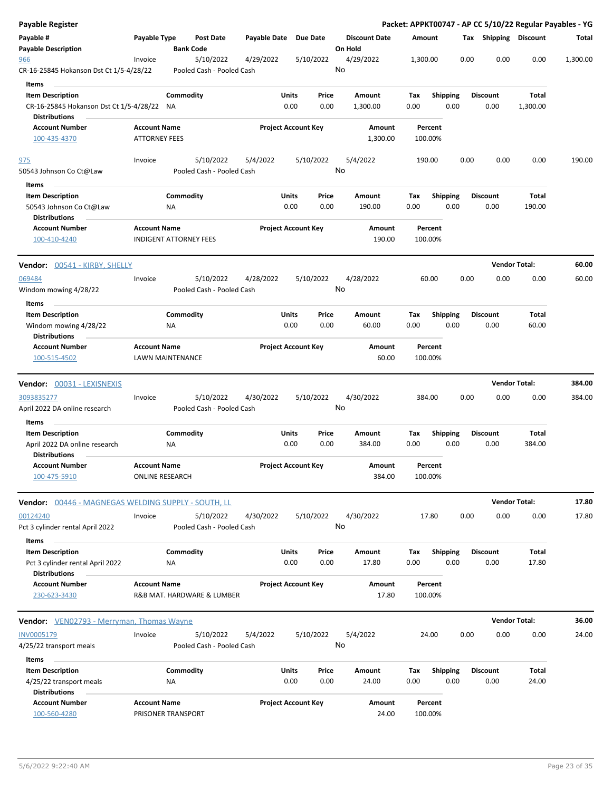| <b>Payable Register</b>                                                                       |                      |                                        |                       |                                |                                 |             |                         |      |                         | Packet: APPKT00747 - AP CC 5/10/22 Regular Payables - YG |          |
|-----------------------------------------------------------------------------------------------|----------------------|----------------------------------------|-----------------------|--------------------------------|---------------------------------|-------------|-------------------------|------|-------------------------|----------------------------------------------------------|----------|
| Payable #<br><b>Payable Description</b>                                                       | Payable Type         | <b>Post Date</b><br><b>Bank Code</b>   | Payable Date Due Date |                                | <b>Discount Date</b><br>On Hold | Amount      |                         |      | Tax Shipping Discount   |                                                          | Total    |
| 966                                                                                           | Invoice              | 5/10/2022                              | 4/29/2022             | 5/10/2022                      | 4/29/2022                       | 1,300.00    |                         | 0.00 | 0.00                    | 0.00                                                     | 1,300.00 |
| CR-16-25845 Hokanson Dst Ct 1/5-4/28/22                                                       |                      | Pooled Cash - Pooled Cash              |                       |                                | No                              |             |                         |      |                         |                                                          |          |
| Items                                                                                         |                      |                                        |                       |                                |                                 |             |                         |      |                         |                                                          |          |
| <b>Item Description</b><br>CR-16-25845 Hokanson Dst Ct 1/5-4/28/22 NA<br><b>Distributions</b> |                      | Commodity                              |                       | Units<br>Price<br>0.00<br>0.00 | Amount<br>1,300.00              | Tax<br>0.00 | <b>Shipping</b><br>0.00 |      | <b>Discount</b><br>0.00 | Total<br>1,300.00                                        |          |
| <b>Account Number</b>                                                                         | <b>Account Name</b>  |                                        |                       | <b>Project Account Key</b>     | Amount                          |             | Percent                 |      |                         |                                                          |          |
| 100-435-4370                                                                                  | <b>ATTORNEY FEES</b> |                                        |                       |                                | 1,300.00                        |             | 100.00%                 |      |                         |                                                          |          |
| 975<br>50543 Johnson Co Ct@Law                                                                | Invoice              | 5/10/2022<br>Pooled Cash - Pooled Cash | 5/4/2022              | 5/10/2022                      | 5/4/2022<br>No                  | 190.00      |                         | 0.00 | 0.00                    | 0.00                                                     | 190.00   |
| Items                                                                                         |                      |                                        |                       |                                |                                 |             |                         |      |                         |                                                          |          |
| <b>Item Description</b><br>50543 Johnson Co Ct@Law                                            |                      | Commodity<br>NA                        | <b>Units</b>          | Price<br>0.00<br>0.00          | Amount<br>190.00                | Tax<br>0.00 | <b>Shipping</b><br>0.00 |      | <b>Discount</b><br>0.00 | Total<br>190.00                                          |          |
| <b>Distributions</b><br><b>Account Number</b><br>100-410-4240                                 | <b>Account Name</b>  | <b>INDIGENT ATTORNEY FEES</b>          |                       | <b>Project Account Key</b>     | Amount<br>190.00                |             | Percent<br>100.00%      |      |                         |                                                          |          |
| Vendor: 00541 - KIRBY, SHELLY                                                                 |                      |                                        |                       |                                |                                 |             |                         |      |                         | <b>Vendor Total:</b>                                     | 60.00    |
| 069484                                                                                        | Invoice              | 5/10/2022                              | 4/28/2022             | 5/10/2022                      | 4/28/2022                       |             | 60.00                   | 0.00 | 0.00                    | 0.00                                                     | 60.00    |
| Windom mowing 4/28/22                                                                         |                      | Pooled Cash - Pooled Cash              |                       |                                | No                              |             |                         |      |                         |                                                          |          |
| Items                                                                                         |                      |                                        |                       |                                |                                 |             |                         |      |                         |                                                          |          |
| <b>Item Description</b><br>Windom mowing 4/28/22                                              |                      | Commodity<br>NA                        |                       | Units<br>Price<br>0.00<br>0.00 | Amount<br>60.00                 | Tax<br>0.00 | <b>Shipping</b><br>0.00 |      | <b>Discount</b><br>0.00 | Total<br>60.00                                           |          |
| <b>Distributions</b><br><b>Account Number</b>                                                 | <b>Account Name</b>  |                                        |                       | <b>Project Account Key</b>     | Amount                          |             | Percent                 |      |                         |                                                          |          |
| 100-515-4502                                                                                  |                      | LAWN MAINTENANCE                       |                       |                                | 60.00                           |             | 100.00%                 |      |                         |                                                          |          |
| <b>Vendor: 00031 - LEXISNEXIS</b>                                                             |                      |                                        |                       |                                |                                 |             |                         |      |                         | <b>Vendor Total:</b>                                     | 384.00   |
| 3093835277<br>April 2022 DA online research                                                   | Invoice              | 5/10/2022<br>Pooled Cash - Pooled Cash | 4/30/2022             | 5/10/2022                      | 4/30/2022<br>No                 | 384.00      |                         | 0.00 | 0.00                    | 0.00                                                     | 384.00   |
| Items                                                                                         |                      |                                        |                       |                                |                                 |             |                         |      |                         |                                                          |          |
| <b>Item Description</b><br>April 2022 DA online research<br><b>Distributions</b>              |                      | Commodity<br>NA                        | <b>Units</b>          | Price<br>0.00<br>0.00          | Amount<br>384.00                | Tax<br>0.00 | <b>Shipping</b><br>0.00 |      | <b>Discount</b><br>0.00 | Total<br>384.00                                          |          |
| <b>Account Number</b><br>100-475-5910                                                         | <b>Account Name</b>  | <b>ONLINE RESEARCH</b>                 |                       | <b>Project Account Key</b>     | Amount<br>384.00                |             | Percent<br>100.00%      |      |                         |                                                          |          |
| Vendor: 00446 - MAGNEGAS WELDING SUPPLY - SOUTH, LL                                           |                      |                                        |                       |                                |                                 |             |                         |      |                         | <b>Vendor Total:</b>                                     | 17.80    |
| 00124240<br>Pct 3 cylinder rental April 2022                                                  | Invoice              | 5/10/2022<br>Pooled Cash - Pooled Cash | 4/30/2022             | 5/10/2022                      | 4/30/2022<br>No                 |             | 17.80                   | 0.00 | 0.00                    | 0.00                                                     | 17.80    |
| Items                                                                                         |                      |                                        |                       |                                |                                 |             |                         |      |                         |                                                          |          |
| <b>Item Description</b><br>Pct 3 cylinder rental April 2022                                   |                      | Commodity<br>NA                        |                       | Units<br>Price<br>0.00<br>0.00 | Amount<br>17.80                 | Tax<br>0.00 | Shipping<br>0.00        |      | <b>Discount</b><br>0.00 | Total<br>17.80                                           |          |
| <b>Distributions</b><br><b>Account Number</b>                                                 | <b>Account Name</b>  |                                        |                       | <b>Project Account Key</b>     | Amount                          |             | Percent                 |      |                         |                                                          |          |
| 230-623-3430                                                                                  |                      | R&B MAT. HARDWARE & LUMBER             |                       |                                | 17.80                           |             | 100.00%                 |      |                         |                                                          |          |
| <b>Vendor:</b> VEN02793 - Merryman, Thomas Wayne                                              |                      |                                        |                       |                                |                                 |             |                         |      |                         | <b>Vendor Total:</b>                                     | 36.00    |
| INV0005179<br>4/25/22 transport meals                                                         | Invoice              | 5/10/2022<br>Pooled Cash - Pooled Cash | 5/4/2022              | 5/10/2022                      | 5/4/2022<br>No                  |             | 24.00                   | 0.00 | 0.00                    | 0.00                                                     | 24.00    |
| Items                                                                                         |                      |                                        |                       |                                |                                 |             |                         |      |                         |                                                          |          |
| <b>Item Description</b><br>4/25/22 transport meals                                            |                      | Commodity<br>NA                        |                       | Units<br>Price<br>0.00<br>0.00 | Amount<br>24.00                 | Tax<br>0.00 | <b>Shipping</b><br>0.00 |      | <b>Discount</b><br>0.00 | Total<br>24.00                                           |          |
| <b>Distributions</b><br><b>Account Number</b><br>100-560-4280                                 | <b>Account Name</b>  | PRISONER TRANSPORT                     |                       | <b>Project Account Key</b>     | Amount<br>24.00                 |             | Percent<br>100.00%      |      |                         |                                                          |          |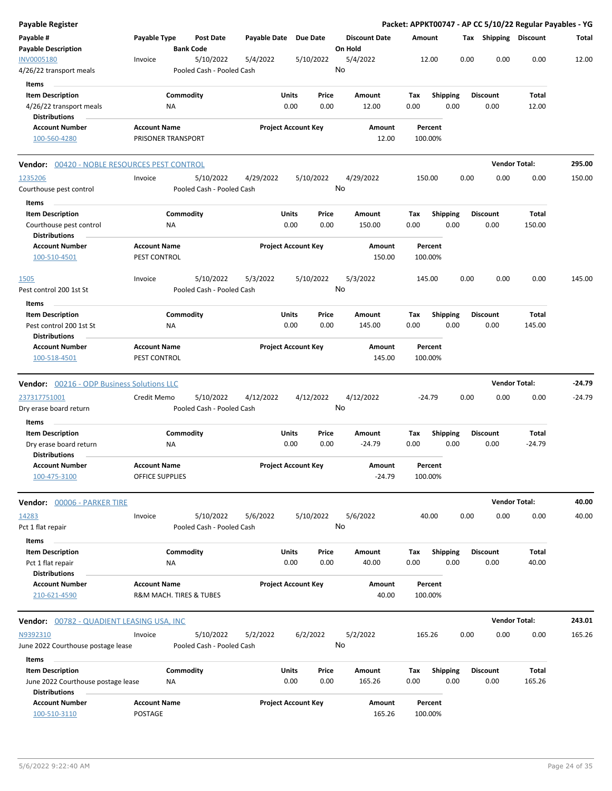| <b>Payable Register</b>                                                               |                                           |                        |                                        |                       |                            |               |                                 |             |                    |      |      |                         | Packet: APPKT00747 - AP CC 5/10/22 Regular Payables - YG |          |
|---------------------------------------------------------------------------------------|-------------------------------------------|------------------------|----------------------------------------|-----------------------|----------------------------|---------------|---------------------------------|-------------|--------------------|------|------|-------------------------|----------------------------------------------------------|----------|
| Payable #<br><b>Payable Description</b>                                               | Payable Type                              |                        | Post Date<br><b>Bank Code</b>          | Payable Date Due Date |                            |               | <b>Discount Date</b><br>On Hold | Amount      |                    |      |      | Tax Shipping Discount   |                                                          | Total    |
| <b>INV0005180</b><br>4/26/22 transport meals                                          | Invoice                                   |                        | 5/10/2022<br>Pooled Cash - Pooled Cash | 5/4/2022              | 5/10/2022                  |               | 5/4/2022<br>No                  |             | 12.00              |      | 0.00 | 0.00                    | 0.00                                                     | 12.00    |
| Items<br><b>Item Description</b><br>4/26/22 transport meals                           |                                           | Commodity<br>NA        |                                        |                       | Units<br>0.00              | Price<br>0.00 | Amount<br>12.00                 | Tax<br>0.00 | <b>Shipping</b>    | 0.00 |      | <b>Discount</b><br>0.00 | Total<br>12.00                                           |          |
| <b>Distributions</b>                                                                  |                                           |                        |                                        |                       |                            |               |                                 |             |                    |      |      |                         |                                                          |          |
| <b>Account Number</b><br>100-560-4280                                                 | <b>Account Name</b><br>PRISONER TRANSPORT |                        |                                        |                       | <b>Project Account Key</b> |               | Amount<br>12.00                 |             | Percent<br>100.00% |      |      |                         |                                                          |          |
| <b>Vendor: 00420 - NOBLE RESOURCES PEST CONTROL</b>                                   |                                           |                        |                                        |                       |                            |               |                                 |             |                    |      |      | <b>Vendor Total:</b>    |                                                          | 295.00   |
| 1235206<br>Courthouse pest control                                                    | Invoice                                   |                        | 5/10/2022<br>Pooled Cash - Pooled Cash | 4/29/2022             | 5/10/2022                  |               | 4/29/2022<br>No                 |             | 150.00             |      | 0.00 | 0.00                    | 0.00                                                     | 150.00   |
| Items                                                                                 |                                           |                        |                                        |                       |                            |               |                                 |             |                    |      |      |                         |                                                          |          |
| <b>Item Description</b><br>Courthouse pest control<br><b>Distributions</b>            |                                           | Commodity<br><b>NA</b> |                                        |                       | Units<br>0.00              | Price<br>0.00 | Amount<br>150.00                | Tax<br>0.00 | <b>Shipping</b>    | 0.00 |      | <b>Discount</b><br>0.00 | Total<br>150.00                                          |          |
| <b>Account Number</b><br>100-510-4501                                                 | <b>Account Name</b><br>PEST CONTROL       |                        |                                        |                       | <b>Project Account Key</b> |               | Amount<br>150.00                |             | Percent<br>100.00% |      |      |                         |                                                          |          |
| 1505<br>Pest control 200 1st St                                                       | Invoice                                   |                        | 5/10/2022<br>Pooled Cash - Pooled Cash | 5/3/2022              | 5/10/2022                  |               | 5/3/2022<br>No                  |             | 145.00             |      | 0.00 | 0.00                    | 0.00                                                     | 145.00   |
| Items                                                                                 |                                           |                        |                                        |                       |                            |               |                                 |             |                    |      |      |                         |                                                          |          |
| <b>Item Description</b><br>Pest control 200 1st St<br><b>Distributions</b>            |                                           | Commodity<br>NA        |                                        |                       | Units<br>0.00              | Price<br>0.00 | Amount<br>145.00                | Tax<br>0.00 | <b>Shipping</b>    | 0.00 |      | <b>Discount</b><br>0.00 | Total<br>145.00                                          |          |
| <b>Account Number</b><br>100-518-4501                                                 | <b>Account Name</b><br>PEST CONTROL       |                        |                                        |                       | <b>Project Account Key</b> |               | Amount<br>145.00                |             | Percent<br>100.00% |      |      |                         |                                                          |          |
| <b>Vendor:</b> 00216 - ODP Business Solutions LLC                                     |                                           |                        |                                        |                       |                            |               |                                 |             |                    |      |      |                         | <b>Vendor Total:</b>                                     | $-24.79$ |
| 237317751001                                                                          | Credit Memo                               |                        | 5/10/2022                              | 4/12/2022             | 4/12/2022                  |               | 4/12/2022                       |             | $-24.79$           |      | 0.00 | 0.00                    | 0.00                                                     | $-24.79$ |
| Dry erase board return<br>Items                                                       |                                           |                        | Pooled Cash - Pooled Cash              |                       |                            |               | No                              |             |                    |      |      |                         |                                                          |          |
| <b>Item Description</b>                                                               |                                           | Commodity              |                                        |                       | Units                      | Price         | Amount                          | Tax         | <b>Shipping</b>    |      |      | <b>Discount</b>         | Total                                                    |          |
| Dry erase board return<br><b>Distributions</b>                                        |                                           | NA                     |                                        |                       | 0.00                       | 0.00          | $-24.79$                        | 0.00        |                    | 0.00 |      | 0.00                    | $-24.79$                                                 |          |
| <b>Account Number</b><br>100-475-3100                                                 | <b>Account Name</b><br>OFFICE SUPPLIES    |                        |                                        |                       | <b>Project Account Key</b> |               | Amount<br>$-24.79$              |             | Percent<br>100.00% |      |      |                         |                                                          |          |
| Vendor: 00006 - PARKER TIRE                                                           |                                           |                        |                                        |                       |                            |               |                                 |             |                    |      |      |                         | <b>Vendor Total:</b>                                     | 40.00    |
| 14283<br>Pct 1 flat repair                                                            | Invoice                                   |                        | 5/10/2022<br>Pooled Cash - Pooled Cash | 5/6/2022              | 5/10/2022                  |               | 5/6/2022<br>No                  |             | 40.00              |      | 0.00 | 0.00                    | 0.00                                                     | 40.00    |
| Items                                                                                 |                                           |                        |                                        |                       |                            |               |                                 |             |                    |      |      |                         |                                                          |          |
| <b>Item Description</b><br>Pct 1 flat repair<br><b>Distributions</b>                  |                                           | Commodity<br>NA        |                                        |                       | Units<br>0.00              | Price<br>0.00 | Amount<br>40.00                 | Tax<br>0.00 | Shipping           | 0.00 |      | <b>Discount</b><br>0.00 | Total<br>40.00                                           |          |
| <b>Account Number</b><br>210-621-4590                                                 | <b>Account Name</b>                       |                        | R&M MACH. TIRES & TUBES                |                       | <b>Project Account Key</b> |               | Amount<br>40.00                 |             | Percent<br>100.00% |      |      |                         |                                                          |          |
| Vendor: 00782 - QUADIENT LEASING USA, INC                                             |                                           |                        |                                        |                       |                            |               |                                 |             |                    |      |      |                         | <b>Vendor Total:</b>                                     | 243.01   |
| N9392310<br>June 2022 Courthouse postage lease                                        | Invoice                                   |                        | 5/10/2022<br>Pooled Cash - Pooled Cash | 5/2/2022              | 6/2/2022                   |               | 5/2/2022<br>No                  |             | 165.26             |      | 0.00 | 0.00                    | 0.00                                                     | 165.26   |
| Items                                                                                 |                                           |                        |                                        |                       |                            |               |                                 |             |                    |      |      |                         |                                                          |          |
| <b>Item Description</b><br>June 2022 Courthouse postage lease<br><b>Distributions</b> |                                           | Commodity<br>NA        |                                        |                       | Units<br>0.00              | Price<br>0.00 | Amount<br>165.26                | Tax<br>0.00 | <b>Shipping</b>    | 0.00 |      | <b>Discount</b><br>0.00 | Total<br>165.26                                          |          |
| <b>Account Number</b><br>100-510-3110                                                 | <b>Account Name</b><br>POSTAGE            |                        |                                        |                       | <b>Project Account Key</b> |               | Amount<br>165.26                |             | Percent<br>100.00% |      |      |                         |                                                          |          |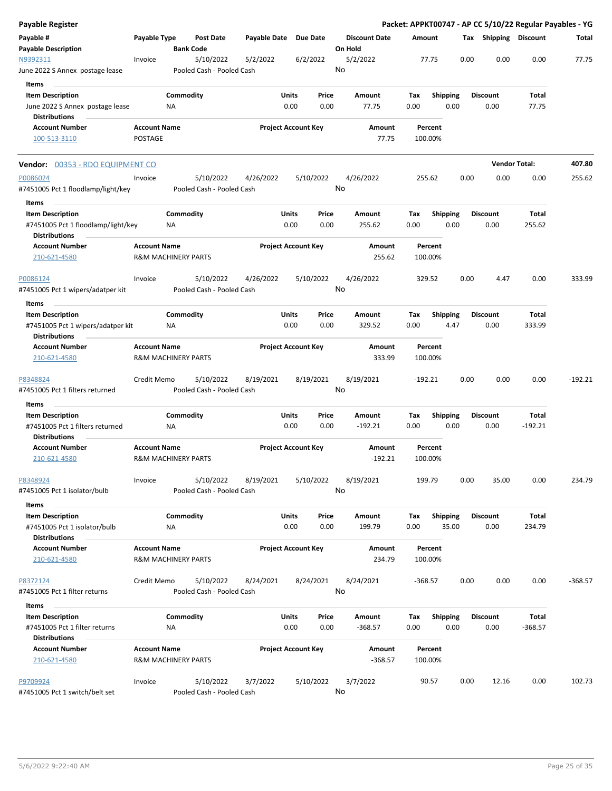| <b>Payable Register</b>                                                               |                     |                                |                                        |                       |               |                            |         |                      |             |                    |       |      |                         |                      | Packet: APPKT00747 - AP CC 5/10/22 Regular Payables - YG |
|---------------------------------------------------------------------------------------|---------------------|--------------------------------|----------------------------------------|-----------------------|---------------|----------------------------|---------|----------------------|-------------|--------------------|-------|------|-------------------------|----------------------|----------------------------------------------------------|
| Payable #<br><b>Payable Description</b>                                               | Payable Type        |                                | <b>Post Date</b><br><b>Bank Code</b>   | Payable Date Due Date |               |                            | On Hold | <b>Discount Date</b> | Amount      |                    |       |      | Tax Shipping Discount   |                      | Total                                                    |
| N9392311<br>June 2022 S Annex postage lease                                           | Invoice             |                                | 5/10/2022<br>Pooled Cash - Pooled Cash | 5/2/2022              |               | 6/2/2022                   | No      | 5/2/2022             |             | 77.75              |       | 0.00 | 0.00                    | 0.00                 | 77.75                                                    |
| Items                                                                                 |                     |                                |                                        |                       |               |                            |         |                      |             |                    |       |      |                         |                      |                                                          |
| <b>Item Description</b>                                                               |                     | Commodity                      |                                        |                       | Units         | Price                      |         | Amount               | Tax         | <b>Shipping</b>    |       |      | <b>Discount</b>         | Total                |                                                          |
| June 2022 S Annex postage lease                                                       |                     | ΝA                             |                                        |                       | 0.00          | 0.00                       |         | 77.75                | 0.00        |                    | 0.00  |      | 0.00                    | 77.75                |                                                          |
| <b>Distributions</b>                                                                  |                     |                                |                                        |                       |               |                            |         |                      |             |                    |       |      |                         |                      |                                                          |
| <b>Account Number</b>                                                                 | <b>Account Name</b> |                                |                                        |                       |               | <b>Project Account Key</b> |         | Amount               |             | Percent            |       |      |                         |                      |                                                          |
| 100-513-3110                                                                          | POSTAGE             |                                |                                        |                       |               |                            |         | 77.75                | 100.00%     |                    |       |      |                         |                      |                                                          |
| Vendor: 00353 - RDO EQUIPMENT CO                                                      |                     |                                |                                        |                       |               |                            |         |                      |             |                    |       |      |                         | <b>Vendor Total:</b> | 407.80                                                   |
| P0086024                                                                              | Invoice             |                                | 5/10/2022                              | 4/26/2022             |               | 5/10/2022                  |         | 4/26/2022            | 255.62      |                    |       | 0.00 | 0.00                    | 0.00                 | 255.62                                                   |
| #7451005 Pct 1 floodlamp/light/key                                                    |                     |                                | Pooled Cash - Pooled Cash              |                       |               |                            | No      |                      |             |                    |       |      |                         |                      |                                                          |
| Items                                                                                 |                     |                                |                                        |                       | Units         | Price                      |         |                      |             |                    |       |      | <b>Discount</b>         | Total                |                                                          |
| <b>Item Description</b><br>#7451005 Pct 1 floodlamp/light/key<br><b>Distributions</b> |                     | Commodity<br>NA                |                                        |                       | 0.00          | 0.00                       |         | Amount<br>255.62     | Tax<br>0.00 | <b>Shipping</b>    | 0.00  |      | 0.00                    | 255.62               |                                                          |
| <b>Account Number</b><br>210-621-4580                                                 | <b>Account Name</b> | <b>R&amp;M MACHINERY PARTS</b> |                                        |                       |               | <b>Project Account Key</b> |         | Amount<br>255.62     |             | Percent<br>100.00% |       |      |                         |                      |                                                          |
| P0086124                                                                              | Invoice             |                                | 5/10/2022                              | 4/26/2022             |               | 5/10/2022                  |         | 4/26/2022            |             | 329.52             |       | 0.00 | 4.47                    | 0.00                 | 333.99                                                   |
| #7451005 Pct 1 wipers/adatper kit                                                     |                     |                                | Pooled Cash - Pooled Cash              |                       |               |                            | No      |                      |             |                    |       |      |                         |                      |                                                          |
| Items                                                                                 |                     |                                |                                        |                       |               |                            |         |                      |             |                    |       |      |                         |                      |                                                          |
| <b>Item Description</b>                                                               |                     | Commodity                      |                                        |                       | Units         | Price                      |         | Amount               | Tax         | <b>Shipping</b>    |       |      | <b>Discount</b>         | Total                |                                                          |
| #7451005 Pct 1 wipers/adatper kit<br><b>Distributions</b>                             |                     | NA.                            |                                        |                       | 0.00          | 0.00                       |         | 329.52               | 0.00        |                    | 4.47  |      | 0.00                    | 333.99               |                                                          |
| <b>Account Number</b><br>210-621-4580                                                 | <b>Account Name</b> | <b>R&amp;M MACHINERY PARTS</b> |                                        |                       |               | <b>Project Account Key</b> |         | Amount<br>333.99     |             | Percent<br>100.00% |       |      |                         |                      |                                                          |
| P8348824                                                                              | Credit Memo         |                                | 5/10/2022                              | 8/19/2021             |               | 8/19/2021                  | No      | 8/19/2021            | $-192.21$   |                    |       | 0.00 | 0.00                    | 0.00                 | $-192.21$                                                |
| #7451005 Pct 1 filters returned                                                       |                     |                                | Pooled Cash - Pooled Cash              |                       |               |                            |         |                      |             |                    |       |      |                         |                      |                                                          |
| Items                                                                                 |                     |                                |                                        |                       | Units         | Price                      |         |                      | Tax         |                    |       |      | <b>Discount</b>         | Total                |                                                          |
| <b>Item Description</b><br>#7451005 Pct 1 filters returned<br><b>Distributions</b>    |                     | Commodity<br>ΝA                |                                        |                       | 0.00          | 0.00                       |         | Amount<br>$-192.21$  | 0.00        | <b>Shipping</b>    | 0.00  |      | 0.00                    | $-192.21$            |                                                          |
| <b>Account Number</b><br>210-621-4580                                                 | <b>Account Name</b> | <b>R&amp;M MACHINERY PARTS</b> |                                        |                       |               | <b>Project Account Key</b> |         | Amount<br>$-192.21$  | 100.00%     | Percent            |       |      |                         |                      |                                                          |
|                                                                                       |                     |                                |                                        |                       |               |                            |         |                      |             |                    |       |      |                         |                      |                                                          |
| P8348924<br>#7451005 Pct 1 isolator/bulb                                              | Invoice             |                                | 5/10/2022<br>Pooled Cash - Pooled Cash | 8/19/2021             |               | 5/10/2022                  | No      | 8/19/2021            | 199.79      |                    |       | 0.00 | 35.00                   | 0.00                 | 234.79                                                   |
| Items                                                                                 |                     |                                |                                        |                       |               |                            |         |                      |             |                    |       |      |                         |                      |                                                          |
| <b>Item Description</b><br>#7451005 Pct 1 isolator/bulb                               |                     | Commodity<br>NA                |                                        |                       | Units<br>0.00 | Price<br>0.00              |         | Amount<br>199.79     | Tax<br>0.00 | <b>Shipping</b>    | 35.00 |      | <b>Discount</b><br>0.00 | Total<br>234.79      |                                                          |
| <b>Distributions</b>                                                                  |                     |                                |                                        |                       |               |                            |         |                      |             |                    |       |      |                         |                      |                                                          |
| <b>Account Number</b><br>210-621-4580                                                 | <b>Account Name</b> | <b>R&amp;M MACHINERY PARTS</b> |                                        |                       |               | <b>Project Account Key</b> |         | Amount<br>234.79     |             | Percent<br>100.00% |       |      |                         |                      |                                                          |
| P8372124<br>#7451005 Pct 1 filter returns                                             | Credit Memo         |                                | 5/10/2022<br>Pooled Cash - Pooled Cash | 8/24/2021             |               | 8/24/2021                  | No      | 8/24/2021            | $-368.57$   |                    |       | 0.00 | 0.00                    | 0.00                 | $-368.57$                                                |
| Items                                                                                 |                     |                                |                                        |                       |               |                            |         |                      |             |                    |       |      |                         |                      |                                                          |
| <b>Item Description</b><br>#7451005 Pct 1 filter returns                              |                     | Commodity<br>ΝA                |                                        |                       | Units<br>0.00 | Price<br>0.00              |         | Amount<br>$-368.57$  | Tax<br>0.00 | <b>Shipping</b>    | 0.00  |      | <b>Discount</b><br>0.00 | Total<br>$-368.57$   |                                                          |
| <b>Distributions</b>                                                                  |                     |                                |                                        |                       |               |                            |         |                      |             |                    |       |      |                         |                      |                                                          |
| <b>Account Number</b><br>210-621-4580                                                 | <b>Account Name</b> | <b>R&amp;M MACHINERY PARTS</b> |                                        |                       |               | <b>Project Account Key</b> |         | Amount<br>$-368.57$  |             | Percent<br>100.00% |       |      |                         |                      |                                                          |
| P9709924<br>#7451005 Pct 1 switch/belt set                                            | Invoice             |                                | 5/10/2022<br>Pooled Cash - Pooled Cash | 3/7/2022              |               | 5/10/2022                  | No      | 3/7/2022             |             | 90.57              |       | 0.00 | 12.16                   | 0.00                 | 102.73                                                   |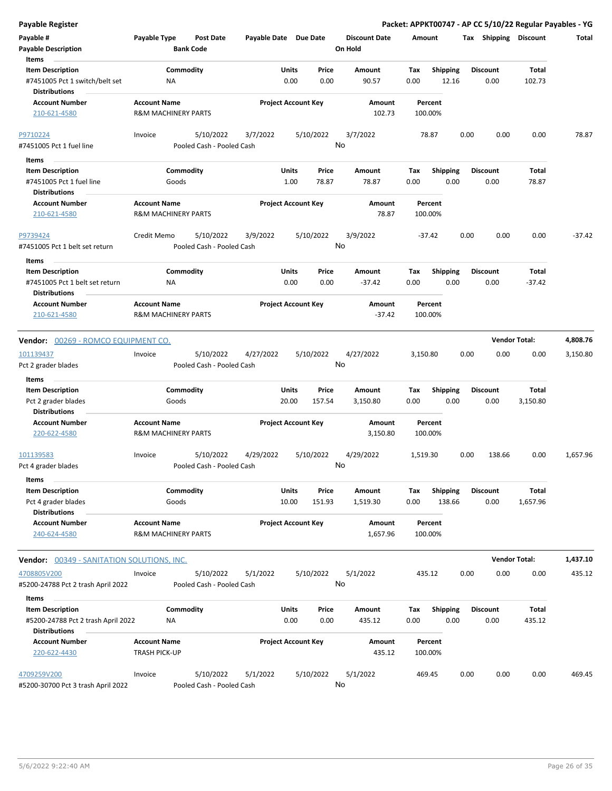| <b>Payable Register</b>                                                           |                                                       |                                        |                            |                      |                |                                 |             |                         |      |                         | Packet: APPKT00747 - AP CC 5/10/22 Regular Payables - YG |          |
|-----------------------------------------------------------------------------------|-------------------------------------------------------|----------------------------------------|----------------------------|----------------------|----------------|---------------------------------|-------------|-------------------------|------|-------------------------|----------------------------------------------------------|----------|
| Payable #<br><b>Payable Description</b>                                           | Payable Type                                          | <b>Post Date</b><br><b>Bank Code</b>   | Payable Date Due Date      |                      |                | <b>Discount Date</b><br>On Hold | Amount      |                         |      |                         | Tax Shipping Discount                                    | Total    |
| Items                                                                             |                                                       |                                        |                            |                      |                |                                 |             |                         |      |                         |                                                          |          |
| <b>Item Description</b><br>#7451005 Pct 1 switch/belt set<br><b>Distributions</b> | NA                                                    | Commodity                              |                            | Units<br>0.00        | Price<br>0.00  | Amount<br>90.57                 | Tax<br>0.00 | Shipping<br>12.16       |      | <b>Discount</b><br>0.00 | <b>Total</b><br>102.73                                   |          |
| <b>Account Number</b><br>210-621-4580                                             | <b>Account Name</b><br><b>R&amp;M MACHINERY PARTS</b> |                                        | <b>Project Account Key</b> |                      |                | Amount<br>102.73                |             | Percent<br>100.00%      |      |                         |                                                          |          |
|                                                                                   |                                                       |                                        |                            |                      |                |                                 |             |                         |      |                         |                                                          |          |
| P9710224                                                                          | Invoice                                               | 5/10/2022                              | 3/7/2022                   |                      | 5/10/2022      | 3/7/2022                        |             | 78.87                   | 0.00 | 0.00                    | 0.00                                                     | 78.87    |
| #7451005 Pct 1 fuel line                                                          |                                                       | Pooled Cash - Pooled Cash              |                            |                      |                | No                              |             |                         |      |                         |                                                          |          |
| Items                                                                             |                                                       |                                        |                            |                      |                |                                 |             |                         |      |                         |                                                          |          |
| <b>Item Description</b><br>#7451005 Pct 1 fuel line                               | Goods                                                 | Commodity                              |                            | <b>Units</b><br>1.00 | Price<br>78.87 | Amount<br>78.87                 | Tax<br>0.00 | <b>Shipping</b><br>0.00 |      | <b>Discount</b><br>0.00 | Total<br>78.87                                           |          |
| <b>Distributions</b><br><b>Account Number</b><br>210-621-4580                     | <b>Account Name</b><br><b>R&amp;M MACHINERY PARTS</b> |                                        | <b>Project Account Key</b> |                      |                | Amount<br>78.87                 |             | Percent<br>100.00%      |      |                         |                                                          |          |
| P9739424                                                                          | Credit Memo                                           | 5/10/2022                              | 3/9/2022                   |                      | 5/10/2022      | 3/9/2022                        |             | -37.42                  | 0.00 | 0.00                    | 0.00                                                     | $-37.42$ |
| #7451005 Pct 1 belt set return                                                    |                                                       | Pooled Cash - Pooled Cash              |                            |                      | No             |                                 |             |                         |      |                         |                                                          |          |
| Items                                                                             |                                                       |                                        |                            |                      |                |                                 |             |                         |      |                         |                                                          |          |
| <b>Item Description</b><br>#7451005 Pct 1 belt set return                         | ΝA                                                    | Commodity                              |                            | Units<br>0.00        | Price<br>0.00  | Amount<br>$-37.42$              | Tax<br>0.00 | <b>Shipping</b><br>0.00 |      | <b>Discount</b><br>0.00 | Total<br>$-37.42$                                        |          |
| <b>Distributions</b><br><b>Account Number</b><br>210-621-4580                     | <b>Account Name</b><br><b>R&amp;M MACHINERY PARTS</b> |                                        | <b>Project Account Key</b> |                      |                | Amount<br>$-37.42$              |             | Percent<br>100.00%      |      |                         |                                                          |          |
|                                                                                   |                                                       |                                        |                            |                      |                |                                 |             |                         |      |                         |                                                          |          |
| Vendor: 00269 - ROMCO EQUIPMENT CO.                                               |                                                       |                                        |                            |                      |                |                                 |             |                         |      |                         | <b>Vendor Total:</b>                                     | 4,808.76 |
| 101139437                                                                         | Invoice                                               | 5/10/2022                              | 4/27/2022                  |                      | 5/10/2022      | 4/27/2022                       | 3,150.80    |                         | 0.00 | 0.00                    | 0.00                                                     | 3,150.80 |
| Pct 2 grader blades                                                               |                                                       | Pooled Cash - Pooled Cash              |                            |                      |                | No                              |             |                         |      |                         |                                                          |          |
| Items                                                                             |                                                       |                                        |                            |                      |                |                                 |             |                         |      |                         |                                                          |          |
| <b>Item Description</b>                                                           |                                                       | Commodity                              |                            | Units                | Price          | Amount                          | Tax         | <b>Shipping</b>         |      | <b>Discount</b>         | Total                                                    |          |
| Pct 2 grader blades                                                               | Goods                                                 |                                        |                            | 20.00                | 157.54         | 3,150.80                        | 0.00        | 0.00                    |      | 0.00                    | 3,150.80                                                 |          |
| <b>Distributions</b>                                                              |                                                       |                                        |                            |                      |                |                                 |             |                         |      |                         |                                                          |          |
| <b>Account Number</b><br>220-622-4580                                             | <b>Account Name</b><br><b>R&amp;M MACHINERY PARTS</b> |                                        | <b>Project Account Key</b> |                      |                | Amount<br>3,150.80              |             | Percent<br>100.00%      |      |                         |                                                          |          |
| 101139583<br>Pct 4 grader blades                                                  | Invoice                                               | 5/10/2022<br>Pooled Cash - Pooled Cash | 4/29/2022                  |                      | 5/10/2022      | 4/29/2022<br>No                 | 1,519.30    |                         | 0.00 | 138.66                  | 0.00                                                     | 1,657.96 |
| Items                                                                             |                                                       |                                        |                            |                      |                |                                 |             |                         |      |                         |                                                          |          |
| <b>Item Description</b>                                                           |                                                       | Commodity                              |                            | <b>Units</b>         | Price          | Amount                          | Tax         | <b>Shipping</b>         |      | <b>Discount</b>         | Total                                                    |          |
| Pct 4 grader blades<br><b>Distributions</b>                                       | Goods                                                 |                                        |                            | 10.00                | 151.93         | 1,519.30                        | 0.00        | 138.66                  |      | 0.00                    | 1,657.96                                                 |          |
| <b>Account Number</b><br>240-624-4580                                             | <b>Account Name</b><br>R&M MACHINERY PARTS            |                                        | <b>Project Account Key</b> |                      |                | Amount<br>1,657.96              |             | Percent<br>100.00%      |      |                         |                                                          |          |
| <b>Vendor:</b> 00349 - SANITATION SOLUTIONS, INC.                                 |                                                       |                                        |                            |                      |                |                                 |             |                         |      |                         | <b>Vendor Total:</b>                                     | 1,437.10 |
| 4708805V200<br>#5200-24788 Pct 2 trash April 2022                                 | Invoice                                               | 5/10/2022<br>Pooled Cash - Pooled Cash | 5/1/2022                   |                      | 5/10/2022      | 5/1/2022<br>No                  |             | 435.12                  | 0.00 | 0.00                    | 0.00                                                     | 435.12   |
| Items                                                                             |                                                       |                                        |                            |                      |                |                                 |             |                         |      |                         |                                                          |          |
| <b>Item Description</b><br>#5200-24788 Pct 2 trash April 2022                     | NA                                                    | Commodity                              |                            | Units<br>0.00        | Price<br>0.00  | Amount<br>435.12                | Tax<br>0.00 | Shipping<br>0.00        |      | <b>Discount</b><br>0.00 | Total<br>435.12                                          |          |
| <b>Distributions</b>                                                              |                                                       |                                        |                            |                      |                |                                 |             |                         |      |                         |                                                          |          |
| <b>Account Number</b><br>220-622-4430                                             | <b>Account Name</b><br>TRASH PICK-UP                  |                                        | <b>Project Account Key</b> |                      |                | Amount<br>435.12                |             | Percent<br>100.00%      |      |                         |                                                          |          |
| 4709259V200<br>#5200-30700 Pct 3 trash April 2022                                 | Invoice                                               | 5/10/2022<br>Pooled Cash - Pooled Cash | 5/1/2022                   |                      | 5/10/2022      | 5/1/2022<br>No                  |             | 469.45                  | 0.00 | 0.00                    | 0.00                                                     | 469.45   |

#5200-30700 Pct 3 trash April 2022 Pooled Cash - Pooled Cash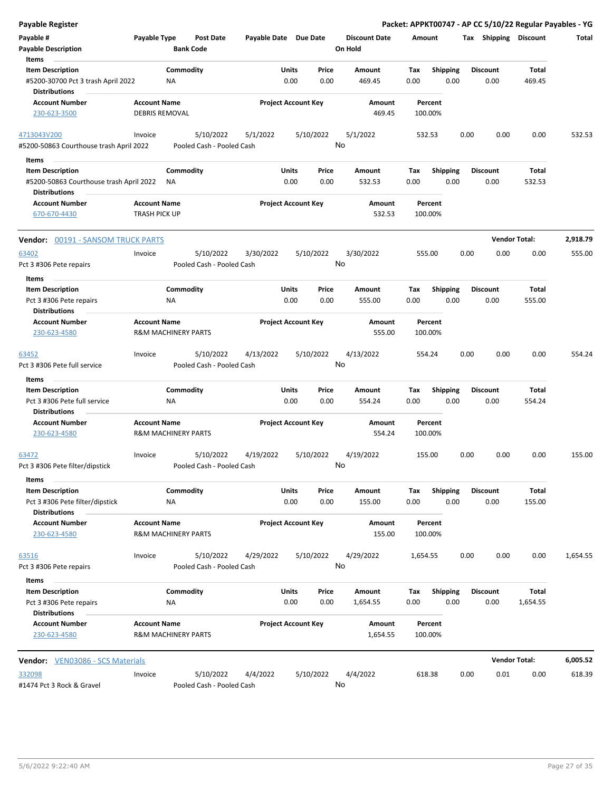| <b>Payable Register</b>                                                |                                              |                                |                                        |                       |                            |                 |                                 |                    |                         |      |                         |                        | Packet: APPKT00747 - AP CC 5/10/22 Regular Payables - YG |
|------------------------------------------------------------------------|----------------------------------------------|--------------------------------|----------------------------------------|-----------------------|----------------------------|-----------------|---------------------------------|--------------------|-------------------------|------|-------------------------|------------------------|----------------------------------------------------------|
| Payable #<br><b>Payable Description</b>                                | Payable Type                                 | <b>Bank Code</b>               | <b>Post Date</b>                       | Payable Date Due Date |                            |                 | <b>Discount Date</b><br>On Hold | Amount             |                         |      | Tax Shipping Discount   |                        | Total                                                    |
| Items<br><b>Item Description</b><br>#5200-30700 Pct 3 trash April 2022 |                                              | Commodity<br><b>NA</b>         |                                        |                       | Units<br>0.00              | Price<br>0.00   | Amount<br>469.45                | Tax<br>0.00        | Shipping<br>0.00        |      | <b>Discount</b><br>0.00 | Total<br>469.45        |                                                          |
| <b>Distributions</b><br><b>Account Number</b><br>230-623-3500          | <b>Account Name</b><br><b>DEBRIS REMOVAL</b> |                                |                                        |                       | <b>Project Account Key</b> |                 | Amount<br>469.45                | Percent<br>100.00% |                         |      |                         |                        |                                                          |
| 4713043V200                                                            | Invoice                                      |                                | 5/10/2022                              | 5/1/2022              |                            | 5/10/2022       | 5/1/2022                        | 532.53             |                         | 0.00 | 0.00                    | 0.00                   | 532.53                                                   |
| #5200-50863 Courthouse trash April 2022                                |                                              |                                | Pooled Cash - Pooled Cash              |                       |                            | No              |                                 |                    |                         |      |                         |                        |                                                          |
| Items                                                                  |                                              |                                |                                        |                       |                            |                 |                                 |                    |                         |      |                         |                        |                                                          |
| <b>Item Description</b><br>#5200-50863 Courthouse trash April 2022     |                                              | Commodity<br>ΝA                |                                        |                       | Units<br>0.00              | Price<br>0.00   | Amount<br>532.53                | Tax<br>0.00        | Shipping<br>0.00        |      | <b>Discount</b><br>0.00 | <b>Total</b><br>532.53 |                                                          |
| <b>Distributions</b><br><b>Account Number</b><br>670-670-4430          | <b>Account Name</b><br>TRASH PICK UP         |                                |                                        |                       | <b>Project Account Key</b> |                 | Amount<br>532.53                | Percent<br>100.00% |                         |      |                         |                        |                                                          |
| <b>Vendor: 00191 - SANSOM TRUCK PARTS</b>                              |                                              |                                |                                        |                       |                            |                 |                                 |                    |                         |      |                         | <b>Vendor Total:</b>   | 2,918.79                                                 |
| 63402<br>Pct 3 #306 Pete repairs                                       | Invoice                                      |                                | 5/10/2022<br>Pooled Cash - Pooled Cash | 3/30/2022             |                            | 5/10/2022<br>No | 3/30/2022                       | 555.00             |                         | 0.00 | 0.00                    | 0.00                   | 555.00                                                   |
| Items                                                                  |                                              |                                |                                        |                       |                            |                 |                                 |                    |                         |      |                         |                        |                                                          |
| <b>Item Description</b>                                                |                                              | Commodity                      |                                        |                       | Units                      | Price           | Amount                          | Tax                | <b>Shipping</b>         |      | <b>Discount</b>         | Total                  |                                                          |
| Pct 3 #306 Pete repairs                                                |                                              | NA                             |                                        |                       | 0.00                       | 0.00            | 555.00                          | 0.00               | 0.00                    |      | 0.00                    | 555.00                 |                                                          |
| <b>Distributions</b>                                                   |                                              |                                |                                        |                       |                            |                 |                                 |                    |                         |      |                         |                        |                                                          |
| <b>Account Number</b><br>230-623-4580                                  | <b>Account Name</b>                          | <b>R&amp;M MACHINERY PARTS</b> |                                        |                       | <b>Project Account Key</b> |                 | Amount<br>555.00                | Percent<br>100.00% |                         |      |                         |                        |                                                          |
| 63452<br>Pct 3 #306 Pete full service                                  | Invoice                                      |                                | 5/10/2022<br>Pooled Cash - Pooled Cash | 4/13/2022             |                            | 5/10/2022<br>No | 4/13/2022                       | 554.24             |                         | 0.00 | 0.00                    | 0.00                   | 554.24                                                   |
| Items                                                                  |                                              |                                |                                        |                       |                            |                 |                                 |                    |                         |      |                         |                        |                                                          |
| <b>Item Description</b>                                                |                                              | Commodity                      |                                        |                       | Units                      | Price           | Amount                          | Tax                | Shipping                |      | <b>Discount</b>         | Total                  |                                                          |
| Pct 3 #306 Pete full service                                           |                                              | ΝA                             |                                        |                       | 0.00                       | 0.00            | 554.24                          | 0.00               | 0.00                    |      | 0.00                    | 554.24                 |                                                          |
| <b>Distributions</b>                                                   |                                              |                                |                                        |                       |                            |                 |                                 |                    |                         |      |                         |                        |                                                          |
| <b>Account Number</b><br>230-623-4580                                  | <b>Account Name</b>                          | <b>R&amp;M MACHINERY PARTS</b> |                                        |                       | <b>Project Account Key</b> |                 | Amount<br>554.24                | Percent<br>100.00% |                         |      |                         |                        |                                                          |
| 63472<br>Pct 3 #306 Pete filter/dipstick                               | Invoice                                      |                                | 5/10/2022<br>Pooled Cash - Pooled Cash | 4/19/2022             |                            | 5/10/2022<br>No | 4/19/2022                       | 155.00             |                         | 0.00 | 0.00                    | 0.00                   | 155.00                                                   |
| Items                                                                  |                                              |                                |                                        |                       |                            |                 |                                 |                    |                         |      |                         |                        |                                                          |
| <b>Item Description</b>                                                |                                              | Commodity                      |                                        |                       | <b>Units</b>               | Price           | Amount                          | Tax                | <b>Shipping</b>         |      | <b>Discount</b>         | Total                  |                                                          |
| Pct 3 #306 Pete filter/dipstick<br><b>Distributions</b>                |                                              | ΝA                             |                                        |                       | 0.00                       | 0.00            | 155.00                          | 0.00               | 0.00                    |      | 0.00                    | 155.00                 |                                                          |
| <b>Account Number</b><br>230-623-4580                                  | <b>Account Name</b>                          | <b>R&amp;M MACHINERY PARTS</b> |                                        |                       | <b>Project Account Key</b> |                 | Amount<br>155.00                | 100.00%            | Percent                 |      |                         |                        |                                                          |
| 63516                                                                  | Invoice                                      |                                | 5/10/2022                              | 4/29/2022             |                            | 5/10/2022       | 4/29/2022                       | 1,654.55           |                         | 0.00 | 0.00                    | 0.00                   | 1,654.55                                                 |
| Pct 3 #306 Pete repairs                                                |                                              |                                | Pooled Cash - Pooled Cash              |                       |                            | No              |                                 |                    |                         |      |                         |                        |                                                          |
| Items                                                                  |                                              |                                |                                        |                       |                            |                 |                                 |                    |                         |      |                         |                        |                                                          |
| <b>Item Description</b><br>Pct 3 #306 Pete repairs                     |                                              | Commodity<br>NA                |                                        |                       | <b>Units</b><br>0.00       | Price<br>0.00   | Amount<br>1,654.55              | Tax<br>0.00        | <b>Shipping</b><br>0.00 |      | <b>Discount</b><br>0.00 | Total<br>1,654.55      |                                                          |
| <b>Distributions</b><br><b>Account Number</b><br>230-623-4580          | <b>Account Name</b>                          | <b>R&amp;M MACHINERY PARTS</b> |                                        |                       | <b>Project Account Key</b> |                 | Amount<br>1,654.55              | Percent<br>100.00% |                         |      |                         |                        |                                                          |
| <b>Vendor:</b> VEN03086 - SCS Materials                                |                                              |                                |                                        |                       |                            |                 |                                 |                    |                         |      |                         | <b>Vendor Total:</b>   | 6,005.52                                                 |
| 332098                                                                 | Invoice                                      |                                | 5/10/2022<br>Pooled Cash - Pooled Cash | 4/4/2022              |                            | 5/10/2022       | 4/4/2022<br>No                  | 618.38             |                         | 0.00 | 0.01                    | 0.00                   | 618.39                                                   |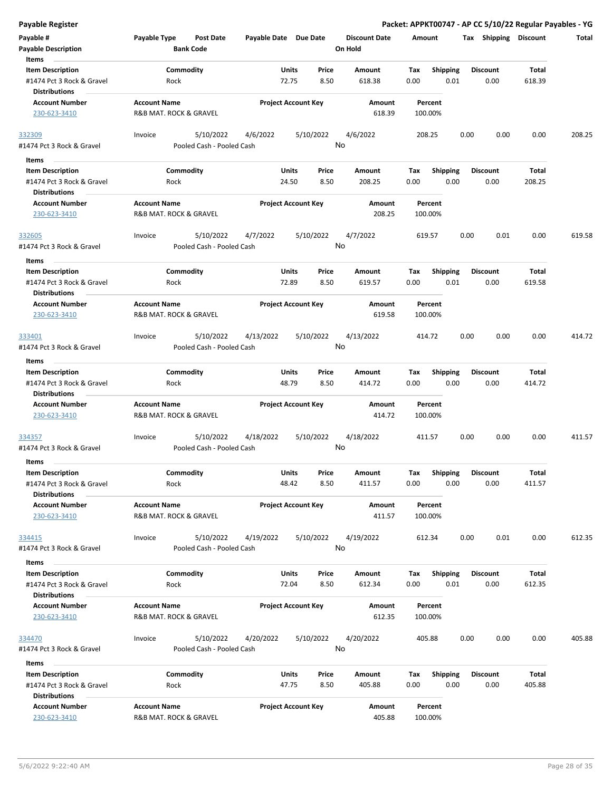Packet: APPKT00747 - AP CC 5/10/22 Regular Payables - YG

| Payable #                                            | Payable Type                                  | Post Date                 | Payable Date Due Date |                                |      | <b>Discount Date</b> | Amount             |                         |      | Tax Shipping            | <b>Discount</b> | Total  |
|------------------------------------------------------|-----------------------------------------------|---------------------------|-----------------------|--------------------------------|------|----------------------|--------------------|-------------------------|------|-------------------------|-----------------|--------|
| <b>Payable Description</b><br>Items                  |                                               | <b>Bank Code</b>          |                       |                                |      | On Hold              |                    |                         |      |                         |                 |        |
| <b>Item Description</b>                              |                                               | Commodity                 |                       | <b>Units</b><br>Price          |      | Amount               | Tax                | <b>Shipping</b>         |      | <b>Discount</b>         | Total           |        |
| #1474 Pct 3 Rock & Gravel<br><b>Distributions</b>    | Rock                                          |                           |                       | 72.75                          | 8.50 | 618.38               | 0.00               | 0.01                    |      | 0.00                    | 618.39          |        |
| <b>Account Number</b>                                | <b>Account Name</b>                           |                           |                       | <b>Project Account Key</b>     |      | Amount               | Percent            |                         |      |                         |                 |        |
| 230-623-3410                                         | R&B MAT. ROCK & GRAVEL                        |                           |                       |                                |      | 618.39               | 100.00%            |                         |      |                         |                 |        |
| 332309                                               | Invoice                                       | 5/10/2022                 | 4/6/2022              | 5/10/2022                      |      | 4/6/2022             | 208.25             |                         | 0.00 | 0.00                    | 0.00            | 208.25 |
| #1474 Pct 3 Rock & Gravel                            |                                               | Pooled Cash - Pooled Cash |                       |                                | No   |                      |                    |                         |      |                         |                 |        |
| Items                                                |                                               |                           |                       |                                |      |                      |                    |                         |      |                         |                 |        |
| <b>Item Description</b>                              |                                               | Commodity                 |                       | <b>Units</b><br>Price          |      | Amount               | Tax                | <b>Shipping</b>         |      | <b>Discount</b>         | Total           |        |
| #1474 Pct 3 Rock & Gravel<br><b>Distributions</b>    | Rock                                          |                           |                       | 24.50                          | 8.50 | 208.25               | 0.00               | 0.00                    |      | 0.00                    | 208.25          |        |
| <b>Account Number</b>                                | <b>Account Name</b>                           |                           |                       | <b>Project Account Key</b>     |      | Amount               | Percent            |                         |      |                         |                 |        |
| 230-623-3410                                         | R&B MAT. ROCK & GRAVEL                        |                           |                       |                                |      | 208.25               | 100.00%            |                         |      |                         |                 |        |
| 332605                                               | Invoice                                       | 5/10/2022                 | 4/7/2022              | 5/10/2022                      |      | 4/7/2022             | 619.57             |                         | 0.00 | 0.01                    | 0.00            | 619.58 |
| #1474 Pct 3 Rock & Gravel                            |                                               | Pooled Cash - Pooled Cash |                       |                                | No   |                      |                    |                         |      |                         |                 |        |
| Items                                                |                                               |                           |                       |                                |      |                      |                    |                         |      |                         |                 |        |
| <b>Item Description</b>                              |                                               | Commodity                 |                       | <b>Units</b><br>Price          |      | Amount               | Тах                | <b>Shipping</b>         |      | <b>Discount</b>         | Total           |        |
| #1474 Pct 3 Rock & Gravel                            | Rock                                          |                           |                       | 72.89                          | 8.50 | 619.57               | 0.00               | 0.01                    |      | 0.00                    | 619.58          |        |
| <b>Distributions</b>                                 |                                               |                           |                       |                                |      |                      |                    |                         |      |                         |                 |        |
| <b>Account Number</b>                                | <b>Account Name</b>                           |                           |                       | <b>Project Account Key</b>     |      | Amount               | Percent            |                         |      |                         |                 |        |
| 230-623-3410                                         | R&B MAT. ROCK & GRAVEL                        |                           |                       |                                |      | 619.58               | 100.00%            |                         |      |                         |                 |        |
| 333401                                               | Invoice                                       | 5/10/2022                 | 4/13/2022             | 5/10/2022                      | No   | 4/13/2022            | 414.72             |                         | 0.00 | 0.00                    | 0.00            | 414.72 |
| #1474 Pct 3 Rock & Gravel                            |                                               | Pooled Cash - Pooled Cash |                       |                                |      |                      |                    |                         |      |                         |                 |        |
| Items                                                |                                               |                           |                       |                                |      |                      |                    |                         |      |                         |                 |        |
| <b>Item Description</b>                              |                                               | Commodity                 |                       | Units<br>Price                 |      | Amount               | Tax                | <b>Shipping</b>         |      | <b>Discount</b>         | Total           |        |
| #1474 Pct 3 Rock & Gravel<br><b>Distributions</b>    | Rock                                          |                           |                       | 48.79                          | 8.50 | 414.72               | 0.00               | 0.00                    |      | 0.00                    | 414.72          |        |
| <b>Account Number</b>                                | <b>Account Name</b>                           |                           |                       | <b>Project Account Key</b>     |      | Amount               | Percent            |                         |      |                         |                 |        |
| 230-623-3410                                         | R&B MAT. ROCK & GRAVEL                        |                           |                       |                                |      | 414.72               | 100.00%            |                         |      |                         |                 |        |
| 334357                                               | Invoice                                       | 5/10/2022                 | 4/18/2022             | 5/10/2022                      |      | 4/18/2022            | 411.57             |                         | 0.00 | 0.00                    | 0.00            | 411.57 |
| #1474 Pct 3 Rock & Gravel                            |                                               | Pooled Cash - Pooled Cash |                       |                                | No   |                      |                    |                         |      |                         |                 |        |
| <b>Items</b>                                         |                                               |                           |                       |                                |      |                      |                    |                         |      |                         |                 |        |
| <b>Item Description</b>                              |                                               | Commodity                 |                       | <b>Units</b><br>Price          |      | Amount               | Тах                | <b>Shipping</b>         |      | <b>Discount</b>         | Total           |        |
| #1474 Pct 3 Rock & Gravel                            | Rock                                          |                           |                       | 48.42                          | 8.50 | 411.57               | 0.00               | 0.00                    |      | 0.00                    | 411.57          |        |
| <b>Distributions</b>                                 |                                               |                           |                       |                                |      |                      |                    |                         |      |                         |                 |        |
| <b>Account Number</b>                                | <b>Account Name</b>                           |                           |                       | <b>Project Account Key</b>     |      | Amount               | Percent            |                         |      |                         |                 |        |
| 230-623-3410                                         | R&B MAT. ROCK & GRAVEL                        |                           |                       |                                |      | 411.57               | 100.00%            |                         |      |                         |                 |        |
|                                                      |                                               | 5/10/2022                 |                       | 5/10/2022                      |      | 4/19/2022            | 612.34             |                         | 0.00 | 0.01                    | 0.00            | 612.35 |
| <u>334415</u><br>#1474 Pct 3 Rock & Gravel           | Invoice                                       | Pooled Cash - Pooled Cash | 4/19/2022             |                                | No   |                      |                    |                         |      |                         |                 |        |
|                                                      |                                               |                           |                       |                                |      |                      |                    |                         |      |                         |                 |        |
| Items                                                |                                               |                           |                       |                                |      |                      |                    |                         |      |                         |                 |        |
| <b>Item Description</b><br>#1474 Pct 3 Rock & Gravel | Rock                                          | Commodity                 |                       | <b>Units</b><br>Price<br>72.04 | 8.50 | Amount<br>612.34     | Tax<br>0.00        | <b>Shipping</b><br>0.01 |      | <b>Discount</b><br>0.00 | Total<br>612.35 |        |
| <b>Distributions</b>                                 |                                               |                           |                       |                                |      |                      |                    |                         |      |                         |                 |        |
| <b>Account Number</b>                                | <b>Account Name</b>                           |                           |                       | <b>Project Account Key</b>     |      | Amount               | Percent            |                         |      |                         |                 |        |
| 230-623-3410                                         | R&B MAT. ROCK & GRAVEL                        |                           |                       |                                |      | 612.35               | 100.00%            |                         |      |                         |                 |        |
|                                                      |                                               |                           |                       |                                |      |                      |                    |                         |      |                         |                 |        |
| 334470                                               | Invoice                                       | 5/10/2022                 | 4/20/2022             | 5/10/2022                      |      | 4/20/2022            | 405.88             |                         | 0.00 | 0.00                    | 0.00            | 405.88 |
| #1474 Pct 3 Rock & Gravel                            |                                               | Pooled Cash - Pooled Cash |                       |                                | No   |                      |                    |                         |      |                         |                 |        |
| Items                                                |                                               |                           |                       |                                |      |                      |                    |                         |      |                         |                 |        |
| <b>Item Description</b>                              |                                               | Commodity                 |                       | Units<br>Price                 |      | Amount               | Tax                | <b>Shipping</b>         |      | <b>Discount</b>         | Total           |        |
| #1474 Pct 3 Rock & Gravel                            | Rock                                          |                           |                       | 47.75                          | 8.50 | 405.88               | 0.00               | 0.00                    |      | 0.00                    | 405.88          |        |
| <b>Distributions</b>                                 |                                               |                           |                       |                                |      |                      |                    |                         |      |                         |                 |        |
| <b>Account Number</b><br>230-623-3410                | <b>Account Name</b><br>R&B MAT. ROCK & GRAVEL |                           |                       | <b>Project Account Key</b>     |      | Amount<br>405.88     | Percent<br>100.00% |                         |      |                         |                 |        |
|                                                      |                                               |                           |                       |                                |      |                      |                    |                         |      |                         |                 |        |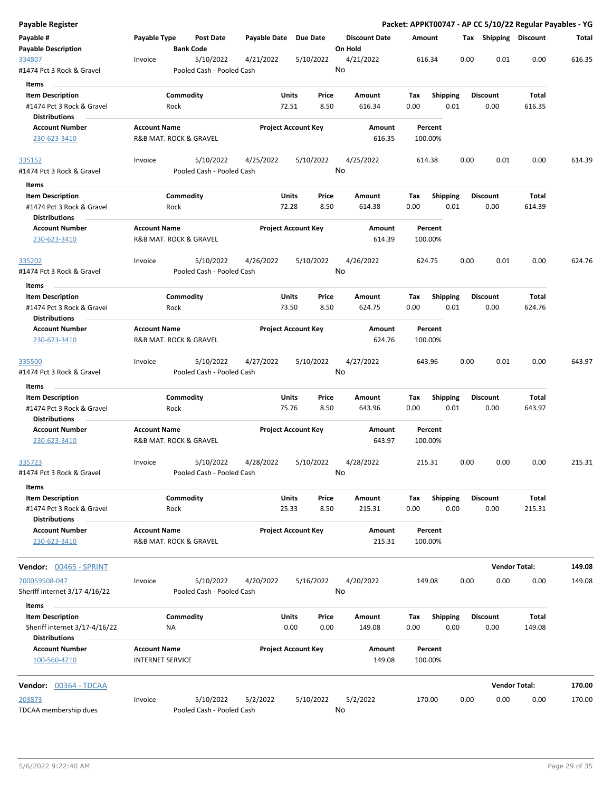| Payable Register                                                             |                                                |                                        |                       |                                    |                                 | Packet: APPKT00747 - AP CC 5/10/22 Regular Payables - YG |      |                         |                      |        |
|------------------------------------------------------------------------------|------------------------------------------------|----------------------------------------|-----------------------|------------------------------------|---------------------------------|----------------------------------------------------------|------|-------------------------|----------------------|--------|
| Payable #<br><b>Payable Description</b>                                      | Payable Type                                   | Post Date<br><b>Bank Code</b>          | Payable Date Due Date |                                    | <b>Discount Date</b><br>On Hold | Amount                                                   |      | Tax Shipping Discount   |                      | Total  |
| 334807<br>#1474 Pct 3 Rock & Gravel                                          | Invoice                                        | 5/10/2022<br>Pooled Cash - Pooled Cash | 4/21/2022             | 5/10/2022                          | 4/21/2022<br>No                 | 616.34                                                   | 0.00 | 0.01                    | 0.00                 | 616.35 |
| Items                                                                        |                                                |                                        |                       |                                    |                                 |                                                          |      |                         |                      |        |
| <b>Item Description</b><br>#1474 Pct 3 Rock & Gravel                         |                                                | Commodity<br>Rock                      | Units<br>72.51        | Price<br>8.50                      | Amount<br>616.34                | Tax<br><b>Shipping</b><br>0.00                           | 0.01 | <b>Discount</b><br>0.00 | Total<br>616.35      |        |
| <b>Distributions</b>                                                         | <b>Account Name</b>                            |                                        |                       | <b>Project Account Key</b>         |                                 |                                                          |      |                         |                      |        |
| <b>Account Number</b><br>230-623-3410                                        |                                                | R&B MAT. ROCK & GRAVEL                 |                       |                                    | Amount<br>616.35                | Percent<br>100.00%                                       |      |                         |                      |        |
| <u>335152</u>                                                                | Invoice                                        | 5/10/2022                              | 4/25/2022             | 5/10/2022                          | 4/25/2022                       | 614.38                                                   | 0.00 | 0.01                    | 0.00                 | 614.39 |
| #1474 Pct 3 Rock & Gravel                                                    |                                                | Pooled Cash - Pooled Cash              |                       |                                    | No                              |                                                          |      |                         |                      |        |
| Items                                                                        |                                                |                                        |                       |                                    |                                 |                                                          |      |                         |                      |        |
| <b>Item Description</b><br>#1474 Pct 3 Rock & Gravel                         |                                                | Commodity<br>Rock                      | Units<br>72.28        | Price<br>8.50                      | Amount<br>614.38                | <b>Shipping</b><br>Tax<br>0.00                           | 0.01 | <b>Discount</b><br>0.00 | Total<br>614.39      |        |
| <b>Distributions</b>                                                         |                                                |                                        |                       |                                    |                                 |                                                          |      |                         |                      |        |
| <b>Account Number</b><br>230-623-3410                                        | <b>Account Name</b>                            | R&B MAT. ROCK & GRAVEL                 |                       | <b>Project Account Key</b>         | Amount<br>614.39                | Percent<br>100.00%                                       |      |                         |                      |        |
| 335202                                                                       | Invoice                                        | 5/10/2022                              | 4/26/2022             | 5/10/2022                          | 4/26/2022<br>No                 | 624.75                                                   | 0.00 | 0.01                    | 0.00                 | 624.76 |
| #1474 Pct 3 Rock & Gravel                                                    |                                                | Pooled Cash - Pooled Cash              |                       |                                    |                                 |                                                          |      |                         |                      |        |
| Items                                                                        |                                                |                                        |                       |                                    |                                 |                                                          |      |                         |                      |        |
| <b>Item Description</b><br>#1474 Pct 3 Rock & Gravel<br><b>Distributions</b> |                                                | Commodity<br>Rock                      | Units<br>73.50        | Price<br>8.50                      | Amount<br>624.75                | Tax<br><b>Shipping</b><br>0.00                           | 0.01 | Discount<br>0.00        | Total<br>624.76      |        |
| <b>Account Number</b>                                                        | <b>Account Name</b>                            |                                        |                       | <b>Project Account Key</b>         | Amount                          | Percent                                                  |      |                         |                      |        |
| 230-623-3410                                                                 |                                                | R&B MAT. ROCK & GRAVEL                 |                       |                                    | 624.76                          | 100.00%                                                  |      |                         |                      |        |
| 335500                                                                       | Invoice                                        | 5/10/2022                              | 4/27/2022             | 5/10/2022                          | 4/27/2022<br>No                 | 643.96                                                   | 0.00 | 0.01                    | 0.00                 | 643.97 |
| #1474 Pct 3 Rock & Gravel                                                    |                                                | Pooled Cash - Pooled Cash              |                       |                                    |                                 |                                                          |      |                         |                      |        |
| Items                                                                        |                                                |                                        |                       |                                    |                                 |                                                          |      |                         |                      |        |
| <b>Item Description</b>                                                      |                                                | Commodity                              | Units                 | Price                              | Amount                          | Tax<br><b>Shipping</b>                                   |      | Discount                | Total                |        |
| #1474 Pct 3 Rock & Gravel<br><b>Distributions</b><br><b>Account Number</b>   | <b>Account Name</b>                            | Rock                                   | 75.76                 | 8.50<br><b>Project Account Key</b> | 643.96<br>Amount                | 0.00<br>Percent                                          | 0.01 | 0.00                    | 643.97               |        |
| 230-623-3410                                                                 |                                                | R&B MAT. ROCK & GRAVEL                 |                       |                                    | 643.97                          | 100.00%                                                  |      |                         |                      |        |
| 335723<br>#1474 Pct 3 Rock & Gravel                                          | Invoice                                        | 5/10/2022<br>Pooled Cash - Pooled Cash | 4/28/2022             | 5/10/2022                          | 4/28/2022<br>No                 | 215.31                                                   | 0.00 | 0.00                    | 0.00                 | 215.31 |
| Items                                                                        |                                                |                                        |                       |                                    |                                 |                                                          |      |                         |                      |        |
| <b>Item Description</b>                                                      |                                                | Commodity                              | <b>Units</b>          | Price                              | Amount                          | Shipping<br>Tax                                          |      | <b>Discount</b>         | Total                |        |
| #1474 Pct 3 Rock & Gravel<br><b>Distributions</b>                            |                                                | Rock                                   | 25.33                 | 8.50                               | 215.31                          | 0.00                                                     | 0.00 | 0.00                    | 215.31               |        |
| <b>Account Number</b><br>230-623-3410                                        | <b>Account Name</b>                            | R&B MAT. ROCK & GRAVEL                 |                       | <b>Project Account Key</b>         | Amount<br>215.31                | Percent<br>100.00%                                       |      |                         |                      |        |
| Vendor: 00465 - SPRINT                                                       |                                                |                                        |                       |                                    |                                 |                                                          |      |                         | <b>Vendor Total:</b> | 149.08 |
| 700059508-047<br>Sheriff internet 3/17-4/16/22                               | Invoice                                        | 5/10/2022<br>Pooled Cash - Pooled Cash | 4/20/2022             | 5/16/2022                          | 4/20/2022<br>No                 | 149.08                                                   | 0.00 | 0.00                    | 0.00                 | 149.08 |
| Items                                                                        |                                                |                                        |                       |                                    |                                 |                                                          |      |                         |                      |        |
| <b>Item Description</b><br>Sheriff internet 3/17-4/16/22                     |                                                | Commodity<br>ΝA                        | Units                 | Price<br>0.00<br>0.00              | Amount<br>149.08                | Tax<br><b>Shipping</b><br>0.00                           | 0.00 | <b>Discount</b><br>0.00 | Total<br>149.08      |        |
| <b>Distributions</b><br><b>Account Number</b><br>100-560-4210                | <b>Account Name</b><br><b>INTERNET SERVICE</b> |                                        |                       | <b>Project Account Key</b>         | Amount<br>149.08                | Percent<br>100.00%                                       |      |                         |                      |        |
| <b>Vendor:</b> 00364 - TDCAA                                                 |                                                |                                        |                       |                                    |                                 |                                                          |      |                         | <b>Vendor Total:</b> | 170.00 |
|                                                                              | Invoice                                        |                                        |                       | 5/10/2022                          | 5/2/2022                        |                                                          |      |                         |                      |        |
| 203873<br>TDCAA membership dues                                              |                                                | 5/10/2022<br>Pooled Cash - Pooled Cash | 5/2/2022              |                                    | No                              | 170.00                                                   | 0.00 | 0.00                    | 0.00                 | 170.00 |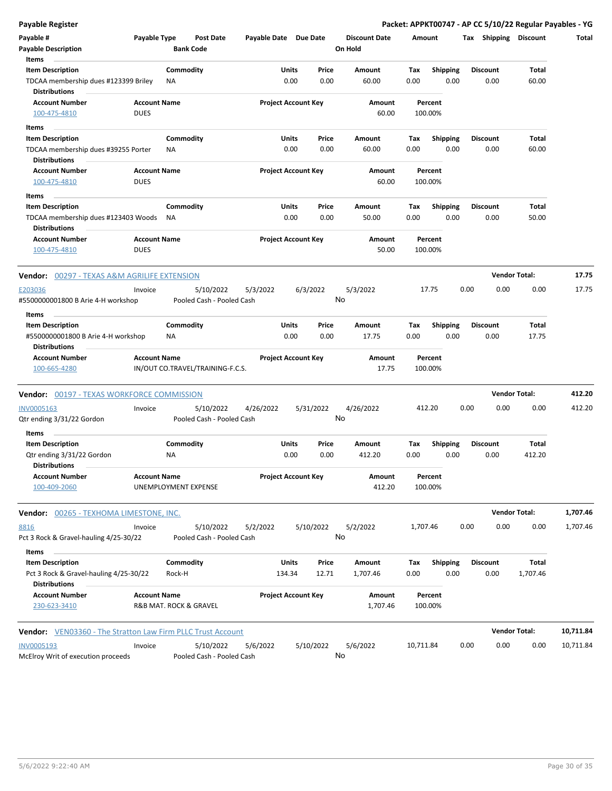| Payable Register                                                             |                                    |                 |                                        |                            |               |               |                      |                    |                         |      |                         | Packet: APPKT00747 - AP CC 5/10/22 Regular Payables - YG |           |
|------------------------------------------------------------------------------|------------------------------------|-----------------|----------------------------------------|----------------------------|---------------|---------------|----------------------|--------------------|-------------------------|------|-------------------------|----------------------------------------------------------|-----------|
| Payable #                                                                    | Payable Type                       |                 | <b>Post Date</b>                       | Payable Date Due Date      |               |               | <b>Discount Date</b> | Amount             |                         |      | Tax Shipping Discount   |                                                          | Total     |
| <b>Payable Description</b>                                                   |                                    |                 | <b>Bank Code</b>                       |                            |               |               | On Hold              |                    |                         |      |                         |                                                          |           |
| Items                                                                        |                                    |                 |                                        |                            |               |               |                      |                    |                         |      |                         |                                                          |           |
| <b>Item Description</b><br>TDCAA membership dues #123399 Briley              |                                    | Commodity<br>ΝA |                                        |                            | Units<br>0.00 | Price<br>0.00 | Amount<br>60.00      | Tax<br>0.00        | <b>Shipping</b><br>0.00 |      | <b>Discount</b><br>0.00 | Total<br>60.00                                           |           |
| <b>Distributions</b>                                                         |                                    |                 |                                        |                            |               |               |                      |                    |                         |      |                         |                                                          |           |
| <b>Account Number</b>                                                        | <b>Account Name</b>                |                 |                                        | <b>Project Account Key</b> |               |               | Amount               | Percent            |                         |      |                         |                                                          |           |
| 100-475-4810                                                                 | <b>DUES</b>                        |                 |                                        |                            |               |               | 60.00                | 100.00%            |                         |      |                         |                                                          |           |
| Items                                                                        |                                    |                 |                                        |                            |               |               |                      |                    |                         |      |                         |                                                          |           |
| <b>Item Description</b>                                                      |                                    | Commodity       |                                        |                            | Units         | Price         | Amount               | Tax                | <b>Shipping</b>         |      | <b>Discount</b>         | Total                                                    |           |
| TDCAA membership dues #39255 Porter<br><b>Distributions</b>                  |                                    | ΝA              |                                        |                            | 0.00          | 0.00          | 60.00                | 0.00               | 0.00                    |      | 0.00                    | 60.00                                                    |           |
| <b>Account Number</b>                                                        | <b>Account Name</b>                |                 |                                        | <b>Project Account Key</b> |               |               | Amount               | Percent            |                         |      |                         |                                                          |           |
| 100-475-4810                                                                 | <b>DUES</b>                        |                 |                                        |                            |               |               | 60.00                | 100.00%            |                         |      |                         |                                                          |           |
| Items                                                                        |                                    |                 |                                        |                            |               |               |                      |                    |                         |      |                         |                                                          |           |
| <b>Item Description</b>                                                      |                                    | Commodity       |                                        |                            | Units         | Price         | Amount               | Tax                | <b>Shipping</b>         |      | <b>Discount</b>         | Total                                                    |           |
| TDCAA membership dues #123403 Woods<br><b>Distributions</b>                  |                                    | NA              |                                        |                            | 0.00          | 0.00          | 50.00                | 0.00               | 0.00                    |      | 0.00                    | 50.00                                                    |           |
| <b>Account Number</b><br>100-475-4810                                        | <b>Account Name</b><br><b>DUES</b> |                 |                                        | <b>Project Account Key</b> |               |               | Amount<br>50.00      | Percent<br>100.00% |                         |      |                         |                                                          |           |
| <b>Vendor: 00297 - TEXAS A&amp;M AGRILIFE EXTENSION</b>                      |                                    |                 |                                        |                            |               |               |                      |                    |                         |      |                         | <b>Vendor Total:</b>                                     | 17.75     |
| E203036<br>#5500000001800 B Arie 4-H workshop                                | Invoice                            |                 | 5/10/2022<br>Pooled Cash - Pooled Cash | 5/3/2022                   |               | 6/3/2022      | 5/3/2022<br>No       | 17.75              |                         | 0.00 | 0.00                    | 0.00                                                     | 17.75     |
| Items                                                                        |                                    |                 |                                        |                            |               |               |                      |                    |                         |      |                         |                                                          |           |
| <b>Item Description</b>                                                      |                                    | Commodity       |                                        |                            | Units         | Price         | Amount               | Tax                | <b>Shipping</b>         |      | <b>Discount</b>         | Total                                                    |           |
| #5500000001800 B Arie 4-H workshop<br><b>Distributions</b>                   |                                    | NA              |                                        |                            | 0.00          | 0.00          | 17.75                | 0.00               | 0.00                    |      | 0.00                    | 17.75                                                    |           |
| <b>Account Number</b>                                                        | <b>Account Name</b>                |                 |                                        | <b>Project Account Key</b> |               |               | Amount               | Percent            |                         |      |                         |                                                          |           |
| 100-665-4280                                                                 |                                    |                 | IN/OUT CO.TRAVEL/TRAINING-F.C.S.       |                            |               |               | 17.75                | 100.00%            |                         |      |                         |                                                          |           |
| <b>Vendor: 00197 - TEXAS WORKFORCE COMMISSION</b>                            |                                    |                 |                                        |                            |               |               |                      |                    |                         |      |                         | <b>Vendor Total:</b>                                     | 412.20    |
| <b>INV0005163</b><br>Qtr ending 3/31/22 Gordon                               | Invoice                            |                 | 5/10/2022<br>Pooled Cash - Pooled Cash | 4/26/2022                  |               | 5/31/2022     | 4/26/2022<br>No      | 412.20             |                         | 0.00 | 0.00                    | 0.00                                                     | 412.20    |
| Items                                                                        |                                    | Commodity       |                                        |                            | Units         | Price         | Amount               | Tax                | <b>Shipping</b>         |      | <b>Discount</b>         | Total                                                    |           |
| <b>Item Description</b><br>Qtr ending 3/31/22 Gordon<br><b>Distributions</b> |                                    | ΝA              |                                        |                            | 0.00          | 0.00          | 412.20               | 0.00               | 0.00                    |      | 0.00                    | 412.20                                                   |           |
| <b>Account Number</b><br>100-409-2060                                        | <b>Account Name</b>                |                 | UNEMPLOYMENT EXPENSE                   | <b>Project Account Key</b> |               |               | Amount<br>412.20     | Percent<br>100.00% |                         |      |                         |                                                          |           |
| Vendor: 00265 - TEXHOMA LIMESTONE, INC.                                      |                                    |                 |                                        |                            |               |               |                      |                    |                         |      |                         | <b>Vendor Total:</b>                                     | 1,707.46  |
| 8816<br>Pct 3 Rock & Gravel-hauling 4/25-30/22                               | Invoice                            |                 | 5/10/2022<br>Pooled Cash - Pooled Cash | 5/2/2022                   |               | 5/10/2022     | 5/2/2022<br>No       | 1,707.46           |                         | 0.00 | 0.00                    | 0.00                                                     | 1,707.46  |
| Items                                                                        |                                    |                 |                                        |                            |               |               |                      |                    |                         |      |                         |                                                          |           |
| <b>Item Description</b>                                                      |                                    | Commodity       |                                        |                            | Units         | Price         | Amount               | Tax                | Shipping                |      | <b>Discount</b>         | <b>Total</b>                                             |           |
| Pct 3 Rock & Gravel-hauling 4/25-30/22<br><b>Distributions</b>               |                                    | Rock-H          |                                        |                            | 134.34        | 12.71         | 1,707.46             | 0.00               | 0.00                    |      | 0.00                    | 1,707.46                                                 |           |
| <b>Account Number</b>                                                        | <b>Account Name</b>                |                 |                                        | <b>Project Account Key</b> |               |               | Amount               | Percent            |                         |      |                         |                                                          |           |
| 230-623-3410                                                                 |                                    |                 | R&B MAT. ROCK & GRAVEL                 |                            |               |               | 1,707.46             | 100.00%            |                         |      |                         |                                                          |           |
| <b>Vendor:</b> VEN03360 - The Stratton Law Firm PLLC Trust Account           |                                    |                 |                                        |                            |               |               |                      |                    |                         |      |                         | <b>Vendor Total:</b>                                     | 10,711.84 |
|                                                                              |                                    |                 |                                        |                            |               |               |                      |                    |                         |      |                         |                                                          |           |

5/10/2022 5/6/2022 5/10/2022 INV0005193 Invoice 5/6/2022 10,711.84 0.00 0.00 0.00 10,711.84 McElroy Writ of execution proceeds Pooled Cash - Pooled Cash No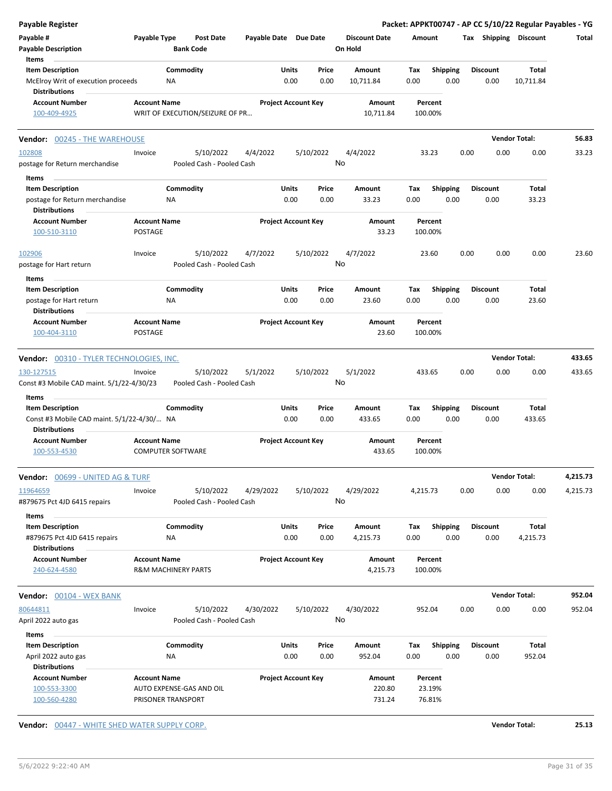| <b>Payable Register</b>                                                               |                                                       |                                        |                       |                                |                                 |             |                         | Packet: APPKT00747 - AP CC 5/10/22 Regular Payables - YG |                      |          |
|---------------------------------------------------------------------------------------|-------------------------------------------------------|----------------------------------------|-----------------------|--------------------------------|---------------------------------|-------------|-------------------------|----------------------------------------------------------|----------------------|----------|
| Payable #<br><b>Payable Description</b>                                               | Payable Type                                          | <b>Post Date</b><br><b>Bank Code</b>   | Payable Date Due Date |                                | <b>Discount Date</b><br>On Hold | Amount      |                         | Tax Shipping Discount                                    |                      | Total    |
| Items                                                                                 |                                                       |                                        |                       |                                |                                 |             |                         |                                                          |                      |          |
| <b>Item Description</b><br>McElroy Writ of execution proceeds<br><b>Distributions</b> | ΝA                                                    | Commodity                              |                       | Units<br>Price<br>0.00<br>0.00 | Amount<br>10,711.84             | Tax<br>0.00 | <b>Shipping</b><br>0.00 | <b>Discount</b><br>0.00                                  | Total<br>10,711.84   |          |
| <b>Account Number</b><br>100-409-4925                                                 | <b>Account Name</b>                                   | WRIT OF EXECUTION/SEIZURE OF PR        |                       | <b>Project Account Key</b>     | Amount<br>10,711.84             |             | Percent<br>100.00%      |                                                          |                      |          |
| <b>Vendor: 00245 - THE WAREHOUSE</b>                                                  |                                                       |                                        |                       |                                |                                 |             |                         |                                                          | <b>Vendor Total:</b> | 56.83    |
| 102808                                                                                | Invoice                                               | 5/10/2022                              | 4/4/2022              | 5/10/2022                      | 4/4/2022                        |             | 33.23                   | 0.00<br>0.00                                             | 0.00                 | 33.23    |
| postage for Return merchandise                                                        |                                                       | Pooled Cash - Pooled Cash              |                       |                                | No                              |             |                         |                                                          |                      |          |
| Items                                                                                 |                                                       |                                        |                       |                                |                                 |             |                         |                                                          |                      |          |
| <b>Item Description</b>                                                               |                                                       | Commodity                              |                       | Units<br>Price                 | Amount                          | Tax         | <b>Shipping</b>         | <b>Discount</b>                                          | Total                |          |
| postage for Return merchandise<br><b>Distributions</b>                                | NA                                                    |                                        |                       | 0.00<br>0.00                   | 33.23                           | 0.00        | 0.00                    | 0.00                                                     | 33.23                |          |
| <b>Account Number</b><br>100-510-3110                                                 | <b>Account Name</b><br>POSTAGE                        |                                        |                       | <b>Project Account Key</b>     | Amount<br>33.23                 |             | Percent<br>100.00%      |                                                          |                      |          |
| 102906<br>postage for Hart return                                                     | Invoice                                               | 5/10/2022<br>Pooled Cash - Pooled Cash | 4/7/2022              | 5/10/2022                      | 4/7/2022<br>No                  |             | 23.60                   | 0.00<br>0.00                                             | 0.00                 | 23.60    |
| Items                                                                                 |                                                       |                                        |                       |                                |                                 |             |                         |                                                          |                      |          |
| <b>Item Description</b>                                                               |                                                       | Commodity                              |                       | Units<br>Price                 | Amount                          | Tax         | <b>Shipping</b>         | <b>Discount</b>                                          | Total                |          |
| postage for Hart return<br><b>Distributions</b>                                       | ΝA                                                    |                                        |                       | 0.00<br>0.00                   | 23.60                           | 0.00        | 0.00                    | 0.00                                                     | 23.60                |          |
| <b>Account Number</b><br>100-404-3110                                                 | <b>Account Name</b><br><b>POSTAGE</b>                 |                                        |                       | <b>Project Account Key</b>     | Amount<br>23.60                 |             | Percent<br>100.00%      |                                                          |                      |          |
| Vendor: 00310 - TYLER TECHNOLOGIES, INC.                                              |                                                       |                                        |                       |                                |                                 |             |                         |                                                          | <b>Vendor Total:</b> | 433.65   |
| 130-127515                                                                            | Invoice                                               | 5/10/2022                              | 5/1/2022              | 5/10/2022                      | 5/1/2022                        | 433.65      |                         | 0.00<br>0.00                                             | 0.00                 | 433.65   |
| Const #3 Mobile CAD maint. 5/1/22-4/30/23                                             |                                                       | Pooled Cash - Pooled Cash              |                       |                                | No                              |             |                         |                                                          |                      |          |
| Items<br><b>Item Description</b>                                                      |                                                       | Commodity                              |                       | Units<br>Price                 |                                 |             |                         |                                                          |                      |          |
| Const #3 Mobile CAD maint. 5/1/22-4/30/ NA<br><b>Distributions</b>                    |                                                       |                                        |                       | 0.00<br>0.00                   | Amount<br>433.65                | Tax<br>0.00 | <b>Shipping</b><br>0.00 | <b>Discount</b><br>0.00                                  | Total<br>433.65      |          |
| <b>Account Number</b><br>100-553-4530                                                 | <b>Account Name</b><br><b>COMPUTER SOFTWARE</b>       |                                        |                       | <b>Project Account Key</b>     | Amount<br>433.65                |             | Percent<br>100.00%      |                                                          |                      |          |
| <b>Vendor: 00699 - UNITED AG &amp; TURE</b>                                           |                                                       |                                        |                       |                                |                                 |             |                         |                                                          | <b>Vendor Total:</b> | 4,215.73 |
| 11964659<br>#879675 Pct 4JD 6415 repairs                                              | Invoice                                               | 5/10/2022<br>Pooled Cash - Pooled Cash | 4/29/2022             | 5/10/2022                      | 4/29/2022<br>No                 | 4,215.73    |                         | 0.00<br>0.00                                             | 0.00                 | 4,215.73 |
| Items                                                                                 |                                                       |                                        |                       |                                |                                 |             |                         |                                                          |                      |          |
| <b>Item Description</b><br>#879675 Pct 4JD 6415 repairs                               | NA                                                    | Commodity                              |                       | Units<br>Price<br>0.00<br>0.00 | Amount<br>4,215.73              | Tax<br>0.00 | Shipping<br>0.00        | Discount<br>0.00                                         | Total<br>4,215.73    |          |
| <b>Distributions</b>                                                                  |                                                       |                                        |                       |                                |                                 |             |                         |                                                          |                      |          |
| <b>Account Number</b><br>240-624-4580                                                 | <b>Account Name</b><br><b>R&amp;M MACHINERY PARTS</b> |                                        |                       | <b>Project Account Key</b>     | Amount<br>4,215.73              |             | Percent<br>100.00%      |                                                          |                      |          |
| <b>Vendor:</b> 00104 - WEX BANK                                                       |                                                       |                                        |                       |                                |                                 |             |                         |                                                          | <b>Vendor Total:</b> | 952.04   |
| 80644811<br>April 2022 auto gas                                                       | Invoice                                               | 5/10/2022<br>Pooled Cash - Pooled Cash | 4/30/2022             | 5/10/2022                      | 4/30/2022<br>No                 | 952.04      |                         | 0.00<br>0.00                                             | 0.00                 | 952.04   |
| Items                                                                                 |                                                       |                                        |                       |                                |                                 |             |                         |                                                          |                      |          |
| <b>Item Description</b>                                                               |                                                       | Commodity                              |                       | Units<br>Price                 | Amount                          | Tax         | <b>Shipping</b>         | <b>Discount</b>                                          | Total                |          |
| April 2022 auto gas                                                                   | ΝA                                                    |                                        |                       | 0.00<br>0.00                   | 952.04                          | 0.00        | 0.00                    | 0.00                                                     | 952.04               |          |
| <b>Distributions</b>                                                                  |                                                       |                                        |                       |                                |                                 |             |                         |                                                          |                      |          |
| <b>Account Number</b><br>100-553-3300                                                 | <b>Account Name</b>                                   | AUTO EXPENSE-GAS AND OIL               |                       | <b>Project Account Key</b>     | Amount<br>220.80                |             | Percent<br>23.19%       |                                                          |                      |          |
| 100-560-4280                                                                          | PRISONER TRANSPORT                                    |                                        |                       |                                | 731.24                          |             | 76.81%                  |                                                          |                      |          |

**Vendor:** 00447 - WHITE SHED WATER SUPPLY CORP. **Vendor Total: 25.13**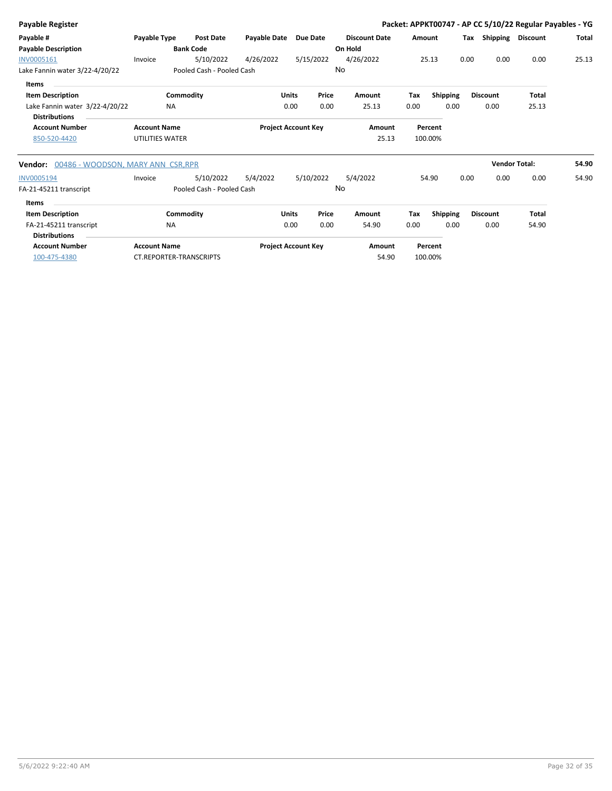| Payable Register                           |                     |                                |                            |              |           |                      |        |                 |      |                       | Packet: APPKT00747 - AP CC 5/10/22 Regular Payables - YG |       |
|--------------------------------------------|---------------------|--------------------------------|----------------------------|--------------|-----------|----------------------|--------|-----------------|------|-----------------------|----------------------------------------------------------|-------|
| Payable #                                  | Payable Type        | <b>Post Date</b>               | Payable Date               |              | Due Date  | <b>Discount Date</b> | Amount |                 |      | Tax Shipping Discount |                                                          | Total |
| <b>Payable Description</b>                 |                     | <b>Bank Code</b>               |                            |              |           | On Hold              |        |                 |      |                       |                                                          |       |
| INV0005161                                 | Invoice             | 5/10/2022                      | 4/26/2022                  |              | 5/15/2022 | 4/26/2022            |        | 25.13           | 0.00 | 0.00                  | 0.00                                                     | 25.13 |
| Lake Fannin water 3/22-4/20/22             |                     | Pooled Cash - Pooled Cash      |                            |              | No        |                      |        |                 |      |                       |                                                          |       |
| Items                                      |                     |                                |                            |              |           |                      |        |                 |      |                       |                                                          |       |
| <b>Item Description</b>                    |                     | Commodity                      |                            | <b>Units</b> | Price     | Amount               | Tax    | <b>Shipping</b> |      | <b>Discount</b>       | <b>Total</b>                                             |       |
| Lake Fannin water 3/22-4/20/22             | <b>NA</b>           |                                |                            | 0.00         | 0.00      | 25.13                | 0.00   | 0.00            |      | 0.00                  | 25.13                                                    |       |
| <b>Distributions</b>                       |                     |                                |                            |              |           |                      |        |                 |      |                       |                                                          |       |
| <b>Account Number</b>                      | <b>Account Name</b> |                                | <b>Project Account Key</b> |              |           | Amount               |        | Percent         |      |                       |                                                          |       |
| 850-520-4420                               | UTILITIES WATER     |                                |                            |              |           | 25.13                |        | 100.00%         |      |                       |                                                          |       |
| Vendor: 00486 - WOODSON, MARY ANN CSR, RPR |                     |                                |                            |              |           |                      |        |                 |      | <b>Vendor Total:</b>  |                                                          | 54.90 |
| <b>INV0005194</b>                          | Invoice             | 5/10/2022                      | 5/4/2022                   |              | 5/10/2022 | 5/4/2022             |        | 54.90           | 0.00 | 0.00                  | 0.00                                                     | 54.90 |
| FA-21-45211 transcript                     |                     | Pooled Cash - Pooled Cash      |                            |              | No        |                      |        |                 |      |                       |                                                          |       |
| Items                                      |                     |                                |                            |              |           |                      |        |                 |      |                       |                                                          |       |
| <b>Item Description</b>                    |                     | Commodity                      |                            | Units        | Price     | Amount               | Tax    | Shipping        |      | <b>Discount</b>       | <b>Total</b>                                             |       |
| FA-21-45211 transcript                     | <b>NA</b>           |                                |                            | 0.00         | 0.00      | 54.90                | 0.00   | 0.00            |      | 0.00                  | 54.90                                                    |       |
| <b>Distributions</b>                       |                     |                                |                            |              |           |                      |        |                 |      |                       |                                                          |       |
| <b>Account Number</b>                      | <b>Account Name</b> |                                | <b>Project Account Key</b> |              |           | Amount               |        | Percent         |      |                       |                                                          |       |
| 100-475-4380                               |                     | <b>CT.REPORTER-TRANSCRIPTS</b> |                            |              |           | 54.90                |        | 100.00%         |      |                       |                                                          |       |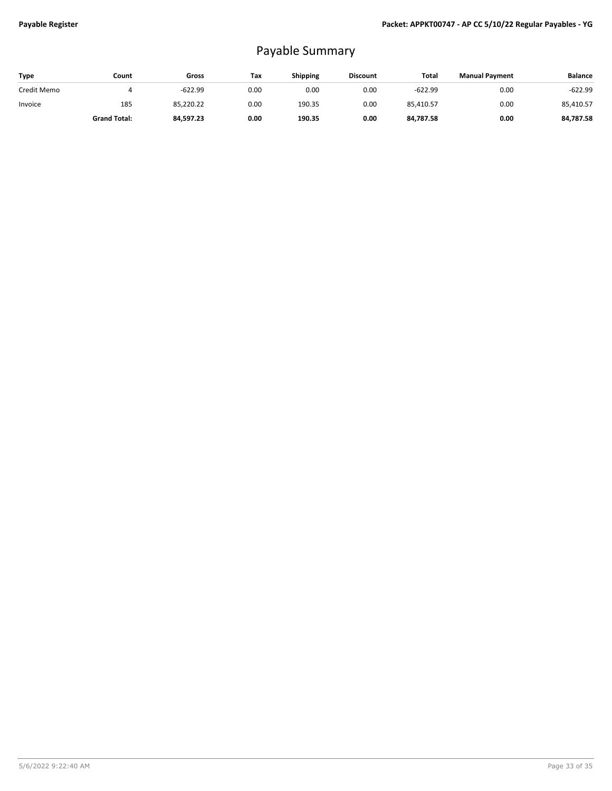## Payable Summary

| <b>Type</b> | Count               | Gross     | Tax  | Shipping | <b>Discount</b> | Total     | <b>Manual Payment</b> | <b>Balance</b> |
|-------------|---------------------|-----------|------|----------|-----------------|-----------|-----------------------|----------------|
| Credit Memo |                     | $-622.99$ | 0.00 | 0.00     | 0.00            | $-622.99$ | 0.00                  | $-622.99$      |
| Invoice     | 185                 | 85,220.22 | 0.00 | 190.35   | 0.00            | 85.410.57 | 0.00                  | 85,410.57      |
|             | <b>Grand Total:</b> | 84.597.23 | 0.00 | 190.35   | 0.00            | 84.787.58 | 0.00                  | 84.787.58      |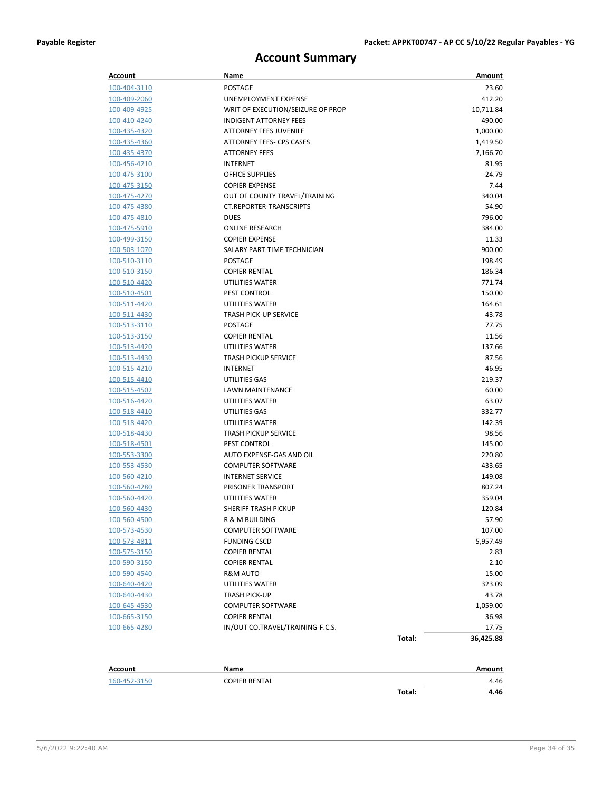#### **Account Summary**

| Account        | Name                              |        | Amount       |
|----------------|-----------------------------------|--------|--------------|
| 100-404-3110   | <b>POSTAGE</b>                    |        | 23.60        |
| 100-409-2060   | UNEMPLOYMENT EXPENSE              |        | 412.20       |
| 100-409-4925   | WRIT OF EXECUTION/SEIZURE OF PROP |        | 10,711.84    |
| 100-410-4240   | <b>INDIGENT ATTORNEY FEES</b>     |        | 490.00       |
| 100-435-4320   | <b>ATTORNEY FEES JUVENILE</b>     |        | 1,000.00     |
| 100-435-4360   | <b>ATTORNEY FEES- CPS CASES</b>   |        | 1,419.50     |
| 100-435-4370   | <b>ATTORNEY FEES</b>              |        | 7,166.70     |
| 100-456-4210   | <b>INTERNET</b>                   |        | 81.95        |
| 100-475-3100   | <b>OFFICE SUPPLIES</b>            |        | $-24.79$     |
| 100-475-3150   | <b>COPIER EXPENSE</b>             |        | 7.44         |
| 100-475-4270   | OUT OF COUNTY TRAVEL/TRAINING     |        | 340.04       |
| 100-475-4380   | <b>CT.REPORTER-TRANSCRIPTS</b>    |        | 54.90        |
| 100-475-4810   | <b>DUES</b>                       |        | 796.00       |
| 100-475-5910   | <b>ONLINE RESEARCH</b>            |        | 384.00       |
| 100-499-3150   | <b>COPIER EXPENSE</b>             |        | 11.33        |
| 100-503-1070   | SALARY PART-TIME TECHNICIAN       |        | 900.00       |
| 100-510-3110   | POSTAGE                           |        | 198.49       |
| 100-510-3150   | <b>COPIER RENTAL</b>              |        | 186.34       |
| 100-510-4420   | UTILITIES WATER                   |        | 771.74       |
| 100-510-4501   | <b>PEST CONTROL</b>               |        | 150.00       |
| 100-511-4420   | UTILITIES WATER                   |        | 164.61       |
| 100-511-4430   | <b>TRASH PICK-UP SERVICE</b>      |        | 43.78        |
| 100-513-3110   | <b>POSTAGE</b>                    |        | 77.75        |
| 100-513-3150   | <b>COPIER RENTAL</b>              |        | 11.56        |
| 100-513-4420   | UTILITIES WATER                   |        | 137.66       |
| 100-513-4430   | <b>TRASH PICKUP SERVICE</b>       |        | 87.56        |
| 100-515-4210   | INTERNET                          |        | 46.95        |
| 100-515-4410   | UTILITIES GAS                     |        | 219.37       |
| 100-515-4502   | LAWN MAINTENANCE                  |        | 60.00        |
| 100-516-4420   | UTILITIES WATER                   |        | 63.07        |
| 100-518-4410   | UTILITIES GAS                     |        | 332.77       |
| 100-518-4420   | UTILITIES WATER                   |        | 142.39       |
| 100-518-4430   | <b>TRASH PICKUP SERVICE</b>       |        | 98.56        |
| 100-518-4501   | <b>PEST CONTROL</b>               |        | 145.00       |
| 100-553-3300   | AUTO EXPENSE-GAS AND OIL          |        | 220.80       |
| 100-553-4530   | <b>COMPUTER SOFTWARE</b>          |        | 433.65       |
| 100-560-4210   | <b>INTERNET SERVICE</b>           |        | 149.08       |
| 100-560-4280   | PRISONER TRANSPORT                |        | 807.24       |
| 100-560-4420   | UTILITIES WATER                   |        | 359.04       |
| 100-560-4430   | SHERIFF TRASH PICKUP              |        | 120.84       |
| 100-560-4500   | R & M BUILDING                    |        | 57.90        |
| 100-573-4530   | <b>COMPUTER SOFTWARE</b>          |        | 107.00       |
| 100-573-4811   | <b>FUNDING CSCD</b>               |        | 5,957.49     |
| 100-575-3150   | <b>COPIER RENTAL</b>              |        | 2.83         |
| 100-590-3150   | <b>COPIER RENTAL</b>              |        | 2.10         |
| 100-590-4540   | R&M AUTO                          |        | 15.00        |
| 100-640-4420   | UTILITIES WATER                   |        | 323.09       |
| 100-640-4430   | TRASH PICK-UP                     |        | 43.78        |
| 100-645-4530   | <b>COMPUTER SOFTWARE</b>          |        | 1,059.00     |
| 100-665-3150   | <b>COPIER RENTAL</b>              |        | 36.98        |
| 100-665-4280   | IN/OUT CO.TRAVEL/TRAINING-F.C.S.  |        | 17.75        |
|                |                                   | Total: | 36,425.88    |
| <b>Account</b> | Name                              |        | Amount       |
|                |                                   |        |              |
| 160-452-3150   | <b>COPIER RENTAL</b>              | Total: | 4.46<br>4.46 |